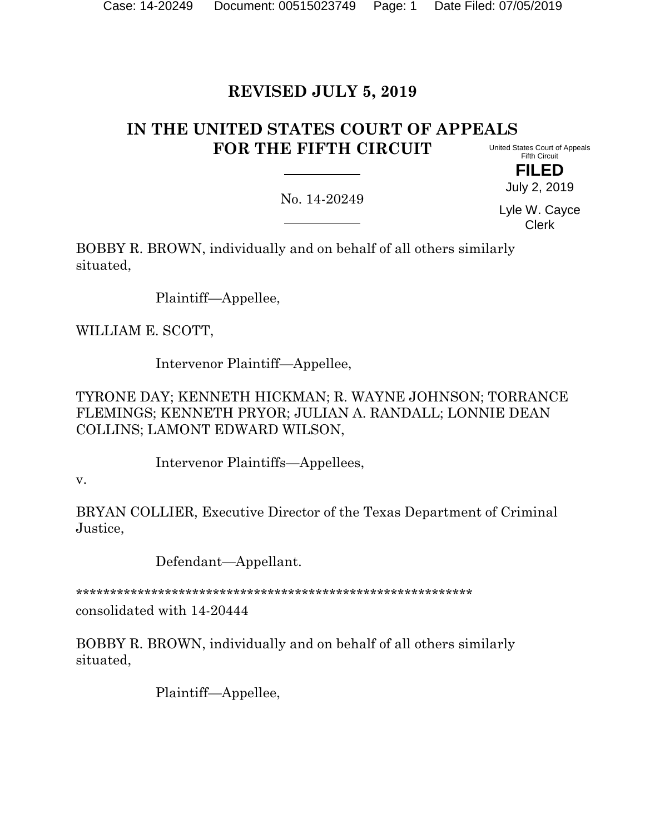# **REVISED JULY 5, 2019**

# **IN THE UNITED STATES COURT OF APPEALS FOR THE FIFTH CIRCUIT**

United States Court of Appeals Fifth Circuit **FILED**

July 2, 2019

No. 14-20249

Lyle W. Cayce Clerk

BOBBY R. BROWN, individually and on behalf of all others similarly situated,

Plaintiff—Appellee,

WILLIAM E. SCOTT,

Intervenor Plaintiff—Appellee,

TYRONE DAY; KENNETH HICKMAN; R. WAYNE JOHNSON; TORRANCE FLEMINGS; KENNETH PRYOR; JULIAN A. RANDALL; LONNIE DEAN COLLINS; LAMONT EDWARD WILSON,

Intervenor Plaintiffs—Appellees,

v.

BRYAN COLLIER, Executive Director of the Texas Department of Criminal Justice,

Defendant—Appellant.

\*\*\*\*\*\*\*\*\*\*\*\*\*\*\*\*\*\*\*\*\*\*\*\*\*\*\*\*\*\*\*\*\*\*\*\*\*\*\*\*\*\*\*\*\*\*\*\*\*\*\*\*\*\*\*\*\*\*

consolidated with 14-20444

BOBBY R. BROWN, individually and on behalf of all others similarly situated,

Plaintiff—Appellee,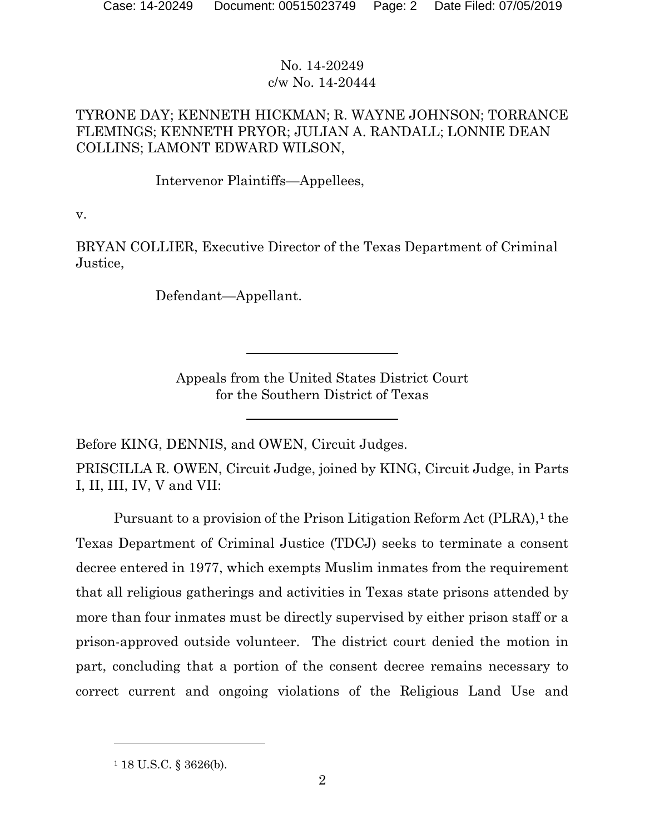### TYRONE DAY; KENNETH HICKMAN; R. WAYNE JOHNSON; TORRANCE FLEMINGS; KENNETH PRYOR; JULIAN A. RANDALL; LONNIE DEAN COLLINS; LAMONT EDWARD WILSON,

Intervenor Plaintiffs—Appellees,

v.

BRYAN COLLIER, Executive Director of the Texas Department of Criminal Justice,

Defendant—Appellant.

Appeals from the United States District Court for the Southern District of Texas

Before KING, DENNIS, and OWEN, Circuit Judges.

PRISCILLA R. OWEN, Circuit Judge, joined by KING, Circuit Judge, in Parts I, II, III, IV, V and VII:

Pursuant to a provision of the Prison Litigation Reform Act (PLRA),<sup>[1](#page-1-0)</sup> the Texas Department of Criminal Justice (TDCJ) seeks to terminate a consent decree entered in 1977, which exempts Muslim inmates from the requirement that all religious gatherings and activities in Texas state prisons attended by more than four inmates must be directly supervised by either prison staff or a prison-approved outside volunteer. The district court denied the motion in part, concluding that a portion of the consent decree remains necessary to correct current and ongoing violations of the Religious Land Use and

<span id="page-1-0"></span><sup>1</sup> 18 U.S.C. § 3626(b).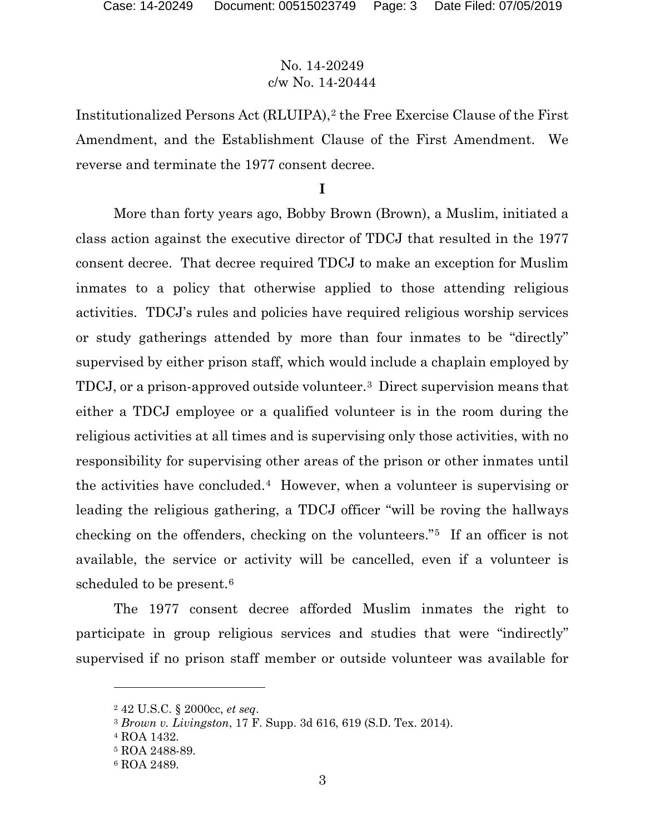Institutionalized Persons Act (RLUIPA),<sup>[2](#page-2-0)</sup> the Free Exercise Clause of the First Amendment, and the Establishment Clause of the First Amendment. We reverse and terminate the 1977 consent decree.

**I**

More than forty years ago, Bobby Brown (Brown), a Muslim, initiated a class action against the executive director of TDCJ that resulted in the 1977 consent decree. That decree required TDCJ to make an exception for Muslim inmates to a policy that otherwise applied to those attending religious activities. TDCJ's rules and policies have required religious worship services or study gatherings attended by more than four inmates to be "directly" supervised by either prison staff, which would include a chaplain employed by TDCJ, or a prison-approved outside volunteer.[3](#page-2-1) Direct supervision means that either a TDCJ employee or a qualified volunteer is in the room during the religious activities at all times and is supervising only those activities, with no responsibility for supervising other areas of the prison or other inmates until the activities have concluded.[4](#page-2-2) However, when a volunteer is supervising or leading the religious gathering, a TDCJ officer "will be roving the hallways checking on the offenders, checking on the volunteers."[5](#page-2-3) If an officer is not available, the service or activity will be cancelled, even if a volunteer is scheduled to be present.<sup>[6](#page-2-4)</sup>

The 1977 consent decree afforded Muslim inmates the right to participate in group religious services and studies that were "indirectly" supervised if no prison staff member or outside volunteer was available for

<span id="page-2-0"></span><sup>2</sup> 42 U.S.C. § 2000cc, *et seq*.

<span id="page-2-1"></span><sup>3</sup> *Brown v. Livingston*, 17 F. Supp. 3d 616, 619 (S.D. Tex. 2014).

<span id="page-2-2"></span><sup>4</sup> ROA 1432.

<span id="page-2-3"></span><sup>5</sup> ROA 2488-89.

<span id="page-2-4"></span><sup>6</sup> ROA 2489.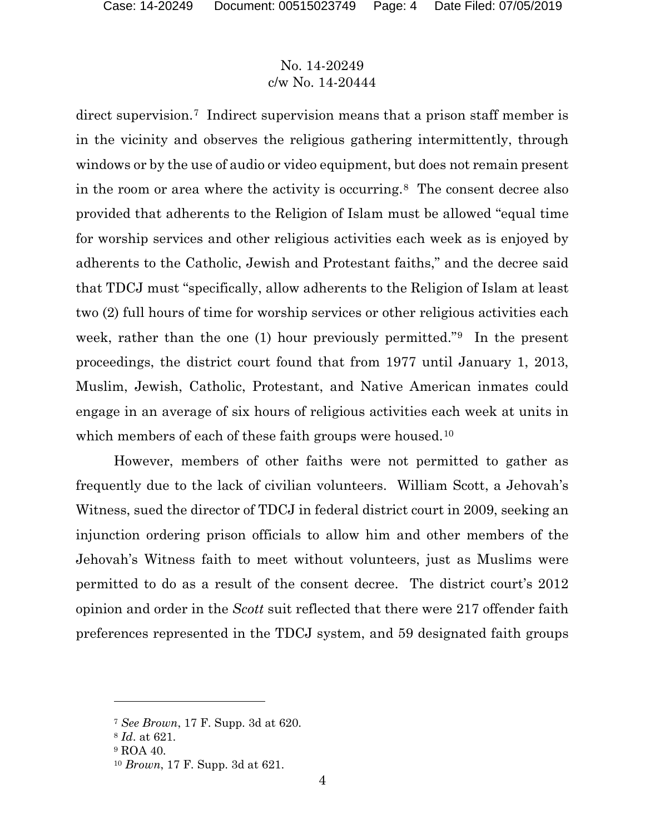direct supervision.[7](#page-3-0) Indirect supervision means that a prison staff member is in the vicinity and observes the religious gathering intermittently, through windows or by the use of audio or video equipment, but does not remain present in the room or area where the activity is occurring.[8](#page-3-1) The consent decree also provided that adherents to the Religion of Islam must be allowed "equal time for worship services and other religious activities each week as is enjoyed by adherents to the Catholic, Jewish and Protestant faiths," and the decree said that TDCJ must "specifically, allow adherents to the Religion of Islam at least two (2) full hours of time for worship services or other religious activities each week, rather than the one (1) hour previously permitted."[9](#page-3-2) In the present proceedings, the district court found that from 1977 until January 1, 2013, Muslim, Jewish, Catholic, Protestant, and Native American inmates could engage in an average of six hours of religious activities each week at units in which members of each of these faith groups were housed.<sup>[10](#page-3-3)</sup>

However, members of other faiths were not permitted to gather as frequently due to the lack of civilian volunteers. William Scott, a Jehovah's Witness, sued the director of TDCJ in federal district court in 2009, seeking an injunction ordering prison officials to allow him and other members of the Jehovah's Witness faith to meet without volunteers, just as Muslims were permitted to do as a result of the consent decree. The district court's 2012 opinion and order in the *Scott* suit reflected that there were 217 offender faith preferences represented in the TDCJ system, and 59 designated faith groups

<span id="page-3-0"></span><sup>7</sup> *See Brown*, 17 F. Supp. 3d at 620.

<span id="page-3-1"></span><sup>8</sup> *Id*. at 621.

<span id="page-3-2"></span><sup>&</sup>lt;sup>9</sup> ROA 40.

<span id="page-3-3"></span><sup>10</sup> *Brown*, 17 F. Supp. 3d at 621.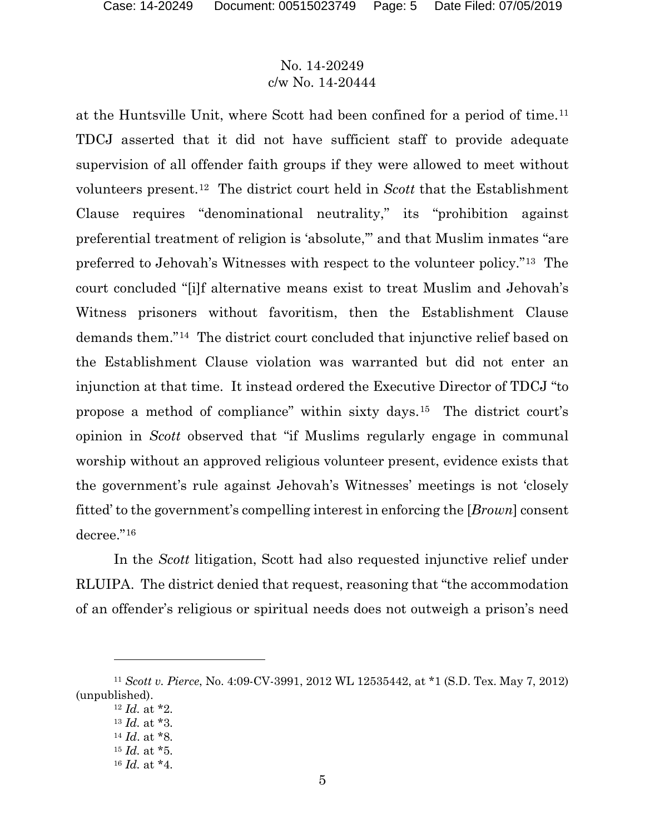at the Huntsville Unit, where Scott had been confined for a period of time.[11](#page-4-0) TDCJ asserted that it did not have sufficient staff to provide adequate supervision of all offender faith groups if they were allowed to meet without volunteers present.[12](#page-4-1) The district court held in *Scott* that the Establishment Clause requires "denominational neutrality," its "prohibition against preferential treatment of religion is 'absolute,'" and that Muslim inmates "are preferred to Jehovah's Witnesses with respect to the volunteer policy."[13](#page-4-2) The court concluded "[i]f alternative means exist to treat Muslim and Jehovah's Witness prisoners without favoritism, then the Establishment Clause demands them."[14](#page-4-3) The district court concluded that injunctive relief based on the Establishment Clause violation was warranted but did not enter an injunction at that time. It instead ordered the Executive Director of TDCJ "to propose a method of compliance" within sixty days.[15](#page-4-4) The district court's opinion in *Scott* observed that "if Muslims regularly engage in communal worship without an approved religious volunteer present, evidence exists that the government's rule against Jehovah's Witnesses' meetings is not 'closely fitted' to the government's compelling interest in enforcing the [*Brown*] consent decree."[16](#page-4-5)

In the *Scott* litigation, Scott had also requested injunctive relief under RLUIPA. The district denied that request, reasoning that "the accommodation of an offender's religious or spiritual needs does not outweigh a prison's need

<span id="page-4-5"></span><span id="page-4-4"></span><span id="page-4-3"></span><span id="page-4-2"></span><span id="page-4-1"></span><span id="page-4-0"></span><sup>11</sup> *Scott v. Pierce*, No. 4:09-CV-3991, 2012 WL 12535442, at \*1 (S.D. Tex. May 7, 2012) (unpublished).

<sup>12</sup> *Id.* at \*2. <sup>13</sup> *Id.* at \*3. <sup>14</sup> *Id*. at \*8.

<sup>15</sup> *Id.* at \*5.

<sup>16</sup> *Id.* at \*4.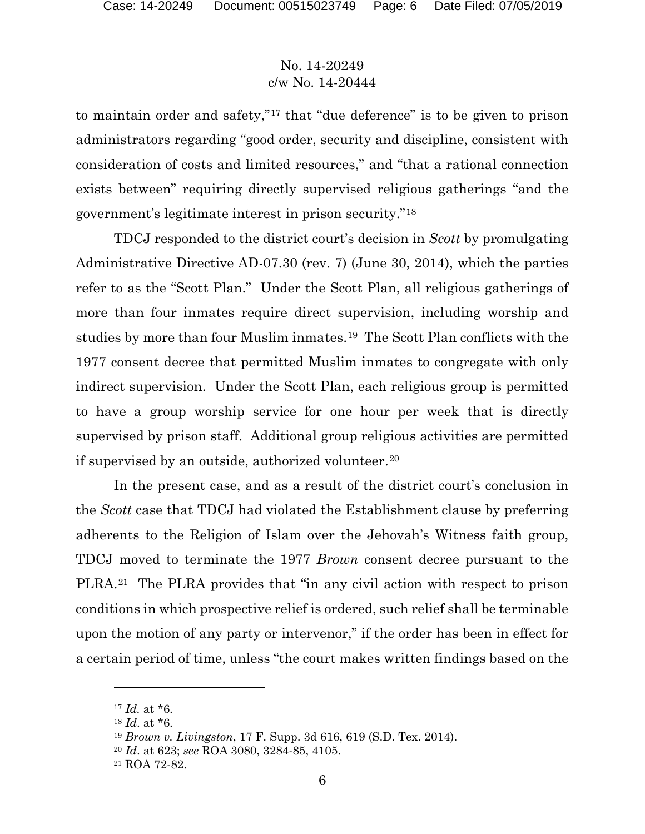to maintain order and safety,"[17](#page-5-0) that "due deference" is to be given to prison administrators regarding "good order, security and discipline, consistent with consideration of costs and limited resources," and "that a rational connection exists between" requiring directly supervised religious gatherings "and the government's legitimate interest in prison security."[18](#page-5-1)

TDCJ responded to the district court's decision in *Scott* by promulgating Administrative Directive AD-07.30 (rev. 7) (June 30, 2014), which the parties refer to as the "Scott Plan." Under the Scott Plan, all religious gatherings of more than four inmates require direct supervision, including worship and studies by more than four Muslim inmates.[19](#page-5-2) The Scott Plan conflicts with the 1977 consent decree that permitted Muslim inmates to congregate with only indirect supervision. Under the Scott Plan, each religious group is permitted to have a group worship service for one hour per week that is directly supervised by prison staff. Additional group religious activities are permitted if supervised by an outside, authorized volunteer.[20](#page-5-3)

In the present case, and as a result of the district court's conclusion in the *Scott* case that TDCJ had violated the Establishment clause by preferring adherents to the Religion of Islam over the Jehovah's Witness faith group, TDCJ moved to terminate the 1977 *Brown* consent decree pursuant to the PLRA.[21](#page-5-4) The PLRA provides that "in any civil action with respect to prison conditions in which prospective relief is ordered, such relief shall be terminable upon the motion of any party or intervenor," if the order has been in effect for a certain period of time, unless "the court makes written findings based on the

<span id="page-5-0"></span><sup>17</sup> *Id.* at \*6.

<span id="page-5-1"></span><sup>18</sup> *Id*. at \*6.

<span id="page-5-2"></span><sup>19</sup> *Brown v. Livingston*, 17 F. Supp. 3d 616, 619 (S.D. Tex. 2014).

<span id="page-5-3"></span><sup>20</sup> *Id*. at 623; *see* ROA 3080, 3284-85, 4105.

<span id="page-5-4"></span><sup>21</sup> ROA 72-82.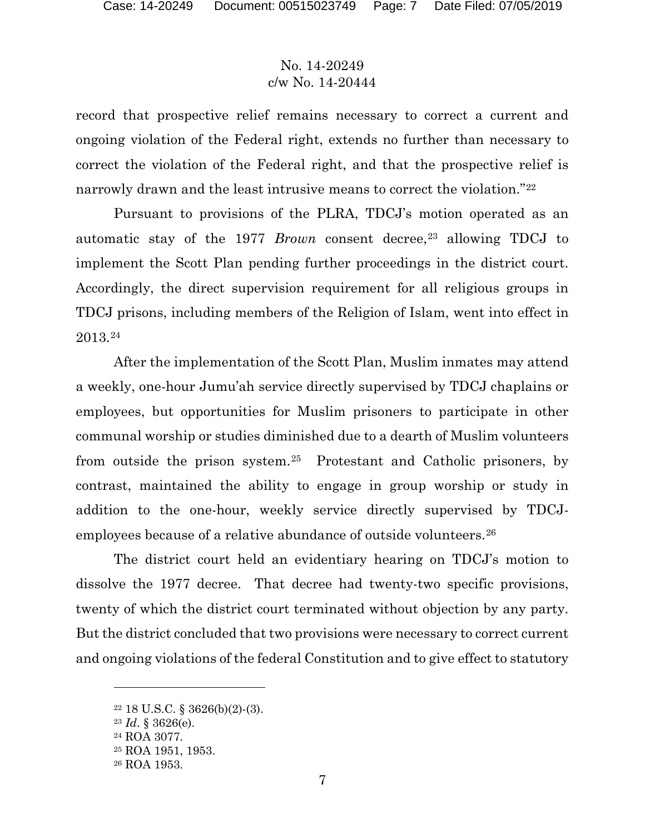record that prospective relief remains necessary to correct a current and ongoing violation of the Federal right, extends no further than necessary to correct the violation of the Federal right, and that the prospective relief is narrowly drawn and the least intrusive means to correct the violation."[22](#page-6-0) 

Pursuant to provisions of the PLRA, TDCJ's motion operated as an automatic stay of the 1977 *Brown* consent decree,<sup>[23](#page-6-1)</sup> allowing TDCJ to implement the Scott Plan pending further proceedings in the district court. Accordingly, the direct supervision requirement for all religious groups in TDCJ prisons, including members of the Religion of Islam, went into effect in 2013.[24](#page-6-2)

After the implementation of the Scott Plan, Muslim inmates may attend a weekly, one-hour Jumu'ah service directly supervised by TDCJ chaplains or employees, but opportunities for Muslim prisoners to participate in other communal worship or studies diminished due to a dearth of Muslim volunteers from outside the prison system.[25](#page-6-3) Protestant and Catholic prisoners, by contrast, maintained the ability to engage in group worship or study in addition to the one-hour, weekly service directly supervised by TDCJ-employees because of a relative abundance of outside volunteers.<sup>[26](#page-6-4)</sup>

The district court held an evidentiary hearing on TDCJ's motion to dissolve the 1977 decree. That decree had twenty-two specific provisions, twenty of which the district court terminated without objection by any party. But the district concluded that two provisions were necessary to correct current and ongoing violations of the federal Constitution and to give effect to statutory

<span id="page-6-0"></span><sup>22</sup> 18 U.S.C. § 3626(b)(2)-(3).

<span id="page-6-2"></span><span id="page-6-1"></span><sup>23</sup> *Id*. § 3626(e).

<sup>24</sup> ROA 3077.

<span id="page-6-3"></span><sup>25</sup> ROA 1951, 1953.

<span id="page-6-4"></span><sup>26</sup> ROA 1953.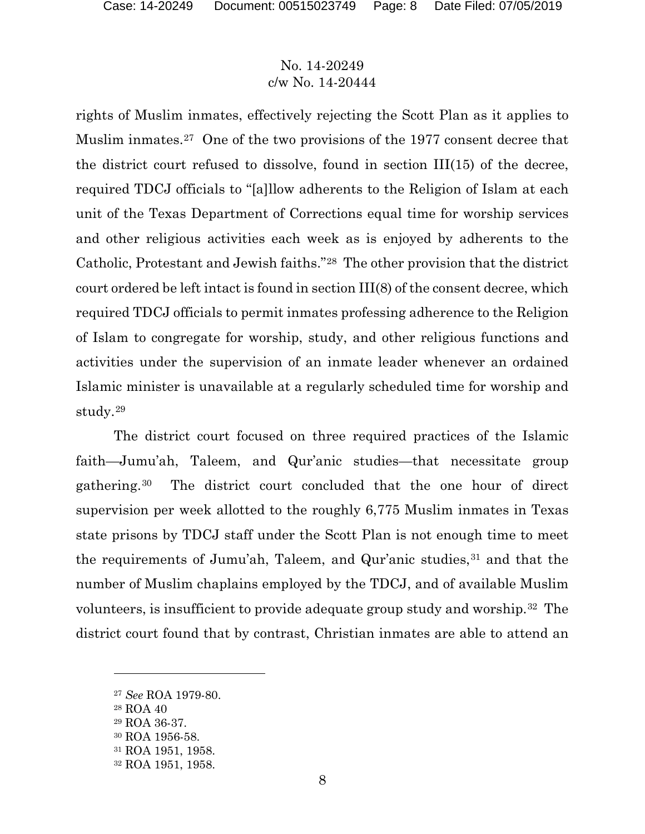rights of Muslim inmates, effectively rejecting the Scott Plan as it applies to Muslim inmates.<sup>27</sup> One of the two provisions of the 1977 consent decree that the district court refused to dissolve, found in section III(15) of the decree, required TDCJ officials to "[a]llow adherents to the Religion of Islam at each unit of the Texas Department of Corrections equal time for worship services and other religious activities each week as is enjoyed by adherents to the Catholic, Protestant and Jewish faiths."[28](#page-7-1) The other provision that the district court ordered be left intact is found in section III(8) of the consent decree, which required TDCJ officials to permit inmates professing adherence to the Religion of Islam to congregate for worship, study, and other religious functions and activities under the supervision of an inmate leader whenever an ordained Islamic minister is unavailable at a regularly scheduled time for worship and study.[29](#page-7-2)

The district court focused on three required practices of the Islamic faith—Jumu'ah, Taleem, and Qur'anic studies—that necessitate group gathering.[30](#page-7-3) The district court concluded that the one hour of direct supervision per week allotted to the roughly 6,775 Muslim inmates in Texas state prisons by TDCJ staff under the Scott Plan is not enough time to meet the requirements of Jumu'ah, Taleem, and Qur'anic studies,  $31$  and that the number of Muslim chaplains employed by the TDCJ, and of available Muslim volunteers, is insufficient to provide adequate group study and worship.[32](#page-7-5) The district court found that by contrast, Christian inmates are able to attend an

<span id="page-7-0"></span><sup>27</sup> *See* ROA 1979-80.

<span id="page-7-1"></span><sup>28</sup> ROA 40

<span id="page-7-2"></span><sup>29</sup> ROA 36-37.

<span id="page-7-3"></span><sup>30</sup> ROA 1956-58.

<span id="page-7-4"></span><sup>31</sup> ROA 1951, 1958.

<span id="page-7-5"></span><sup>32</sup> ROA 1951, 1958.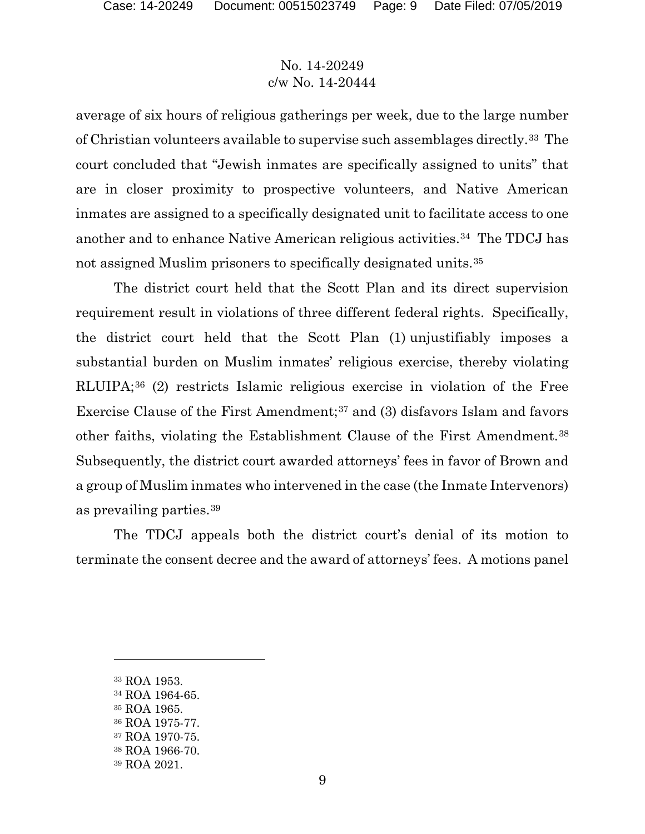average of six hours of religious gatherings per week, due to the large number of Christian volunteers available to supervise such assemblages directly.[33](#page-8-0) The court concluded that "Jewish inmates are specifically assigned to units" that are in closer proximity to prospective volunteers, and Native American inmates are assigned to a specifically designated unit to facilitate access to one another and to enhance Native American religious activities.[34](#page-8-1) The TDCJ has not assigned Muslim prisoners to specifically designated units.[35](#page-8-2)

The district court held that the Scott Plan and its direct supervision requirement result in violations of three different federal rights. Specifically, the district court held that the Scott Plan (1) unjustifiably imposes a substantial burden on Muslim inmates' religious exercise, thereby violating RLUIPA;[36](#page-8-3) (2) restricts Islamic religious exercise in violation of the Free Exercise Clause of the First Amendment;[37](#page-8-4) and (3) disfavors Islam and favors other faiths, violating the Establishment Clause of the First Amendment.[38](#page-8-5) Subsequently, the district court awarded attorneys' fees in favor of Brown and a group of Muslim inmates who intervened in the case (the Inmate Intervenors) as prevailing parties.[39](#page-8-6)

The TDCJ appeals both the district court's denial of its motion to terminate the consent decree and the award of attorneys' fees. A motions panel

<span id="page-8-0"></span><sup>33</sup> ROA 1953.

<span id="page-8-1"></span><sup>34</sup> ROA 1964-65.

<span id="page-8-2"></span><sup>35</sup> ROA 1965.

<span id="page-8-3"></span><sup>36</sup> ROA 1975-77.

<span id="page-8-4"></span><sup>37</sup> ROA 1970-75.

<span id="page-8-5"></span><sup>38</sup> ROA 1966-70.

<span id="page-8-6"></span><sup>39</sup> ROA 2021.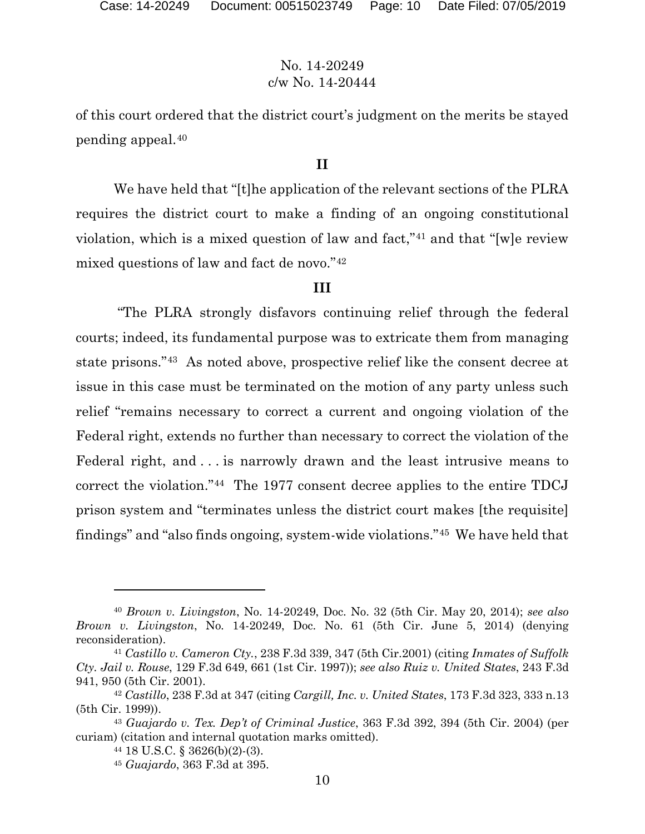of this court ordered that the district court's judgment on the merits be stayed pending appeal.[40](#page-9-0)

#### **II**

We have held that "[t]he application of the relevant sections of the PLRA requires the district court to make a finding of an ongoing constitutional violation, which is a mixed question of law and fact,"[41](#page-9-1) and that "[w]e review mixed questions of law and fact de novo."[42](#page-9-2)

#### **III**

"The PLRA strongly disfavors continuing relief through the federal courts; indeed, its fundamental purpose was to extricate them from managing state prisons."[43](#page-9-3) As noted above, prospective relief like the consent decree at issue in this case must be terminated on the motion of any party unless such relief "remains necessary to correct a current and ongoing violation of the Federal right, extends no further than necessary to correct the violation of the Federal right, and . . . is narrowly drawn and the least intrusive means to correct the violation."[44](#page-9-4) The 1977 consent decree applies to the entire TDCJ prison system and "terminates unless the district court makes [the requisite] findings" and "also finds ongoing, system-wide violations."[45](#page-9-5) We have held that

<span id="page-9-0"></span><sup>40</sup> *Brown v. Livingston*, No. 14-20249, Doc. No. 32 (5th Cir. May 20, 2014); *see also Brown v. Livingston*, No. 14-20249, Doc. No. 61 (5th Cir. June 5, 2014) (denying reconsideration).

<span id="page-9-1"></span><sup>41</sup> *Castillo v. Cameron Cty.*, 238 F.3d 339, 347 (5th Cir.2001) (citing *Inmates of Suffolk Cty. Jail v. Rouse*, 129 F.3d 649, 661 (1st Cir. 1997)); *see also Ruiz v. United States*, 243 F.3d 941, 950 (5th Cir. 2001).

<span id="page-9-2"></span><sup>42</sup> *Castillo*, 238 F.3d at 347 (citing *Cargill, Inc. v. United States*, 173 F.3d 323, 333 n.13 (5th Cir. 1999)).

<span id="page-9-5"></span><span id="page-9-4"></span><span id="page-9-3"></span><sup>43</sup> *Guajardo v. Tex. Dep't of Criminal Justice*, 363 F.3d 392, 394 (5th Cir. 2004) (per curiam) (citation and internal quotation marks omitted).

<sup>44</sup> 18 U.S.C. § 3626(b)(2)-(3).

<sup>45</sup> *Guajardo*, 363 F.3d at 395.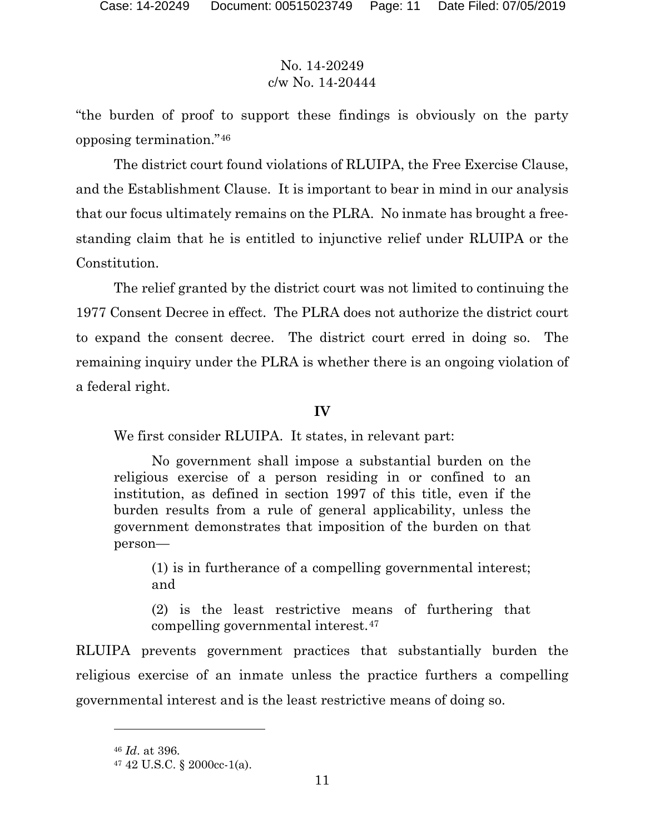"the burden of proof to support these findings is obviously on the party opposing termination."[46](#page-10-0) 

The district court found violations of RLUIPA, the Free Exercise Clause, and the Establishment Clause. It is important to bear in mind in our analysis that our focus ultimately remains on the PLRA. No inmate has brought a freestanding claim that he is entitled to injunctive relief under RLUIPA or the Constitution.

The relief granted by the district court was not limited to continuing the 1977 Consent Decree in effect. The PLRA does not authorize the district court to expand the consent decree. The district court erred in doing so. The remaining inquiry under the PLRA is whether there is an ongoing violation of a federal right.

#### **IV**

We first consider RLUIPA. It states, in relevant part:

No government shall impose a substantial burden on the religious exercise of a person residing in or confined to an institution, as defined in section 1997 of this title, even if the burden results from a rule of general applicability, unless the government demonstrates that imposition of the burden on that person—

(1) is in furtherance of a compelling governmental interest; and

(2) is the least restrictive means of furthering that compelling governmental interest.[47](#page-10-1)

RLUIPA prevents government practices that substantially burden the religious exercise of an inmate unless the practice furthers a compelling governmental interest and is the least restrictive means of doing so.

<span id="page-10-0"></span><sup>46</sup> *Id*. at 396.

<span id="page-10-1"></span><sup>47</sup> 42 U.S.C. § 2000cc-1(a).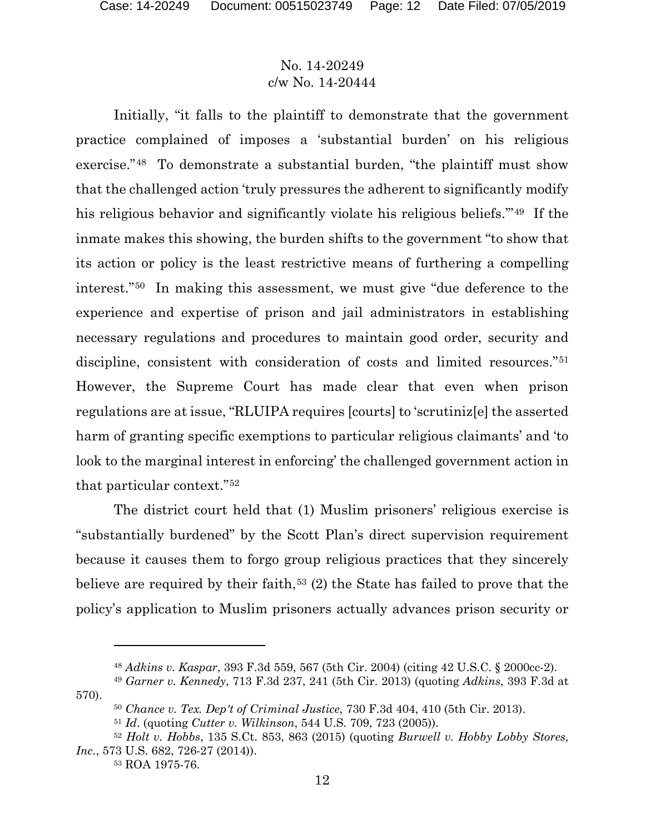Initially, "it falls to the plaintiff to demonstrate that the government practice complained of imposes a 'substantial burden' on his religious exercise."[48](#page-11-0) To demonstrate a substantial burden, "the plaintiff must show that the challenged action 'truly pressures the adherent to significantly modify his religious behavior and significantly violate his religious beliefs.'"[49](#page-11-1) If the inmate makes this showing, the burden shifts to the government "to show that its action or policy is the least restrictive means of furthering a compelling interest."[50](#page-11-2) In making this assessment, we must give "due deference to the experience and expertise of prison and jail administrators in establishing necessary regulations and procedures to maintain good order, security and discipline, consistent with consideration of costs and limited resources."[51](#page-11-3) However, the Supreme Court has made clear that even when prison regulations are at issue, "RLUIPA requires [courts] to 'scrutiniz[e] the asserted harm of granting specific exemptions to particular religious claimants' and 'to look to the marginal interest in enforcing' the challenged government action in that particular context."[52](#page-11-4)

The district court held that (1) Muslim prisoners' religious exercise is "substantially burdened" by the Scott Plan's direct supervision requirement because it causes them to forgo group religious practices that they sincerely believe are required by their faith,<sup>[53](#page-11-5)</sup> (2) the State has failed to prove that the policy's application to Muslim prisoners actually advances prison security or

<sup>48</sup> *Adkins v. Kaspar*, 393 F.3d 559, 567 (5th Cir. 2004) (citing 42 U.S.C. § 2000cc-2).

<span id="page-11-2"></span><span id="page-11-1"></span><span id="page-11-0"></span><sup>49</sup> *Garner v. Kennedy*, 713 F.3d 237, 241 (5th Cir. 2013) (quoting *Adkins*, 393 F.3d at 570).

<sup>50</sup> *Chance v. Tex. Dep't of Criminal Justice*, 730 F.3d 404, 410 (5th Cir. 2013).

<sup>51</sup> *Id*. (quoting *Cutter v. Wilkinson*, 544 U.S. 709, 723 (2005)).

<span id="page-11-5"></span><span id="page-11-4"></span><span id="page-11-3"></span><sup>52</sup> *Holt v. Hobbs*, 135 S.Ct. 853, 863 (2015) (quoting *Burwell v. Hobby Lobby Stores, Inc.*, 573 U.S. 682, 726-27 (2014)).

<sup>53</sup> ROA 1975-76.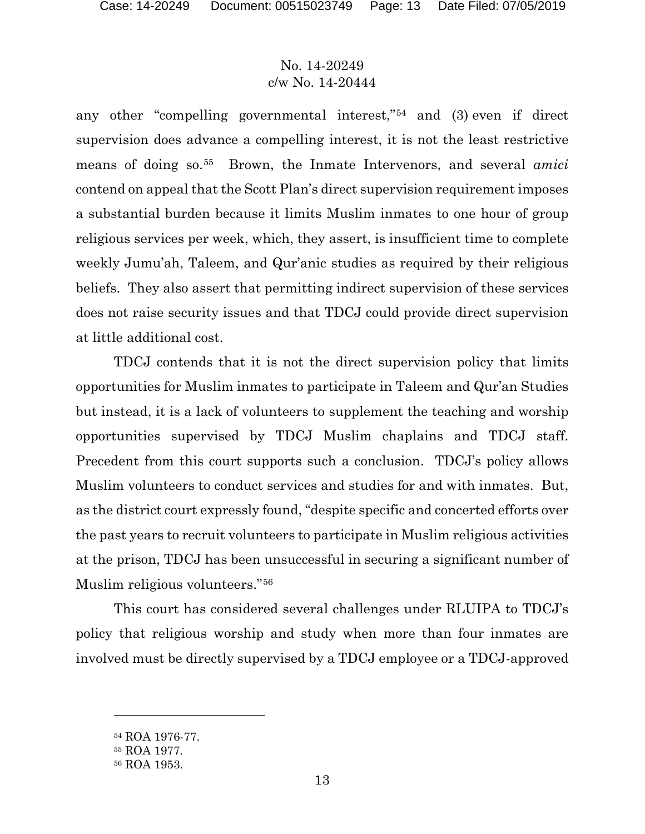any other "compelling governmental interest,"[54](#page-12-0) and (3) even if direct supervision does advance a compelling interest, it is not the least restrictive means of doing so.[55](#page-12-1) Brown, the Inmate Intervenors, and several *amici* contend on appeal that the Scott Plan's direct supervision requirement imposes a substantial burden because it limits Muslim inmates to one hour of group religious services per week, which, they assert, is insufficient time to complete weekly Jumu'ah, Taleem, and Qur'anic studies as required by their religious beliefs. They also assert that permitting indirect supervision of these services does not raise security issues and that TDCJ could provide direct supervision at little additional cost.

TDCJ contends that it is not the direct supervision policy that limits opportunities for Muslim inmates to participate in Taleem and Qur'an Studies but instead, it is a lack of volunteers to supplement the teaching and worship opportunities supervised by TDCJ Muslim chaplains and TDCJ staff. Precedent from this court supports such a conclusion. TDCJ's policy allows Muslim volunteers to conduct services and studies for and with inmates. But, as the district court expressly found, "despite specific and concerted efforts over the past years to recruit volunteers to participate in Muslim religious activities at the prison, TDCJ has been unsuccessful in securing a significant number of Muslim religious volunteers."[56](#page-12-2)

This court has considered several challenges under RLUIPA to TDCJ's policy that religious worship and study when more than four inmates are involved must be directly supervised by a TDCJ employee or a TDCJ-approved

<span id="page-12-0"></span><sup>54</sup> ROA 1976-77.

<span id="page-12-1"></span><sup>55</sup> ROA 1977.

<span id="page-12-2"></span><sup>56</sup> ROA 1953.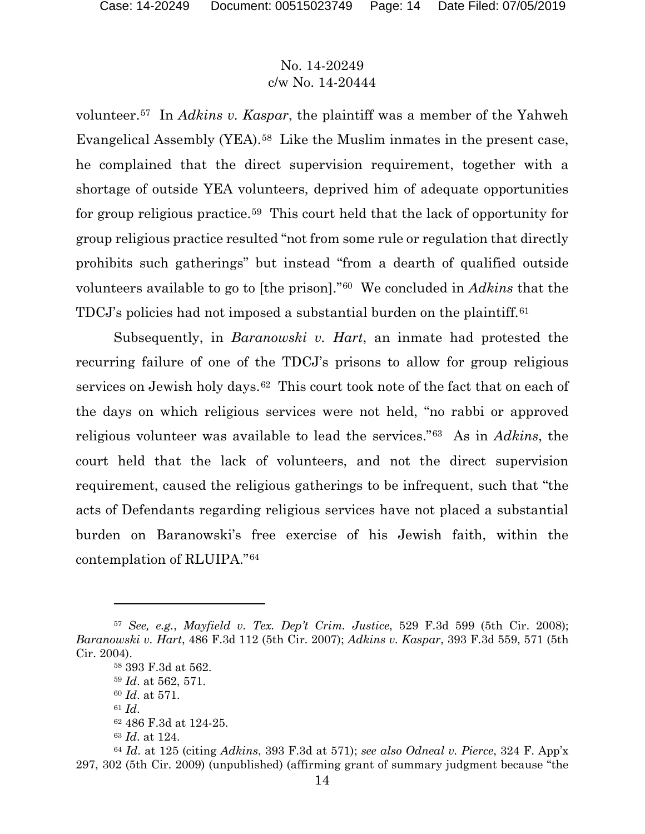volunteer.[57](#page-13-0) In *Adkins v. Kaspar*, the plaintiff was a member of the Yahweh Evangelical Assembly (YEA).[58](#page-13-1) Like the Muslim inmates in the present case, he complained that the direct supervision requirement, together with a shortage of outside YEA volunteers, deprived him of adequate opportunities for group religious practice.[59](#page-13-2) This court held that the lack of opportunity for group religious practice resulted "not from some rule or regulation that directly prohibits such gatherings" but instead "from a dearth of qualified outside volunteers available to go to [the prison]."[60](#page-13-3) We concluded in *Adkins* that the TDCJ's policies had not imposed a substantial burden on the plaintiff.[61](#page-13-4)

Subsequently, in *Baranowski v. Hart*, an inmate had protested the recurring failure of one of the TDCJ's prisons to allow for group religious services on Jewish holy days.<sup>62</sup> This court took note of the fact that on each of the days on which religious services were not held, "no rabbi or approved religious volunteer was available to lead the services."[63](#page-13-6) As in *Adkins*, the court held that the lack of volunteers, and not the direct supervision requirement, caused the religious gatherings to be infrequent, such that "the acts of Defendants regarding religious services have not placed a substantial burden on Baranowski's free exercise of his Jewish faith, within the contemplation of RLUIPA."[64](#page-13-7)

<span id="page-13-2"></span><span id="page-13-1"></span><span id="page-13-0"></span><sup>57</sup> *See, e.g.*, *Mayfield v. Tex. Dep't Crim. Justice*, 529 F.3d 599 (5th Cir. 2008); *Baranowski v. Hart*, 486 F.3d 112 (5th Cir. 2007); *Adkins v. Kaspar*, 393 F.3d 559, 571 (5th Cir. 2004).

<sup>58</sup> 393 F.3d at 562.

<sup>59</sup> *Id*. at 562, 571.

<sup>60</sup> *Id*. at 571.

<sup>61</sup> *Id*.

<sup>62</sup> 486 F.3d at 124-25.

<sup>63</sup> *Id*. at 124.

<span id="page-13-7"></span><span id="page-13-6"></span><span id="page-13-5"></span><span id="page-13-4"></span><span id="page-13-3"></span><sup>64</sup> *Id*. at 125 (citing *Adkins*, 393 F.3d at 571); *see also Odneal v. Pierce*, 324 F. App'x 297, 302 (5th Cir. 2009) (unpublished) (affirming grant of summary judgment because "the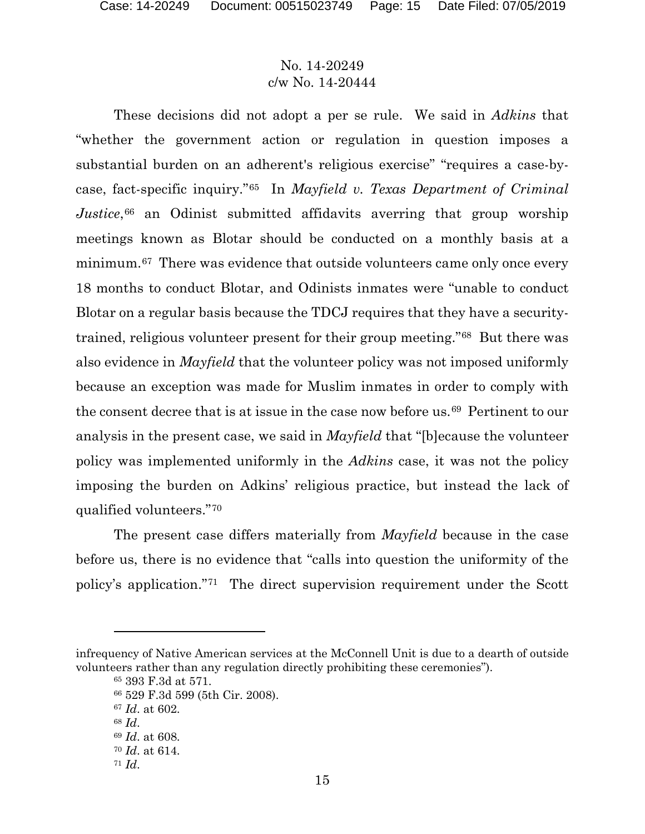These decisions did not adopt a per se rule. We said in *Adkins* that "whether the government action or regulation in question imposes a substantial burden on an adherent's religious exercise" "requires a case-bycase, fact-specific inquiry."[65](#page-14-0) In *Mayfield v. Texas Department of Criminal Justice*,<sup>[66](#page-14-1)</sup> an Odinist submitted affidavits averring that group worship meetings known as Blotar should be conducted on a monthly basis at a minimum.<sup>[67](#page-14-2)</sup> There was evidence that outside volunteers came only once every 18 months to conduct Blotar, and Odinists inmates were "unable to conduct Blotar on a regular basis because the TDCJ requires that they have a securitytrained, religious volunteer present for their group meeting."[68](#page-14-3) But there was also evidence in *Mayfield* that the volunteer policy was not imposed uniformly because an exception was made for Muslim inmates in order to comply with the consent decree that is at issue in the case now before us.[69](#page-14-4) Pertinent to our analysis in the present case, we said in *Mayfield* that "[b]ecause the volunteer policy was implemented uniformly in the *Adkins* case, it was not the policy imposing the burden on Adkins' religious practice, but instead the lack of qualified volunteers."[70](#page-14-5)

The present case differs materially from *Mayfield* because in the case before us, there is no evidence that "calls into question the uniformity of the policy's application."[71](#page-14-6) The direct supervision requirement under the Scott

<span id="page-14-4"></span><span id="page-14-3"></span><span id="page-14-2"></span><span id="page-14-1"></span><span id="page-14-0"></span>infrequency of Native American services at the McConnell Unit is due to a dearth of outside volunteers rather than any regulation directly prohibiting these ceremonies").

<sup>65</sup> 393 F.3d at 571.

<sup>66</sup> 529 F.3d 599 (5th Cir. 2008).

<sup>67</sup> *Id*. at 602.

<sup>68</sup> *Id*.

<sup>69</sup> *Id*. at 608.

<span id="page-14-5"></span><sup>70</sup> *Id*. at 614.

<span id="page-14-6"></span><sup>71</sup> *Id*.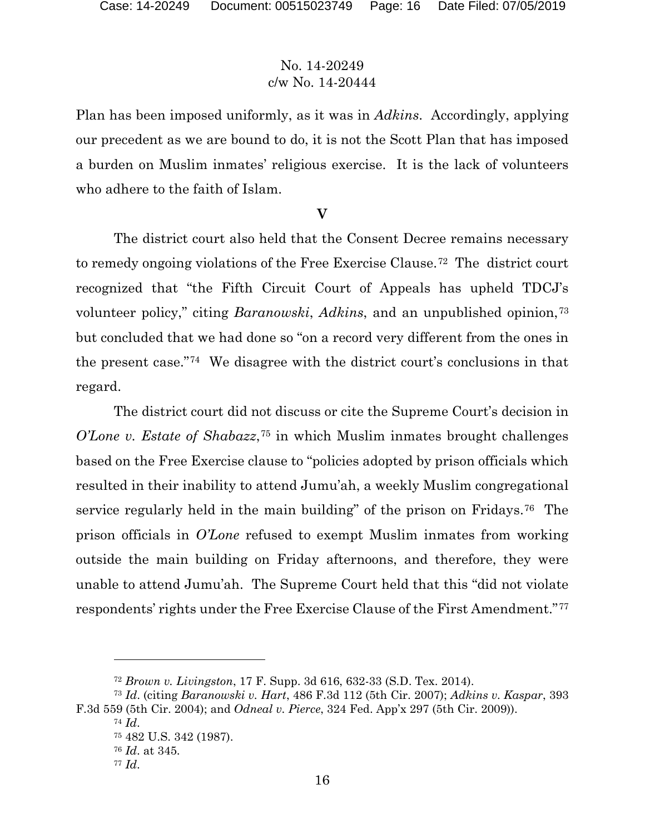Plan has been imposed uniformly, as it was in *Adkins*. Accordingly, applying our precedent as we are bound to do, it is not the Scott Plan that has imposed a burden on Muslim inmates' religious exercise. It is the lack of volunteers who adhere to the faith of Islam.

# **V**

The district court also held that the Consent Decree remains necessary to remedy ongoing violations of the Free Exercise Clause.[72](#page-15-0) The district court recognized that "the Fifth Circuit Court of Appeals has upheld TDCJ's volunteer policy," citing *Baranowski*, *Adkins*, and an unpublished opinion,[73](#page-15-1) but concluded that we had done so "on a record very different from the ones in the present case."[74](#page-15-2) We disagree with the district court's conclusions in that regard.

The district court did not discuss or cite the Supreme Court's decision in *O'Lone v. Estate of Shabazz*,<sup>[75](#page-15-3)</sup> in which Muslim inmates brought challenges based on the Free Exercise clause to "policies adopted by prison officials which resulted in their inability to attend Jumu'ah, a weekly Muslim congregational service regularly held in the main building" of the prison on Fridays.<sup>[76](#page-15-4)</sup> The prison officials in *O'Lone* refused to exempt Muslim inmates from working outside the main building on Friday afternoons, and therefore, they were unable to attend Jumu'ah. The Supreme Court held that this "did not violate respondents' rights under the Free Exercise Clause of the First Amendment."[77](#page-15-5)

<sup>72</sup> *Brown v. Livingston*, 17 F. Supp. 3d 616, 632-33 (S.D. Tex. 2014).

<span id="page-15-5"></span><span id="page-15-4"></span><span id="page-15-3"></span><span id="page-15-2"></span><span id="page-15-1"></span><span id="page-15-0"></span><sup>73</sup> *Id*. (citing *Baranowski v. Hart*, 486 F.3d 112 (5th Cir. 2007); *Adkins v. Kaspar*, 393 F.3d 559 (5th Cir. 2004); and *Odneal v. Pierce*, 324 Fed. App'x 297 (5th Cir. 2009)).

<sup>74</sup> *Id*.

<sup>75</sup> 482 U.S. 342 (1987).

<sup>76</sup> *Id*. at 345.

<sup>77</sup> *Id*.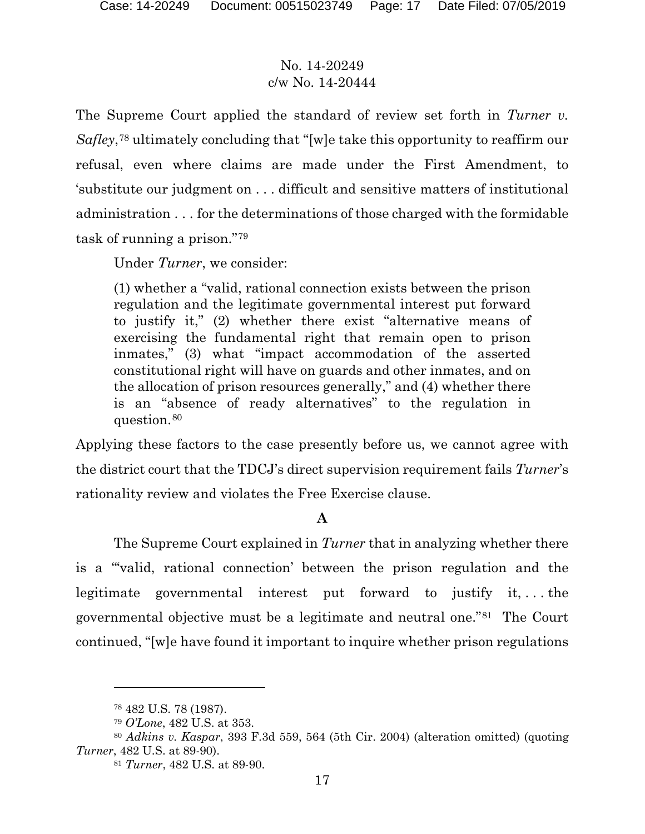The Supreme Court applied the standard of review set forth in *Turner v. Safley*,[78](#page-16-0) ultimately concluding that "[w]e take this opportunity to reaffirm our refusal, even where claims are made under the First Amendment, to 'substitute our judgment on . . . difficult and sensitive matters of institutional administration . . . for the determinations of those charged with the formidable task of running a prison."[79](#page-16-1)

Under *Turner*, we consider:

(1) whether a "valid, rational connection exists between the prison regulation and the legitimate governmental interest put forward to justify it," (2) whether there exist "alternative means of exercising the fundamental right that remain open to prison inmates," (3) what "impact accommodation of the asserted constitutional right will have on guards and other inmates, and on the allocation of prison resources generally," and (4) whether there is an "absence of ready alternatives" to the regulation in question.[80](#page-16-2)

Applying these factors to the case presently before us, we cannot agree with the district court that the TDCJ's direct supervision requirement fails *Turner*'s rationality review and violates the Free Exercise clause.

# **A**

The Supreme Court explained in *Turner* that in analyzing whether there is a "'valid, rational connection' between the prison regulation and the legitimate governmental interest put forward to justify it, . . . the governmental objective must be a legitimate and neutral one."[81](#page-16-3) The Court continued, "[w]e have found it important to inquire whether prison regulations

<sup>78</sup> 482 U.S. 78 (1987).

<sup>79</sup> *O'Lone*, 482 U.S. at 353.

<span id="page-16-3"></span><span id="page-16-2"></span><span id="page-16-1"></span><span id="page-16-0"></span><sup>80</sup> *Adkins v. Kaspar*, 393 F.3d 559, 564 (5th Cir. 2004) (alteration omitted) (quoting *Turner*, 482 U.S. at 89-90).

<sup>81</sup> *Turner*, 482 U.S. at 89-90.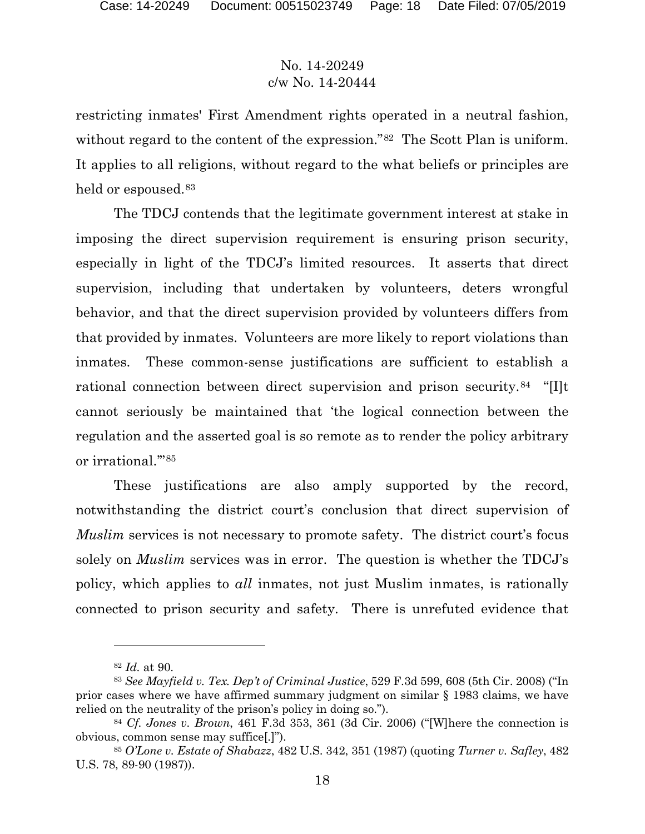restricting inmates' First Amendment rights operated in a neutral fashion, without regard to the content of the expression."<sup>82</sup> The Scott Plan is uniform. It applies to all religions, without regard to the what beliefs or principles are held or espoused.<sup>[83](#page-17-1)</sup>

The TDCJ contends that the legitimate government interest at stake in imposing the direct supervision requirement is ensuring prison security, especially in light of the TDCJ's limited resources. It asserts that direct supervision, including that undertaken by volunteers, deters wrongful behavior, and that the direct supervision provided by volunteers differs from that provided by inmates. Volunteers are more likely to report violations than inmates. These common-sense justifications are sufficient to establish a rational connection between direct supervision and prison security.<sup>84</sup> "[I]t cannot seriously be maintained that 'the logical connection between the regulation and the asserted goal is so remote as to render the policy arbitrary or irrational.'"[85](#page-17-3) 

These justifications are also amply supported by the record, notwithstanding the district court's conclusion that direct supervision of *Muslim* services is not necessary to promote safety. The district court's focus solely on *Muslim* services was in error. The question is whether the TDCJ's policy, which applies to *all* inmates, not just Muslim inmates, is rationally connected to prison security and safety. There is unrefuted evidence that

<sup>82</sup> *Id.* at 90.

<span id="page-17-1"></span><span id="page-17-0"></span><sup>83</sup> *See Mayfield v. Tex. Dep't of Criminal Justice*, 529 F.3d 599, 608 (5th Cir. 2008) ("In prior cases where we have affirmed summary judgment on similar § 1983 claims, we have relied on the neutrality of the prison's policy in doing so.").

<span id="page-17-2"></span><sup>84</sup> *Cf. Jones v. Brown*, 461 F.3d 353, 361 (3d Cir. 2006) ("[W]here the connection is obvious, common sense may suffice[.]").

<span id="page-17-3"></span><sup>85</sup> *O'Lone v. Estate of Shabazz*, 482 U.S. 342, 351 (1987) (quoting *Turner v. Safley*, 482 U.S. 78, 89-90 (1987)).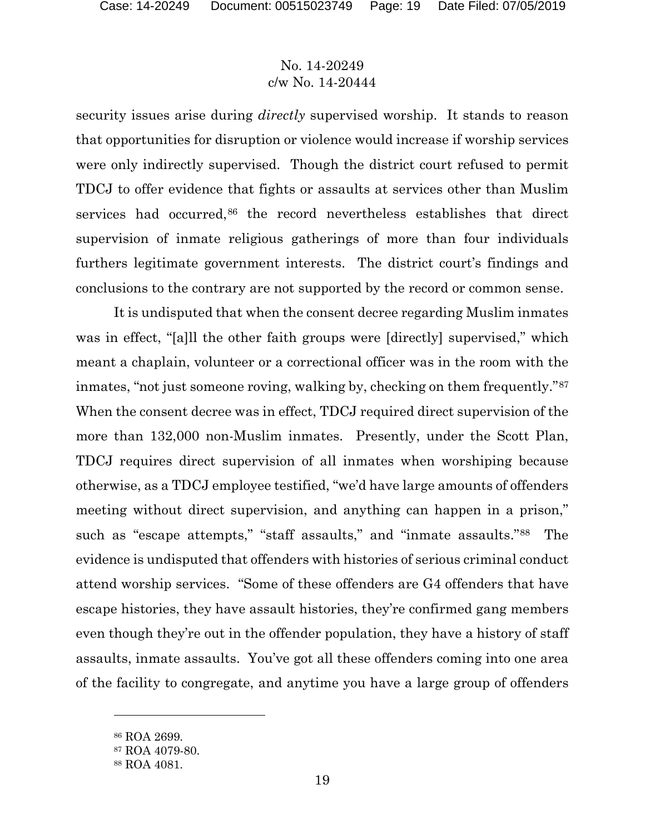security issues arise during *directly* supervised worship. It stands to reason that opportunities for disruption or violence would increase if worship services were only indirectly supervised. Though the district court refused to permit TDCJ to offer evidence that fights or assaults at services other than Muslim services had occurred,<sup>[86](#page-18-0)</sup> the record nevertheless establishes that direct supervision of inmate religious gatherings of more than four individuals furthers legitimate government interests. The district court's findings and conclusions to the contrary are not supported by the record or common sense.

It is undisputed that when the consent decree regarding Muslim inmates was in effect, "[a] the other faith groups were [directly] supervised," which meant a chaplain, volunteer or a correctional officer was in the room with the inmates, "not just someone roving, walking by, checking on them frequently."<sup>[87](#page-18-1)</sup> When the consent decree was in effect, TDCJ required direct supervision of the more than 132,000 non-Muslim inmates. Presently, under the Scott Plan, TDCJ requires direct supervision of all inmates when worshiping because otherwise, as a TDCJ employee testified, "we'd have large amounts of offenders meeting without direct supervision, and anything can happen in a prison," such as "escape attempts," "staff assaults," and "inmate assaults."[88](#page-18-2) The evidence is undisputed that offenders with histories of serious criminal conduct attend worship services. "Some of these offenders are G4 offenders that have escape histories, they have assault histories, they're confirmed gang members even though they're out in the offender population, they have a history of staff assaults, inmate assaults. You've got all these offenders coming into one area of the facility to congregate, and anytime you have a large group of offenders

<span id="page-18-0"></span><sup>86</sup> ROA 2699.

<span id="page-18-1"></span><sup>87</sup> ROA 4079-80.

<span id="page-18-2"></span><sup>88</sup> ROA 4081.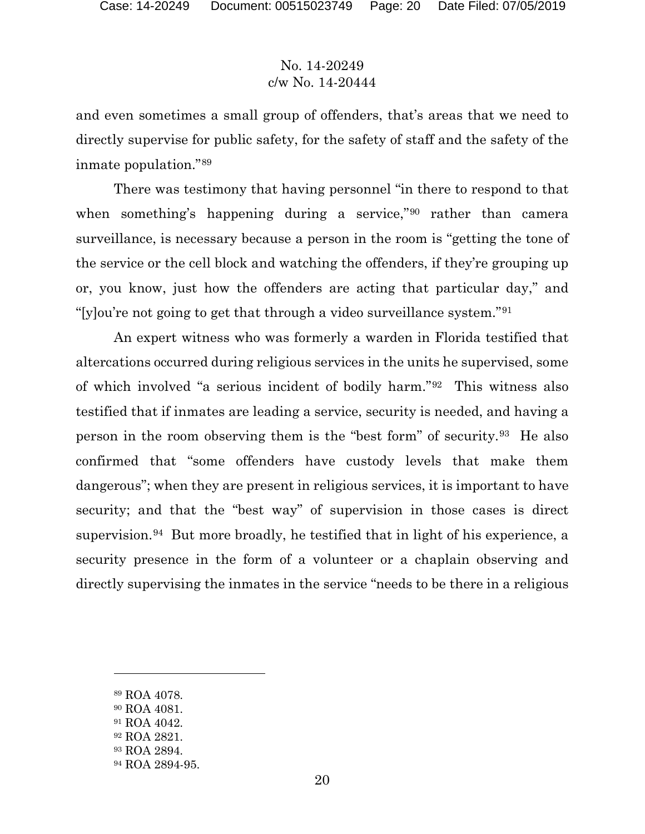and even sometimes a small group of offenders, that's areas that we need to directly supervise for public safety, for the safety of staff and the safety of the inmate population."[89](#page-19-0)

There was testimony that having personnel "in there to respond to that when something's happening during a service,"[90](#page-19-1) rather than camera surveillance, is necessary because a person in the room is "getting the tone of the service or the cell block and watching the offenders, if they're grouping up or, you know, just how the offenders are acting that particular day," and "[y]ou're not going to get that through a video surveillance system."[91](#page-19-2)

An expert witness who was formerly a warden in Florida testified that altercations occurred during religious services in the units he supervised, some of which involved "a serious incident of bodily harm."[92](#page-19-3) This witness also testified that if inmates are leading a service, security is needed, and having a person in the room observing them is the "best form" of security.[93](#page-19-4) He also confirmed that "some offenders have custody levels that make them dangerous"; when they are present in religious services, it is important to have security; and that the "best way" of supervision in those cases is direct supervision.<sup>94</sup> But more broadly, he testified that in light of his experience, a security presence in the form of a volunteer or a chaplain observing and directly supervising the inmates in the service "needs to be there in a religious

<span id="page-19-0"></span><sup>89</sup> ROA 4078.

- <span id="page-19-1"></span><sup>90</sup> ROA 4081.
- <span id="page-19-3"></span><span id="page-19-2"></span><sup>91</sup> ROA 4042.
- <sup>92</sup> ROA 2821.
- <span id="page-19-4"></span><sup>93</sup> ROA 2894.
- <span id="page-19-5"></span><sup>94</sup> ROA 2894-95.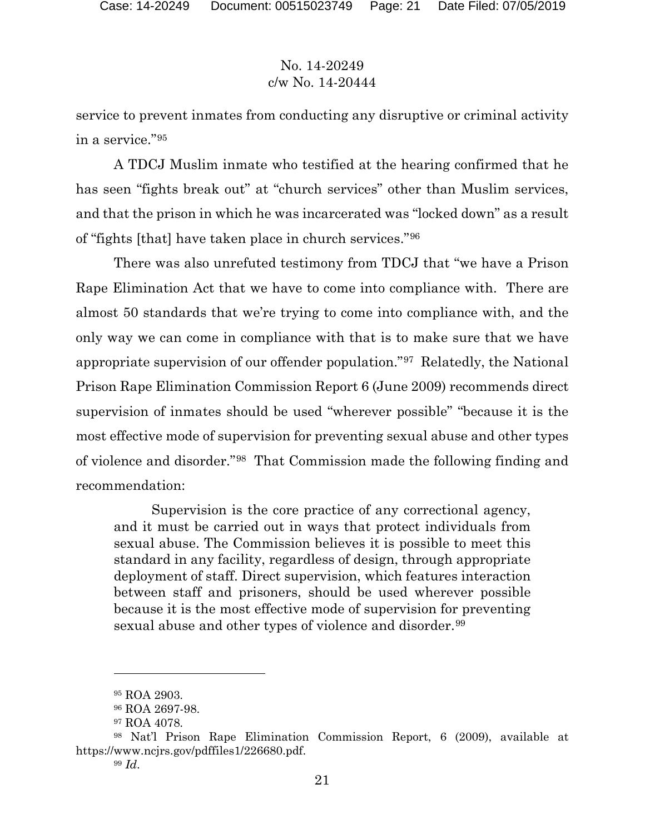service to prevent inmates from conducting any disruptive or criminal activity in a service."[95](#page-20-0)

A TDCJ Muslim inmate who testified at the hearing confirmed that he has seen "fights break out" at "church services" other than Muslim services, and that the prison in which he was incarcerated was "locked down" as a result of "fights [that] have taken place in church services."[96](#page-20-1)

There was also unrefuted testimony from TDCJ that "we have a Prison Rape Elimination Act that we have to come into compliance with. There are almost 50 standards that we're trying to come into compliance with, and the only way we can come in compliance with that is to make sure that we have appropriate supervision of our offender population."[97](#page-20-2) Relatedly, the National Prison Rape Elimination Commission Report 6 (June 2009) recommends direct supervision of inmates should be used "wherever possible" "because it is the most effective mode of supervision for preventing sexual abuse and other types of violence and disorder."[98](#page-20-3) That Commission made the following finding and recommendation:

Supervision is the core practice of any correctional agency, and it must be carried out in ways that protect individuals from sexual abuse. The Commission believes it is possible to meet this standard in any facility, regardless of design, through appropriate deployment of staff. Direct supervision, which features interaction between staff and prisoners, should be used wherever possible because it is the most effective mode of supervision for preventing sexual abuse and other types of violence and disorder.<sup>[99](#page-20-4)</sup>

<sup>95</sup> ROA 2903.

<sup>96</sup> ROA 2697-98.

<sup>97</sup> ROA 4078.

<span id="page-20-4"></span><span id="page-20-3"></span><span id="page-20-2"></span><span id="page-20-1"></span><span id="page-20-0"></span><sup>98</sup> Nat'l Prison Rape Elimination Commission Report, 6 (2009), available at https://www.ncjrs.gov/pdffiles1/226680.pdf.

<sup>99</sup> *Id*.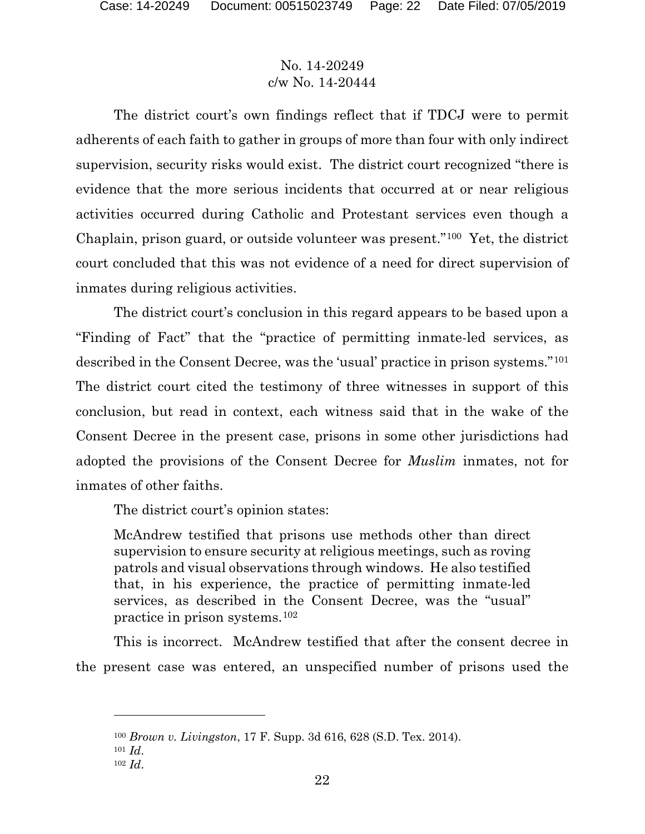The district court's own findings reflect that if TDCJ were to permit adherents of each faith to gather in groups of more than four with only indirect supervision, security risks would exist. The district court recognized "there is evidence that the more serious incidents that occurred at or near religious activities occurred during Catholic and Protestant services even though a Chaplain, prison guard, or outside volunteer was present."[100](#page-21-0) Yet, the district court concluded that this was not evidence of a need for direct supervision of inmates during religious activities.

The district court's conclusion in this regard appears to be based upon a "Finding of Fact" that the "practice of permitting inmate-led services, as described in the Consent Decree, was the 'usual' practice in prison systems."[101](#page-21-1) The district court cited the testimony of three witnesses in support of this conclusion, but read in context, each witness said that in the wake of the Consent Decree in the present case, prisons in some other jurisdictions had adopted the provisions of the Consent Decree for *Muslim* inmates, not for inmates of other faiths.

The district court's opinion states:

McAndrew testified that prisons use methods other than direct supervision to ensure security at religious meetings, such as roving patrols and visual observations through windows. He also testified that, in his experience, the practice of permitting inmate-led services, as described in the Consent Decree, was the "usual" practice in prison systems.[102](#page-21-2)

This is incorrect. McAndrew testified that after the consent decree in the present case was entered, an unspecified number of prisons used the

<span id="page-21-0"></span><sup>100</sup> *Brown v. Livingston*, 17 F. Supp. 3d 616, 628 (S.D. Tex. 2014).

<span id="page-21-1"></span><sup>101</sup> *Id*.

<span id="page-21-2"></span><sup>102</sup> *Id*.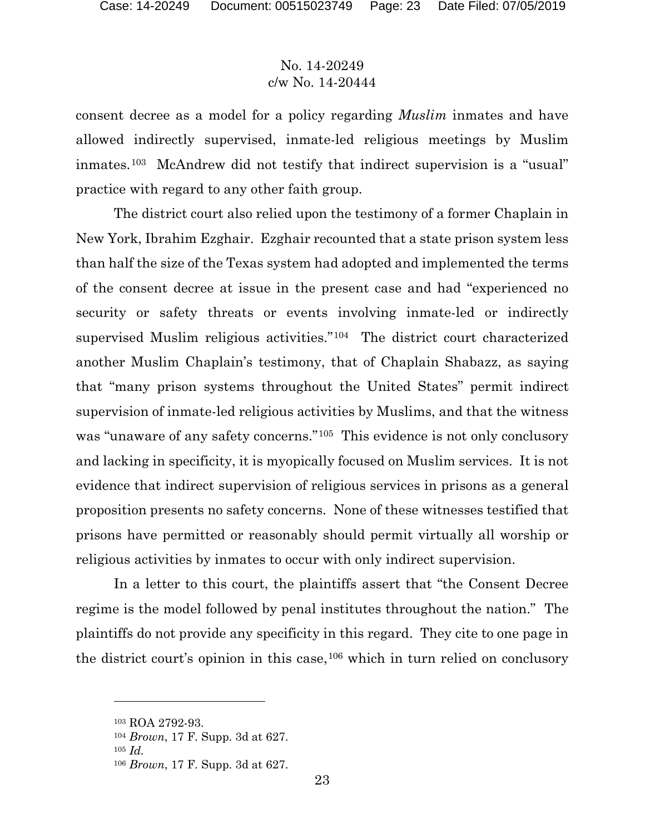consent decree as a model for a policy regarding *Muslim* inmates and have allowed indirectly supervised, inmate-led religious meetings by Muslim inmates.[103](#page-22-0) McAndrew did not testify that indirect supervision is a "usual" practice with regard to any other faith group.

The district court also relied upon the testimony of a former Chaplain in New York, Ibrahim Ezghair. Ezghair recounted that a state prison system less than half the size of the Texas system had adopted and implemented the terms of the consent decree at issue in the present case and had "experienced no security or safety threats or events involving inmate-led or indirectly supervised Muslim religious activities."[104](#page-22-1) The district court characterized another Muslim Chaplain's testimony, that of Chaplain Shabazz, as saying that "many prison systems throughout the United States" permit indirect supervision of inmate-led religious activities by Muslims, and that the witness was "unaware of any safety concerns."<sup>105</sup> This evidence is not only conclusory and lacking in specificity, it is myopically focused on Muslim services. It is not evidence that indirect supervision of religious services in prisons as a general proposition presents no safety concerns. None of these witnesses testified that prisons have permitted or reasonably should permit virtually all worship or religious activities by inmates to occur with only indirect supervision.

In a letter to this court, the plaintiffs assert that "the Consent Decree regime is the model followed by penal institutes throughout the nation." The plaintiffs do not provide any specificity in this regard. They cite to one page in the district court's opinion in this case,  $106$  which in turn relied on conclusory

<span id="page-22-0"></span><sup>103</sup> ROA 2792-93.

<span id="page-22-2"></span><span id="page-22-1"></span><sup>104</sup> *Brown*, 17 F. Supp. 3d at 627.

<sup>105</sup> *Id.*

<span id="page-22-3"></span><sup>106</sup> *Brown*, 17 F. Supp. 3d at 627.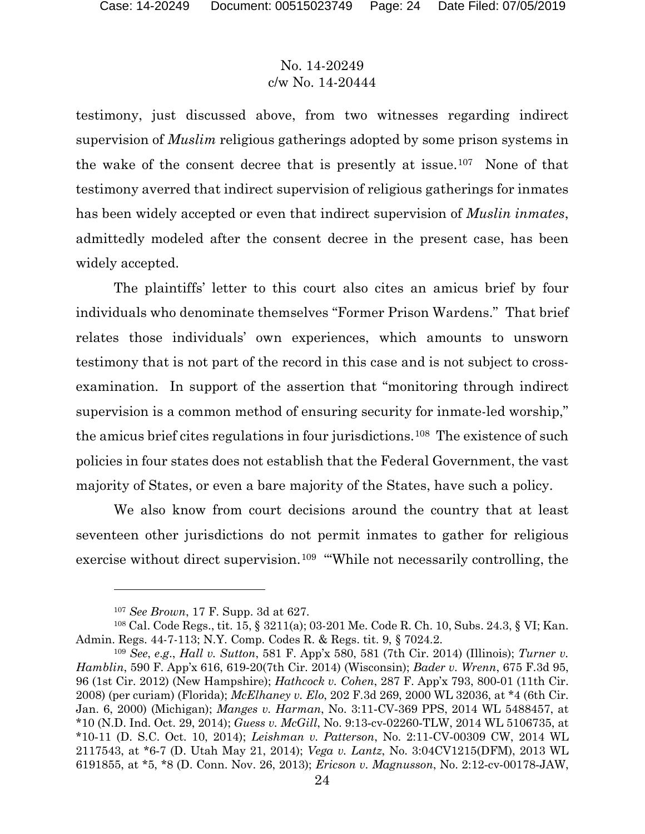testimony, just discussed above, from two witnesses regarding indirect supervision of *Muslim* religious gatherings adopted by some prison systems in the wake of the consent decree that is presently at issue.[107](#page-23-0) None of that testimony averred that indirect supervision of religious gatherings for inmates has been widely accepted or even that indirect supervision of *Muslin inmates*, admittedly modeled after the consent decree in the present case, has been widely accepted.

The plaintiffs' letter to this court also cites an amicus brief by four individuals who denominate themselves "Former Prison Wardens." That brief relates those individuals' own experiences, which amounts to unsworn testimony that is not part of the record in this case and is not subject to crossexamination. In support of the assertion that "monitoring through indirect supervision is a common method of ensuring security for inmate-led worship," the amicus brief cites regulations in four jurisdictions.[108](#page-23-1) The existence of such policies in four states does not establish that the Federal Government, the vast majority of States, or even a bare majority of the States, have such a policy.

We also know from court decisions around the country that at least seventeen other jurisdictions do not permit inmates to gather for religious exercise without direct supervision.<sup>[109](#page-23-2)</sup> "While not necessarily controlling, the

<sup>107</sup> *See Brown*, 17 F. Supp. 3d at 627.

<span id="page-23-1"></span><span id="page-23-0"></span><sup>108</sup> Cal. Code Regs., tit. 15, § 3211(a); 03-201 Me. Code R. Ch. 10, Subs. 24.3, § VI; Kan. Admin. Regs. 44-7-113; N.Y. Comp. Codes R. & Regs. tit. 9, § 7024.2.

<span id="page-23-2"></span><sup>109</sup> *See*, *e*.*g*., *Hall v. Sutton*, 581 F. App'x 580, 581 (7th Cir. 2014) (Illinois); *Turner v. Hamblin*, 590 F. App'x 616, 619‑20(7th Cir. 2014) (Wisconsin); *Bader v. Wrenn*, 675 F.3d 95, 96 (1st Cir. 2012) (New Hampshire); *Hathcock v. Cohen*, 287 F. App'x 793, 800‑01 (11th Cir. 2008) (per curiam) (Florida); *McElhaney v. Elo*, 202 F.3d 269, 2000 WL 32036, at \*4 (6th Cir. Jan. 6, 2000) (Michigan); *Manges v. Harman*, No. 3:11‑CV‑369 PPS, 2014 WL 5488457, at \*10 (N.D. Ind. Oct. 29, 2014); *Guess v. McGill*, No. 9:13‑cv‑02260‑TLW, 2014 WL 5106735, at \*10‑11 (D. S.C. Oct. 10, 2014); *Leishman v. Patterson*, No. 2:11‑CV‑00309 CW, 2014 WL 2117543, at \*6‑7 (D. Utah May 21, 2014); *Vega v. Lantz*, No. 3:04CV1215(DFM), 2013 WL 6191855, at \*5, \*8 (D. Conn. Nov. 26, 2013); *Ericson v. Magnusson*, No. 2:12‑cv‑00178‑JAW,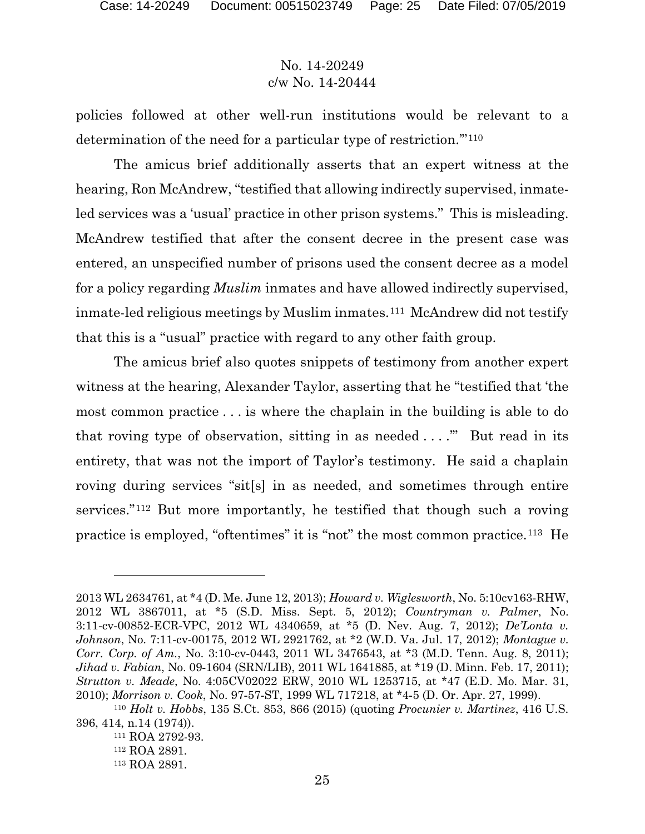policies followed at other well-run institutions would be relevant to a determination of the need for a particular type of restriction.'"[110](#page-24-0)

The amicus brief additionally asserts that an expert witness at the hearing, Ron McAndrew, "testified that allowing indirectly supervised, inmateled services was a 'usual' practice in other prison systems." This is misleading. McAndrew testified that after the consent decree in the present case was entered, an unspecified number of prisons used the consent decree as a model for a policy regarding *Muslim* inmates and have allowed indirectly supervised, inmate-led religious meetings by Muslim inmates.<sup>[111](#page-24-1)</sup> McAndrew did not testify that this is a "usual" practice with regard to any other faith group.

The amicus brief also quotes snippets of testimony from another expert witness at the hearing, Alexander Taylor, asserting that he "testified that 'the most common practice . . . is where the chaplain in the building is able to do that roving type of observation, sitting in as needed  $\dots$ ." But read in its entirety, that was not the import of Taylor's testimony. He said a chaplain roving during services "sit[s] in as needed, and sometimes through entire services."[112](#page-24-2) But more importantly, he testified that though such a roving practice is employed, "oftentimes" it is "not" the most common practice.[113](#page-24-3) He

<sup>2013</sup> WL 2634761, at \*4 (D. Me. June 12, 2013); *Howard v. Wiglesworth*, No. 5:10cv163‑RHW, 2012 WL 3867011, at \*5 (S.D. Miss. Sept. 5, 2012); *Countryman v. Palmer*, No. 3:11‑cv‑00852‑ECR‑VPC, 2012 WL 4340659, at \*5 (D. Nev. Aug. 7, 2012); *De'Lonta v. Johnson*, No. 7:11-cv-00175, 2012 WL 2921762, at \*2 (W.D. Va. Jul. 17, 2012); *Montague v. Corr. Corp. of Am.*, No. 3:10-cv-0443, 2011 WL 3476543, at \*3 (M.D. Tenn. Aug. 8, 2011); *Jihad v. Fabian*, No. 09‑1604 (SRN/LIB), 2011 WL 1641885, at \*19 (D. Minn. Feb. 17, 2011); *Strutton v. Meade*, No. 4:05CV02022 ERW, 2010 WL 1253715, at \*47 (E.D. Mo. Mar. 31, 2010); *Morrison v. Cook*, No. 97‑57‑ST, 1999 WL 717218, at \*4‑5 (D. Or. Apr. 27, 1999). 110 *Holt v. Hobbs*, 135 S.Ct. 853, 866 (2015) (quoting *Procunier v. Martinez*, 416 U.S.

<span id="page-24-3"></span><span id="page-24-2"></span><span id="page-24-1"></span><span id="page-24-0"></span><sup>396, 414,</sup> n.14 (1974)).

<sup>111</sup> ROA 2792-93.

<sup>112</sup> ROA 2891.

<sup>113</sup> ROA 2891.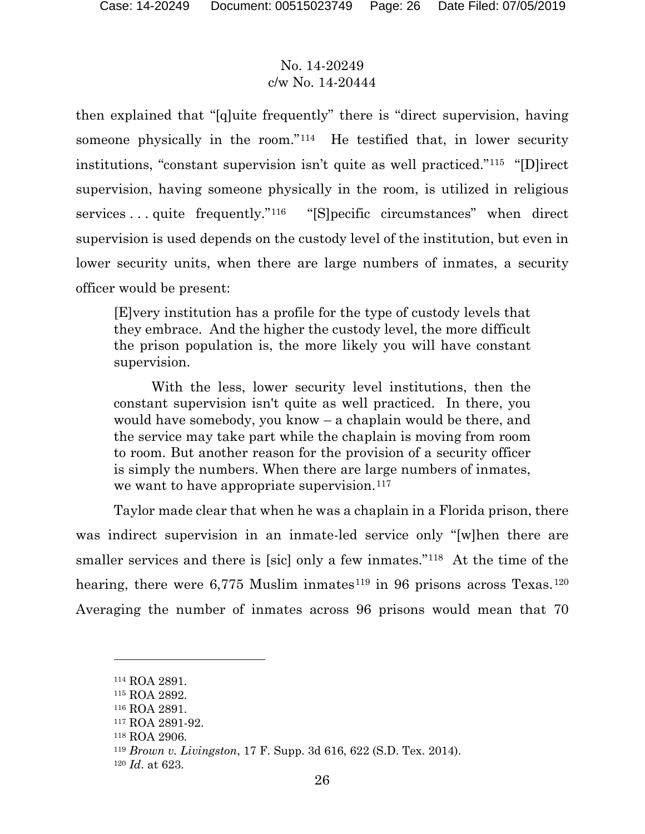then explained that "[q]uite frequently" there is "direct supervision, having someone physically in the room."[114](#page-25-0) He testified that, in lower security institutions, "constant supervision isn't quite as well practiced."[115](#page-25-1) "[D]irect supervision, having someone physically in the room, is utilized in religious services . . . quite frequently."[116](#page-25-2) "[S]pecific circumstances" when direct supervision is used depends on the custody level of the institution, but even in lower security units, when there are large numbers of inmates, a security officer would be present:

[E]very institution has a profile for the type of custody levels that they embrace. And the higher the custody level, the more difficult the prison population is, the more likely you will have constant supervision.

With the less, lower security level institutions, then the constant supervision isn't quite as well practiced. In there, you would have somebody, you know – a chaplain would be there, and the service may take part while the chaplain is moving from room to room. But another reason for the provision of a security officer is simply the numbers. When there are large numbers of inmates, we want to have appropriate supervision.<sup>[117](#page-25-3)</sup>

Taylor made clear that when he was a chaplain in a Florida prison, there was indirect supervision in an inmate-led service only "[w]hen there are smaller services and there is [sic] only a few inmates."<sup>118</sup> At the time of the hearing, there were  $6,775$  Muslim inmates<sup>[119](#page-25-5)</sup> in 96 prisons across Texas.<sup>[120](#page-25-6)</sup> Averaging the number of inmates across 96 prisons would mean that 70

<span id="page-25-0"></span><sup>114</sup> ROA 2891.

<span id="page-25-1"></span><sup>115</sup> ROA 2892.

<span id="page-25-2"></span><sup>116</sup> ROA 2891.

<span id="page-25-3"></span><sup>117</sup> ROA 2891-92.

<span id="page-25-4"></span><sup>118</sup> ROA 2906.

<span id="page-25-5"></span><sup>119</sup> *Brown v. Livingston*, 17 F. Supp. 3d 616, 622 (S.D. Tex. 2014).

<span id="page-25-6"></span><sup>120</sup> *Id*. at 623.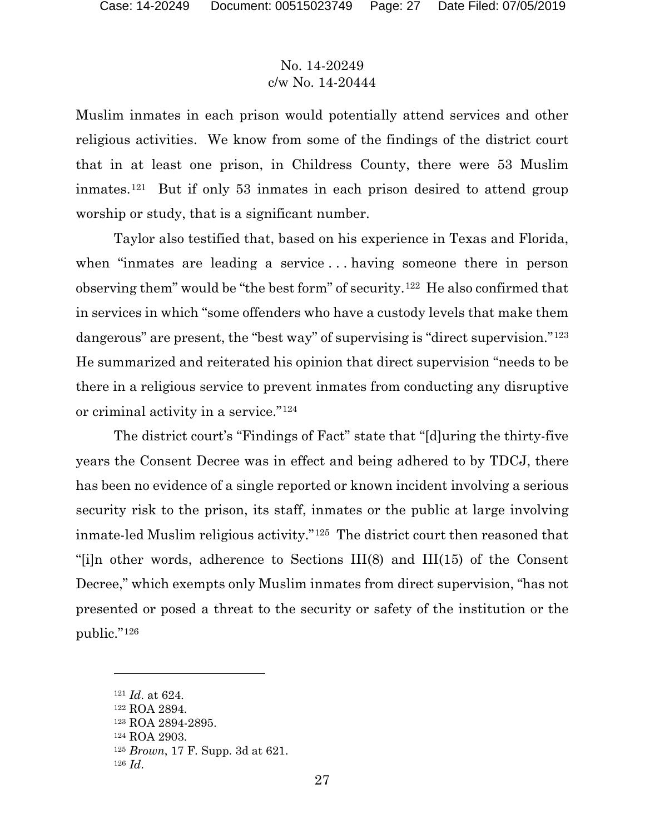Muslim inmates in each prison would potentially attend services and other religious activities. We know from some of the findings of the district court that in at least one prison, in Childress County, there were 53 Muslim inmates.[121](#page-26-0) But if only 53 inmates in each prison desired to attend group worship or study, that is a significant number.

Taylor also testified that, based on his experience in Texas and Florida, when "inmates are leading a service . . . having someone there in person observing them" would be "the best form" of security.[122](#page-26-1) He also confirmed that in services in which "some offenders who have a custody levels that make them dangerous" are present, the "best way" of supervising is "direct supervision."<sup>[123](#page-26-2)</sup> He summarized and reiterated his opinion that direct supervision "needs to be there in a religious service to prevent inmates from conducting any disruptive or criminal activity in a service."[124](#page-26-3)

The district court's "Findings of Fact" state that "[d]uring the thirty-five years the Consent Decree was in effect and being adhered to by TDCJ, there has been no evidence of a single reported or known incident involving a serious security risk to the prison, its staff, inmates or the public at large involving inmate-led Muslim religious activity."[125](#page-26-4) The district court then reasoned that "[i]n other words, adherence to Sections III(8) and III(15) of the Consent Decree," which exempts only Muslim inmates from direct supervision, "has not presented or posed a threat to the security or safety of the institution or the public."[126](#page-26-5) 

<span id="page-26-0"></span><sup>121</sup> *Id*. at 624.

<span id="page-26-1"></span><sup>122</sup> ROA 2894.

<span id="page-26-2"></span><sup>123</sup> ROA 2894-2895.

<sup>124</sup> ROA 2903.

<span id="page-26-5"></span><span id="page-26-4"></span><span id="page-26-3"></span><sup>125</sup> *Brown*, 17 F. Supp. 3d at 621.

<sup>126</sup> *Id*.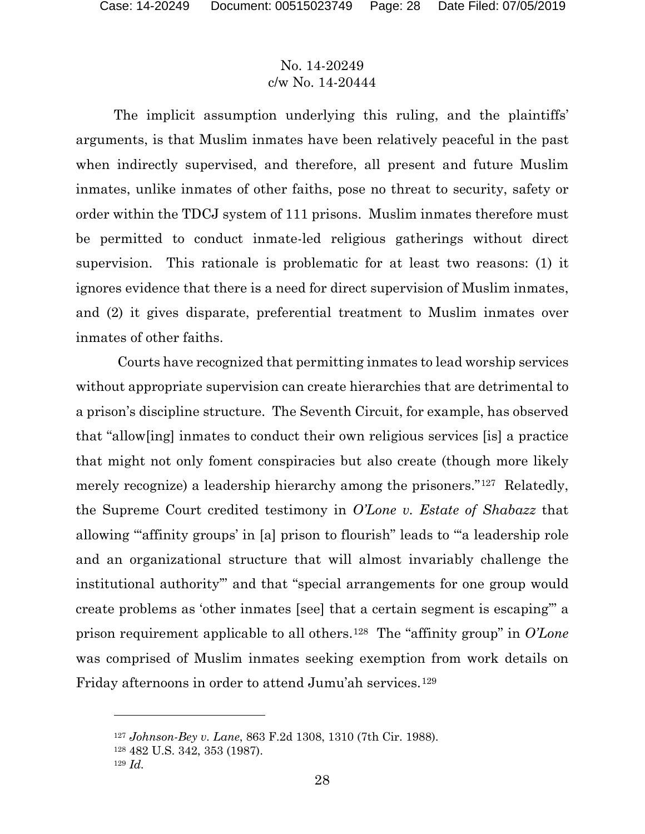The implicit assumption underlying this ruling, and the plaintiffs' arguments, is that Muslim inmates have been relatively peaceful in the past when indirectly supervised, and therefore, all present and future Muslim inmates, unlike inmates of other faiths, pose no threat to security, safety or order within the TDCJ system of 111 prisons. Muslim inmates therefore must be permitted to conduct inmate-led religious gatherings without direct supervision. This rationale is problematic for at least two reasons: (1) it ignores evidence that there is a need for direct supervision of Muslim inmates, and (2) it gives disparate, preferential treatment to Muslim inmates over inmates of other faiths.

Courts have recognized that permitting inmates to lead worship services without appropriate supervision can create hierarchies that are detrimental to a prison's discipline structure. The Seventh Circuit, for example, has observed that "allow[ing] inmates to conduct their own religious services [is] a practice that might not only foment conspiracies but also create (though more likely merely recognize) a leadership hierarchy among the prisoners."[127](#page-27-0) Relatedly, the Supreme Court credited testimony in *O'Lone v. Estate of Shabazz* that allowing "'affinity groups' in [a] prison to flourish" leads to "'a leadership role and an organizational structure that will almost invariably challenge the institutional authority'" and that "special arrangements for one group would create problems as 'other inmates [see] that a certain segment is escaping'" a prison requirement applicable to all others.[128](#page-27-1) The "affinity group" in *O'Lone* was comprised of Muslim inmates seeking exemption from work details on Friday afternoons in order to attend Jumu'ah services.[129](#page-27-2)

<span id="page-27-0"></span><sup>127</sup> *Johnson-Bey v. Lane*, 863 F.2d 1308, 1310 (7th Cir. 1988).

<sup>128</sup> 482 U.S. 342, 353 (1987).

<span id="page-27-2"></span><span id="page-27-1"></span><sup>129</sup> *Id.*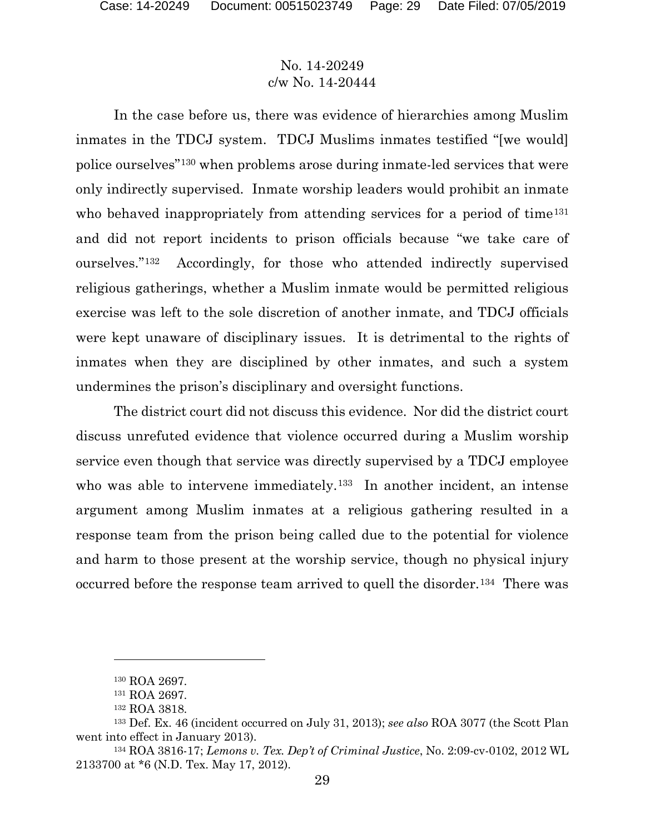In the case before us, there was evidence of hierarchies among Muslim inmates in the TDCJ system. TDCJ Muslims inmates testified "[we would] police ourselves"[130](#page-28-0) when problems arose during inmate-led services that were only indirectly supervised. Inmate worship leaders would prohibit an inmate who behaved inappropriately from attending services for a period of time<sup>[131](#page-28-1)</sup> and did not report incidents to prison officials because "we take care of ourselves."[132](#page-28-2) Accordingly, for those who attended indirectly supervised religious gatherings, whether a Muslim inmate would be permitted religious exercise was left to the sole discretion of another inmate, and TDCJ officials were kept unaware of disciplinary issues. It is detrimental to the rights of inmates when they are disciplined by other inmates, and such a system undermines the prison's disciplinary and oversight functions.

The district court did not discuss this evidence. Nor did the district court discuss unrefuted evidence that violence occurred during a Muslim worship service even though that service was directly supervised by a TDCJ employee who was able to intervene immediately.<sup>133</sup> In another incident, an intense argument among Muslim inmates at a religious gathering resulted in a response team from the prison being called due to the potential for violence and harm to those present at the worship service, though no physical injury occurred before the response team arrived to quell the disorder.[134](#page-28-4) There was

<sup>130</sup> ROA 2697.

<sup>131</sup> ROA 2697.

<sup>132</sup> ROA 3818.

<span id="page-28-3"></span><span id="page-28-2"></span><span id="page-28-1"></span><span id="page-28-0"></span><sup>133</sup> Def. Ex. 46 (incident occurred on July 31, 2013); *see also* ROA 3077 (the Scott Plan went into effect in January 2013).

<span id="page-28-4"></span><sup>134</sup> ROA 3816-17; *Lemons v. Tex. Dep't of Criminal Justice*, No. 2:09-cv-0102, 2012 WL 2133700 at \*6 (N.D. Tex. May 17, 2012).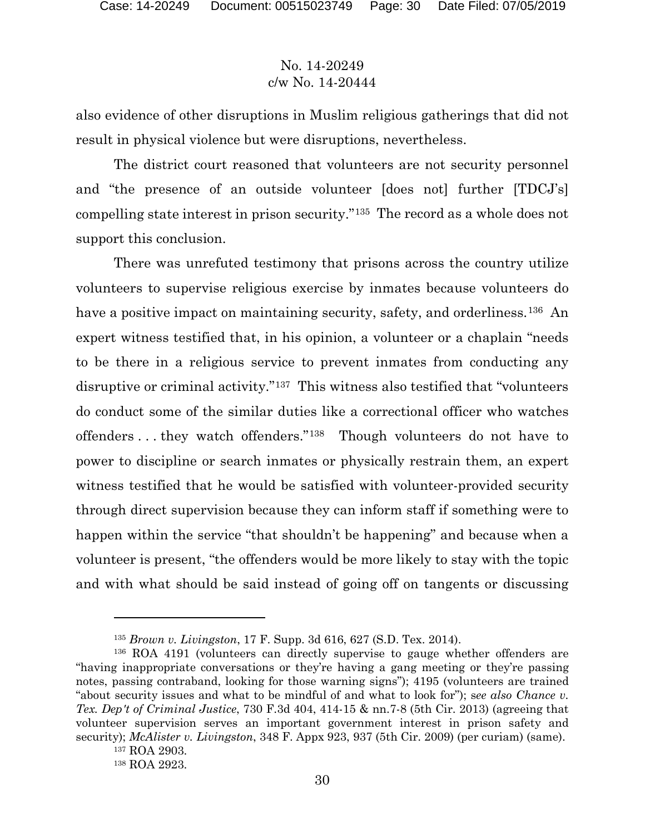also evidence of other disruptions in Muslim religious gatherings that did not result in physical violence but were disruptions, nevertheless.

The district court reasoned that volunteers are not security personnel and "the presence of an outside volunteer [does not] further [TDCJ's] compelling state interest in prison security."[135](#page-29-0) The record as a whole does not support this conclusion.

There was unrefuted testimony that prisons across the country utilize volunteers to supervise religious exercise by inmates because volunteers do have a positive impact on maintaining security, safety, and orderliness.<sup>[136](#page-29-1)</sup> An expert witness testified that, in his opinion, a volunteer or a chaplain "needs to be there in a religious service to prevent inmates from conducting any disruptive or criminal activity."[137](#page-29-2) This witness also testified that "volunteers do conduct some of the similar duties like a correctional officer who watches offenders . . . they watch offenders."[138](#page-29-3) Though volunteers do not have to power to discipline or search inmates or physically restrain them, an expert witness testified that he would be satisfied with volunteer-provided security through direct supervision because they can inform staff if something were to happen within the service "that shouldn't be happening" and because when a volunteer is present, "the offenders would be more likely to stay with the topic and with what should be said instead of going off on tangents or discussing

<sup>135</sup> *Brown v. Livingston*, 17 F. Supp. 3d 616, 627 (S.D. Tex. 2014).

<span id="page-29-1"></span><span id="page-29-0"></span><sup>136</sup> ROA 4191 (volunteers can directly supervise to gauge whether offenders are "having inappropriate conversations or they're having a gang meeting or they're passing notes, passing contraband, looking for those warning signs"); 4195 (volunteers are trained "about security issues and what to be mindful of and what to look for"); s*ee also Chance v. Tex. Dep't of Criminal Justice*, 730 F.3d 404, 414-15 & nn.7-8 (5th Cir. 2013) (agreeing that volunteer supervision serves an important government interest in prison safety and security); *McAlister v. Livingston*, 348 F. Appx 923, 937 (5th Cir. 2009) (per curiam) (same).

<span id="page-29-2"></span><sup>137</sup> ROA 2903.

<span id="page-29-3"></span><sup>138</sup> ROA 2923.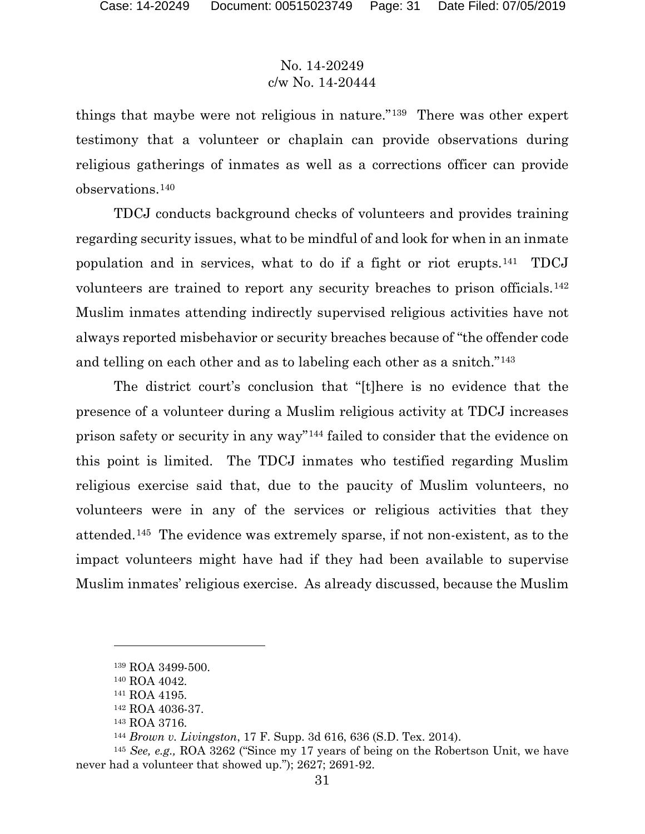things that maybe were not religious in nature."[139](#page-30-0) There was other expert testimony that a volunteer or chaplain can provide observations during religious gatherings of inmates as well as a corrections officer can provide observations.[140](#page-30-1)

TDCJ conducts background checks of volunteers and provides training regarding security issues, what to be mindful of and look for when in an inmate population and in services, what to do if a fight or riot erupts.[141](#page-30-2) TDCJ volunteers are trained to report any security breaches to prison officials.[142](#page-30-3) Muslim inmates attending indirectly supervised religious activities have not always reported misbehavior or security breaches because of "the offender code and telling on each other and as to labeling each other as a snitch."[143](#page-30-4)

The district court's conclusion that "[t]here is no evidence that the presence of a volunteer during a Muslim religious activity at TDCJ increases prison safety or security in any way"[144](#page-30-5) failed to consider that the evidence on this point is limited. The TDCJ inmates who testified regarding Muslim religious exercise said that, due to the paucity of Muslim volunteers, no volunteers were in any of the services or religious activities that they attended.[145](#page-30-6) The evidence was extremely sparse, if not non-existent, as to the impact volunteers might have had if they had been available to supervise Muslim inmates' religious exercise. As already discussed, because the Muslim

<sup>139</sup> ROA 3499-500.

<sup>140</sup> ROA 4042.

<sup>141</sup> ROA 4195.

<sup>142</sup> ROA 4036-37.

<sup>143</sup> ROA 3716.

<sup>144</sup> *Brown v. Livingston*, 17 F. Supp. 3d 616, 636 (S.D. Tex. 2014).

<span id="page-30-6"></span><span id="page-30-5"></span><span id="page-30-4"></span><span id="page-30-3"></span><span id="page-30-2"></span><span id="page-30-1"></span><span id="page-30-0"></span><sup>145</sup> *See, e.g.,* ROA 3262 ("Since my 17 years of being on the Robertson Unit, we have never had a volunteer that showed up."); 2627; 2691-92.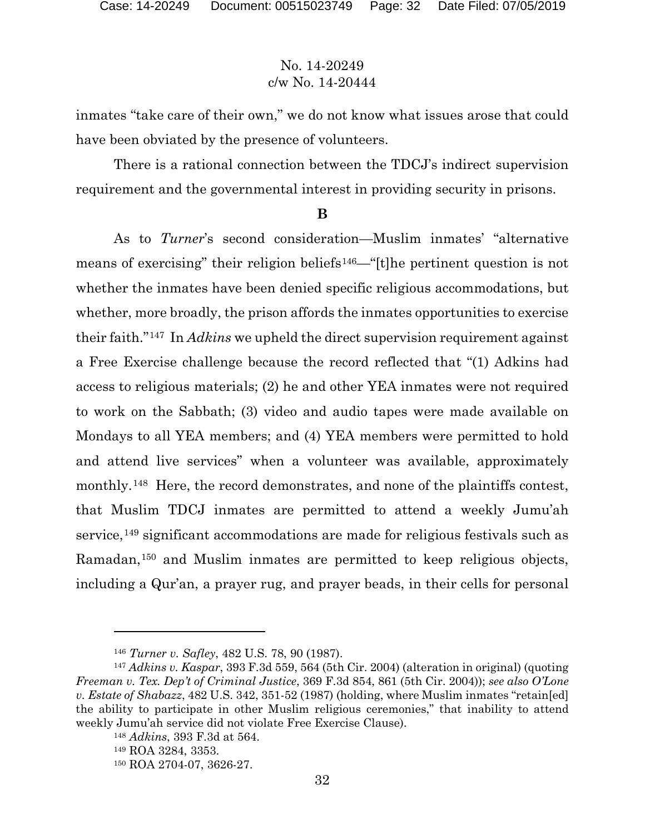inmates "take care of their own," we do not know what issues arose that could have been obviated by the presence of volunteers.

There is a rational connection between the TDCJ's indirect supervision requirement and the governmental interest in providing security in prisons.

#### **B**

As to *Turner*'s second consideration—Muslim inmates' "alternative means of exercising" their religion beliefs[146—](#page-31-0)"[t]he pertinent question is not whether the inmates have been denied specific religious accommodations, but whether, more broadly, the prison affords the inmates opportunities to exercise their faith."[147](#page-31-1) In *Adkins* we upheld the direct supervision requirement against a Free Exercise challenge because the record reflected that "(1) Adkins had access to religious materials; (2) he and other YEA inmates were not required to work on the Sabbath; (3) video and audio tapes were made available on Mondays to all YEA members; and (4) YEA members were permitted to hold and attend live services" when a volunteer was available, approximately monthly.[148](#page-31-2) Here, the record demonstrates, and none of the plaintiffs contest, that Muslim TDCJ inmates are permitted to attend a weekly Jumu'ah service,<sup>[149](#page-31-3)</sup> significant accommodations are made for religious festivals such as Ramadan,[150](#page-31-4) and Muslim inmates are permitted to keep religious objects, including a Qur'an, a prayer rug, and prayer beads, in their cells for personal

<sup>146</sup> *Turner v. Safley*, 482 U.S. 78, 90 (1987).

<span id="page-31-3"></span><span id="page-31-2"></span><span id="page-31-1"></span><span id="page-31-0"></span><sup>147</sup> *Adkins v. Kaspar*, 393 F.3d 559, 564 (5th Cir. 2004) (alteration in original) (quoting *Freeman v. Tex. Dep't of Criminal Justice*, 369 F.3d 854, 861 (5th Cir. 2004)); *see also O'Lone v. Estate of Shabazz*, 482 U.S. 342, 351-52 (1987) (holding, where Muslim inmates "retain[ed] the ability to participate in other Muslim religious ceremonies," that inability to attend weekly Jumu'ah service did not violate Free Exercise Clause).

<sup>148</sup> *Adkins*, 393 F.3d at 564.

<sup>149</sup> ROA 3284, 3353.

<span id="page-31-4"></span><sup>150</sup> ROA 2704-07, 3626-27.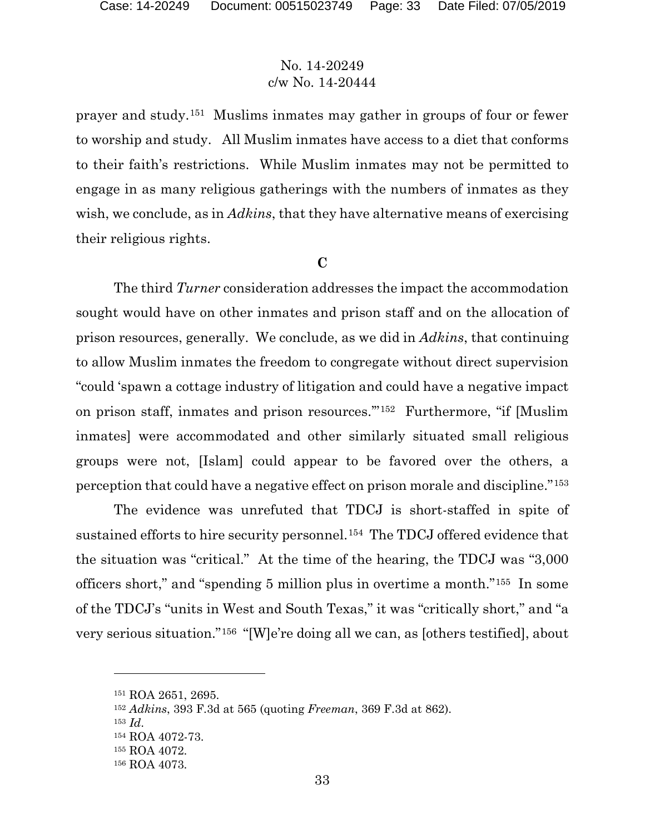prayer and study.[151](#page-32-0) Muslims inmates may gather in groups of four or fewer to worship and study. All Muslim inmates have access to a diet that conforms to their faith's restrictions. While Muslim inmates may not be permitted to engage in as many religious gatherings with the numbers of inmates as they wish, we conclude, as in *Adkins*, that they have alternative means of exercising their religious rights.

#### **C**

The third *Turner* consideration addresses the impact the accommodation sought would have on other inmates and prison staff and on the allocation of prison resources, generally. We conclude, as we did in *Adkins*, that continuing to allow Muslim inmates the freedom to congregate without direct supervision "could 'spawn a cottage industry of litigation and could have a negative impact on prison staff, inmates and prison resources.'"[152](#page-32-1) Furthermore, "if [Muslim inmates] were accommodated and other similarly situated small religious groups were not, [Islam] could appear to be favored over the others, a perception that could have a negative effect on prison morale and discipline."[153](#page-32-2)

The evidence was unrefuted that TDCJ is short-staffed in spite of sustained efforts to hire security personnel.[154](#page-32-3) The TDCJ offered evidence that the situation was "critical." At the time of the hearing, the TDCJ was "3,000 officers short," and "spending 5 million plus in overtime a month."[155](#page-32-4) In some of the TDCJ's "units in West and South Texas," it was "critically short," and "a very serious situation."[156](#page-32-5) "[W]e're doing all we can, as [others testified], about

<span id="page-32-0"></span><sup>151</sup> ROA 2651, 2695.

<span id="page-32-2"></span><span id="page-32-1"></span><sup>152</sup> *Adkins*, 393 F.3d at 565 (quoting *Freeman*, 369 F.3d at 862).

<sup>153</sup> *Id*.

<span id="page-32-3"></span><sup>154</sup> ROA 4072-73.

<span id="page-32-4"></span><sup>155</sup> ROA 4072.

<span id="page-32-5"></span><sup>156</sup> ROA 4073.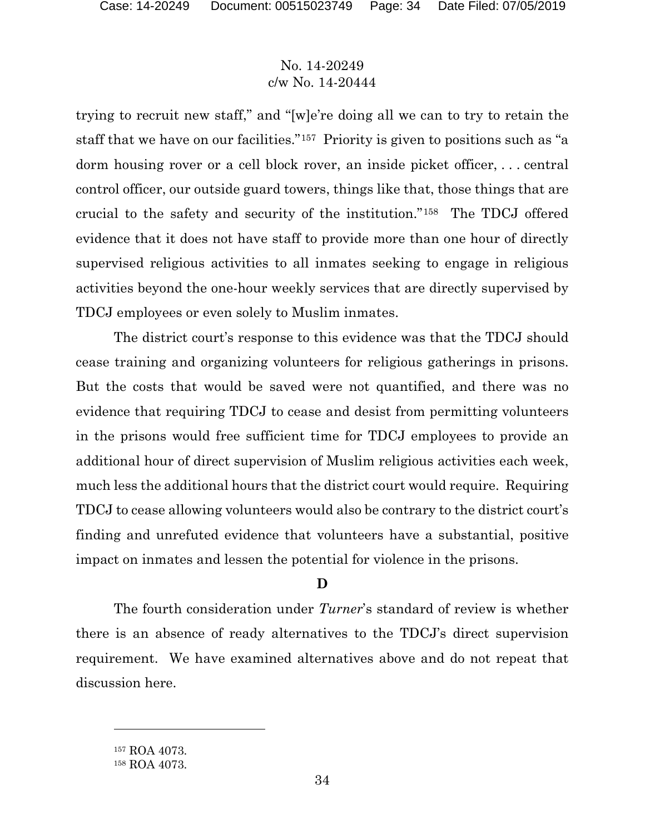trying to recruit new staff," and "[w]e're doing all we can to try to retain the staff that we have on our facilities."[157](#page-33-0) Priority is given to positions such as "a dorm housing rover or a cell block rover, an inside picket officer, . . . central control officer, our outside guard towers, things like that, those things that are crucial to the safety and security of the institution."[158](#page-33-1) The TDCJ offered evidence that it does not have staff to provide more than one hour of directly supervised religious activities to all inmates seeking to engage in religious activities beyond the one-hour weekly services that are directly supervised by TDCJ employees or even solely to Muslim inmates.

The district court's response to this evidence was that the TDCJ should cease training and organizing volunteers for religious gatherings in prisons. But the costs that would be saved were not quantified, and there was no evidence that requiring TDCJ to cease and desist from permitting volunteers in the prisons would free sufficient time for TDCJ employees to provide an additional hour of direct supervision of Muslim religious activities each week, much less the additional hours that the district court would require. Requiring TDCJ to cease allowing volunteers would also be contrary to the district court's finding and unrefuted evidence that volunteers have a substantial, positive impact on inmates and lessen the potential for violence in the prisons.

### **D**

The fourth consideration under *Turner*'s standard of review is whether there is an absence of ready alternatives to the TDCJ's direct supervision requirement. We have examined alternatives above and do not repeat that discussion here.

<span id="page-33-0"></span><sup>157</sup> ROA 4073.

<span id="page-33-1"></span><sup>158</sup> ROA 4073.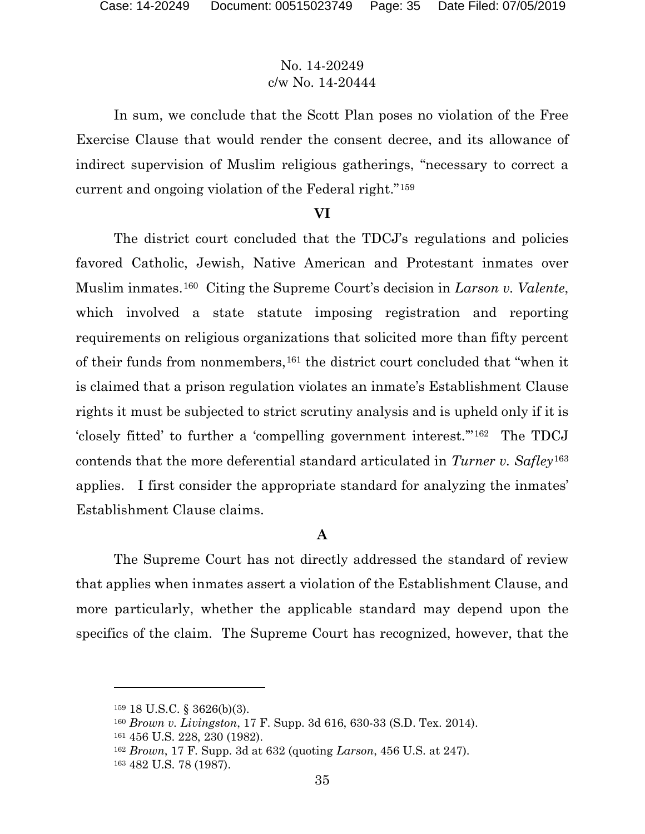In sum, we conclude that the Scott Plan poses no violation of the Free Exercise Clause that would render the consent decree, and its allowance of indirect supervision of Muslim religious gatherings, "necessary to correct a current and ongoing violation of the Federal right."[159](#page-34-0)

#### **VI**

The district court concluded that the TDCJ's regulations and policies favored Catholic, Jewish, Native American and Protestant inmates over Muslim inmates.[160](#page-34-1) Citing the Supreme Court's decision in *Larson v. Valente*, which involved a state statute imposing registration and reporting requirements on religious organizations that solicited more than fifty percent of their funds from nonmembers,[161](#page-34-2) the district court concluded that "when it is claimed that a prison regulation violates an inmate's Establishment Clause rights it must be subjected to strict scrutiny analysis and is upheld only if it is 'closely fitted' to further a 'compelling government interest.'"[162](#page-34-3) The TDCJ contends that the more deferential standard articulated in *Turner v. Safley*[163](#page-34-4) applies. I first consider the appropriate standard for analyzing the inmates' Establishment Clause claims.

#### **A**

The Supreme Court has not directly addressed the standard of review that applies when inmates assert a violation of the Establishment Clause, and more particularly, whether the applicable standard may depend upon the specifics of the claim. The Supreme Court has recognized, however, that the

<span id="page-34-0"></span><sup>159</sup> 18 U.S.C. § 3626(b)(3).

<span id="page-34-1"></span><sup>160</sup> *Brown v. Livingston*, 17 F. Supp. 3d 616, 630-33 (S.D. Tex. 2014).

<span id="page-34-2"></span><sup>161</sup> 456 U.S. 228, 230 (1982).

<span id="page-34-3"></span><sup>162</sup> *Brown*, 17 F. Supp. 3d at 632 (quoting *Larson*, 456 U.S. at 247).

<span id="page-34-4"></span><sup>163</sup> 482 U.S. 78 (1987).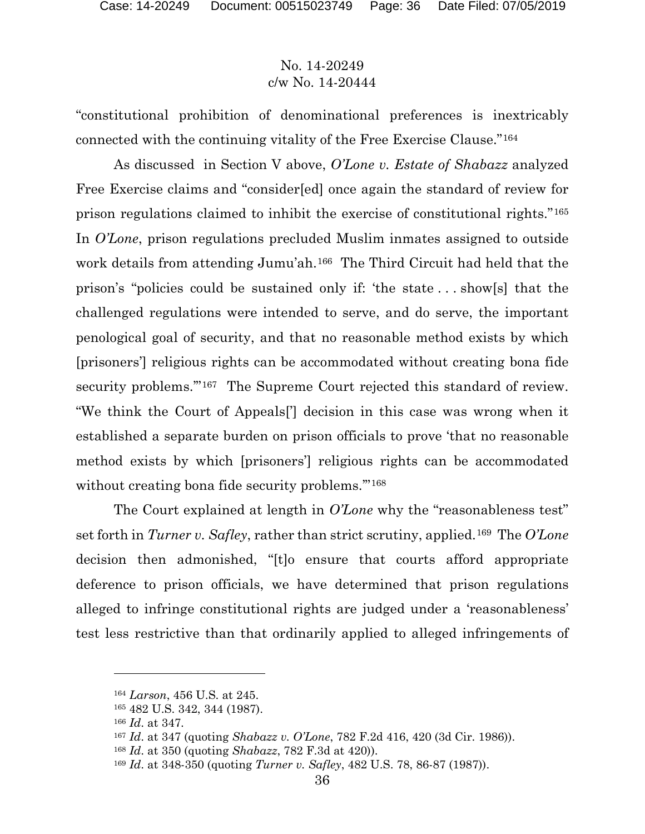"constitutional prohibition of denominational preferences is inextricably connected with the continuing vitality of the Free Exercise Clause."[164](#page-35-0)

As discussed in Section V above, *O'Lone v. Estate of Shabazz* analyzed Free Exercise claims and "consider[ed] once again the standard of review for prison regulations claimed to inhibit the exercise of constitutional rights."[165](#page-35-1) In *O'Lone*, prison regulations precluded Muslim inmates assigned to outside work details from attending Jumu'ah.<sup>[166](#page-35-2)</sup> The Third Circuit had held that the prison's "policies could be sustained only if: 'the state . . . show[s] that the challenged regulations were intended to serve, and do serve, the important penological goal of security, and that no reasonable method exists by which [prisoners'] religious rights can be accommodated without creating bona fide security problems."<sup>[167](#page-35-3)</sup> The Supreme Court rejected this standard of review. "We think the Court of Appeals['] decision in this case was wrong when it established a separate burden on prison officials to prove 'that no reasonable method exists by which [prisoners'] religious rights can be accommodated without creating bona fide security problems."<sup>[168](#page-35-4)</sup>

The Court explained at length in *O'Lone* why the "reasonableness test" set forth in *Turner v. Safley*, rather than strict scrutiny, applied.[169](#page-35-5) The *O'Lone* decision then admonished, "[t]o ensure that courts afford appropriate deference to prison officials, we have determined that prison regulations alleged to infringe constitutional rights are judged under a 'reasonableness' test less restrictive than that ordinarily applied to alleged infringements of

- <span id="page-35-3"></span><sup>167</sup> *Id*. at 347 (quoting *Shabazz v. O'Lone*, 782 F.2d 416, 420 (3d Cir. 1986)).
- <span id="page-35-4"></span><sup>168</sup> *Id*. at 350 (quoting *Shabazz*, 782 F.3d at 420)).
- <span id="page-35-5"></span><sup>169</sup> *Id*. at 348-350 (quoting *Turner v. Safley*, 482 U.S. 78, 86-87 (1987)).

<span id="page-35-0"></span><sup>164</sup> *Larson*, 456 U.S. at 245.

<span id="page-35-1"></span><sup>165</sup> 482 U.S. 342, 344 (1987).

<span id="page-35-2"></span><sup>166</sup> *Id*. at 347.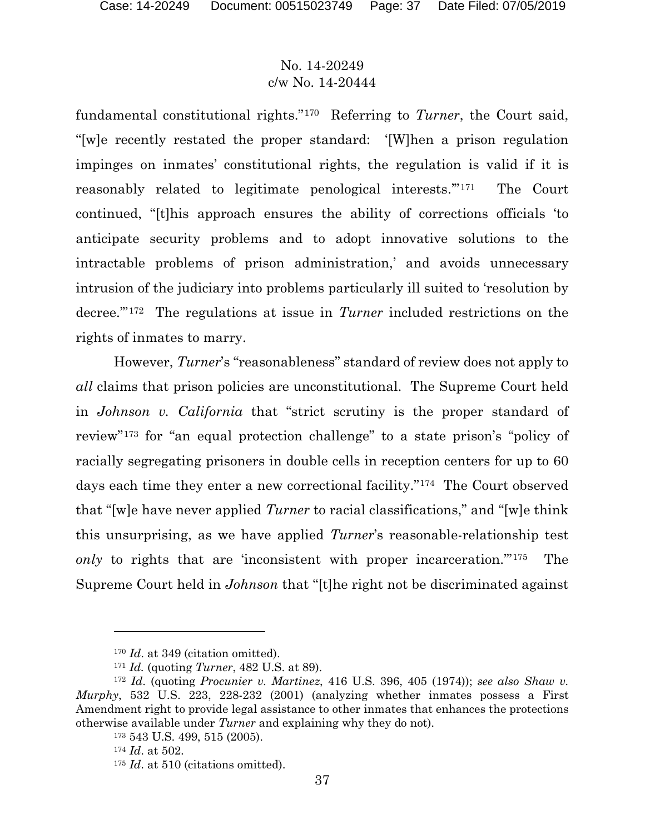fundamental constitutional rights."[170](#page-36-0) Referring to *Turner*, the Court said, "[w]e recently restated the proper standard: '[W]hen a prison regulation impinges on inmates' constitutional rights, the regulation is valid if it is reasonably related to legitimate penological interests.'"[171](#page-36-1) The Court continued, "[t]his approach ensures the ability of corrections officials 'to anticipate security problems and to adopt innovative solutions to the intractable problems of prison administration,' and avoids unnecessary intrusion of the judiciary into problems particularly ill suited to 'resolution by decree.'"[172](#page-36-2) The regulations at issue in *Turner* included restrictions on the rights of inmates to marry.

However, *Turner*'s "reasonableness" standard of review does not apply to *all* claims that prison policies are unconstitutional. The Supreme Court held in *Johnson v. California* that "strict scrutiny is the proper standard of review"[173](#page-36-3) for "an equal protection challenge" to a state prison's "policy of racially segregating prisoners in double cells in reception centers for up to 60 days each time they enter a new correctional facility."[174](#page-36-4) The Court observed that "[w]e have never applied *Turner* to racial classifications," and "[w]e think this unsurprising, as we have applied *Turner*'s reasonable-relationship test *only* to rights that are 'inconsistent with proper incarceration.'"[175](#page-36-5) The Supreme Court held in *Johnson* that "[t]he right not be discriminated against

<sup>&</sup>lt;sup>170</sup> *Id.* at 349 (citation omitted).

<sup>171</sup> *Id.* (quoting *Turner*, 482 U.S. at 89).

<span id="page-36-5"></span><span id="page-36-4"></span><span id="page-36-3"></span><span id="page-36-2"></span><span id="page-36-1"></span><span id="page-36-0"></span><sup>172</sup> *Id*. (quoting *Procunier v. Martinez*, 416 U.S. 396, 405 (1974)); *see also Shaw v. Murphy*, 532 U.S. 223, 228-232 (2001) (analyzing whether inmates possess a First Amendment right to provide legal assistance to other inmates that enhances the protections otherwise available under *Turner* and explaining why they do not).

<sup>173</sup> 543 U.S. 499, 515 (2005).

<sup>174</sup> *Id*. at 502.

<sup>&</sup>lt;sup>175</sup> *Id.* at 510 (citations omitted).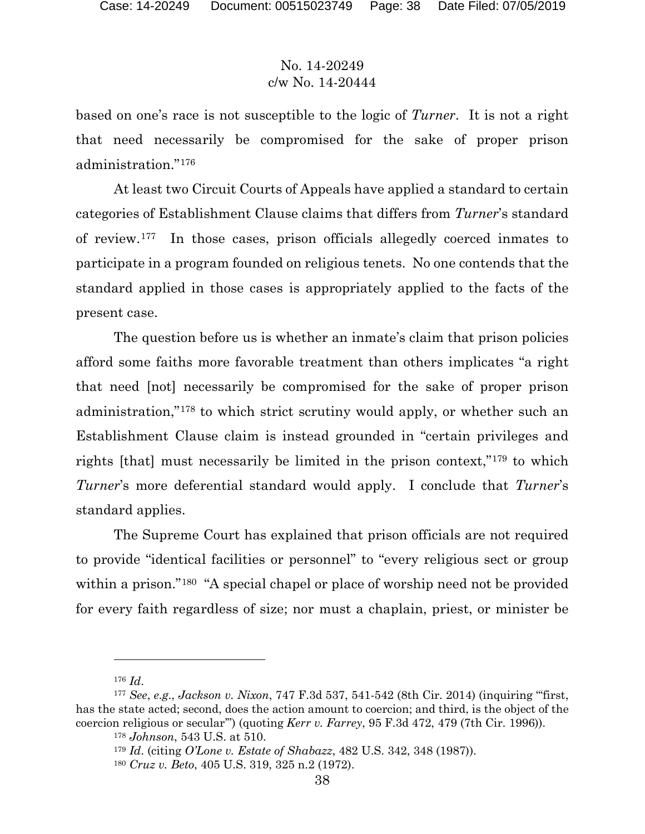based on one's race is not susceptible to the logic of *Turner*. It is not a right that need necessarily be compromised for the sake of proper prison administration."[176](#page-37-0)

At least two Circuit Courts of Appeals have applied a standard to certain categories of Establishment Clause claims that differs from *Turner*'s standard of review.[177](#page-37-1) In those cases, prison officials allegedly coerced inmates to participate in a program founded on religious tenets. No one contends that the standard applied in those cases is appropriately applied to the facts of the present case.

The question before us is whether an inmate's claim that prison policies afford some faiths more favorable treatment than others implicates "a right that need [not] necessarily be compromised for the sake of proper prison administration,"[178](#page-37-2) to which strict scrutiny would apply, or whether such an Establishment Clause claim is instead grounded in "certain privileges and rights [that] must necessarily be limited in the prison context,"[179](#page-37-3) to which *Turner*'s more deferential standard would apply. I conclude that *Turner*'s standard applies.

The Supreme Court has explained that prison officials are not required to provide "identical facilities or personnel" to "every religious sect or group within a prison."<sup>180</sup> "A special chapel or place of worship need not be provided for every faith regardless of size; nor must a chaplain, priest, or minister be

<sup>176</sup> *Id*.

<span id="page-37-4"></span><span id="page-37-3"></span><span id="page-37-2"></span><span id="page-37-1"></span><span id="page-37-0"></span><sup>177</sup> *See*, *e*.*g*., *Jackson v. Nixon*, 747 F.3d 537, 541-542 (8th Cir. 2014) (inquiring "'first, has the state acted; second, does the action amount to coercion; and third, is the object of the coercion religious or secular'") (quoting *Kerr v. Farrey*, 95 F.3d 472, 479 (7th Cir. 1996)).

<sup>178</sup> *Johnson*, 543 U.S. at 510.

<sup>179</sup> *Id*. (citing *O'Lone v. Estate of Shabazz*, 482 U.S. 342, 348 (1987)).

<sup>180</sup> *Cruz v. Beto*, 405 U.S. 319, 325 n.2 (1972).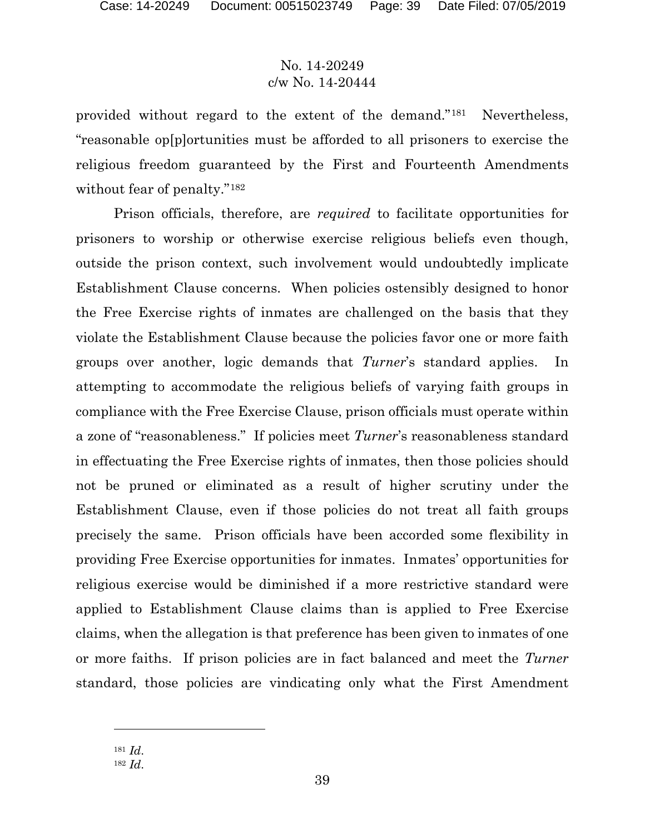provided without regard to the extent of the demand."[181](#page-38-0) Nevertheless, "reasonable op[p]ortunities must be afforded to all prisoners to exercise the religious freedom guaranteed by the First and Fourteenth Amendments without fear of penalty."<sup>182</sup>

Prison officials, therefore, are *required* to facilitate opportunities for prisoners to worship or otherwise exercise religious beliefs even though, outside the prison context, such involvement would undoubtedly implicate Establishment Clause concerns. When policies ostensibly designed to honor the Free Exercise rights of inmates are challenged on the basis that they violate the Establishment Clause because the policies favor one or more faith groups over another, logic demands that *Turner*'s standard applies. In attempting to accommodate the religious beliefs of varying faith groups in compliance with the Free Exercise Clause, prison officials must operate within a zone of "reasonableness." If policies meet *Turner*'s reasonableness standard in effectuating the Free Exercise rights of inmates, then those policies should not be pruned or eliminated as a result of higher scrutiny under the Establishment Clause, even if those policies do not treat all faith groups precisely the same. Prison officials have been accorded some flexibility in providing Free Exercise opportunities for inmates. Inmates' opportunities for religious exercise would be diminished if a more restrictive standard were applied to Establishment Clause claims than is applied to Free Exercise claims, when the allegation is that preference has been given to inmates of one or more faiths. If prison policies are in fact balanced and meet the *Turner* standard, those policies are vindicating only what the First Amendment

<sup>181</sup> *Id*.

<span id="page-38-1"></span><span id="page-38-0"></span><sup>182</sup> *Id*.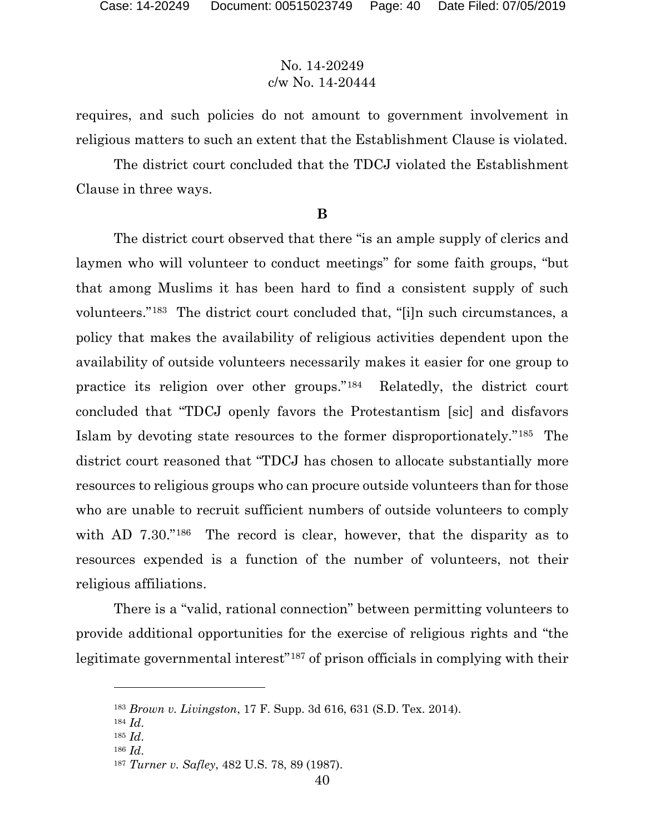requires, and such policies do not amount to government involvement in religious matters to such an extent that the Establishment Clause is violated.

The district court concluded that the TDCJ violated the Establishment Clause in three ways.

#### **B**

The district court observed that there "is an ample supply of clerics and laymen who will volunteer to conduct meetings" for some faith groups, "but that among Muslims it has been hard to find a consistent supply of such volunteers."[183](#page-39-0) The district court concluded that, "[i]n such circumstances, a policy that makes the availability of religious activities dependent upon the availability of outside volunteers necessarily makes it easier for one group to practice its religion over other groups."[184](#page-39-1) Relatedly, the district court concluded that "TDCJ openly favors the Protestantism [sic] and disfavors Islam by devoting state resources to the former disproportionately."[185](#page-39-2) The district court reasoned that "TDCJ has chosen to allocate substantially more resources to religious groups who can procure outside volunteers than for those who are unable to recruit sufficient numbers of outside volunteers to comply with AD 7.30."<sup>[186](#page-39-3)</sup> The record is clear, however, that the disparity as to resources expended is a function of the number of volunteers, not their religious affiliations.

There is a "valid, rational connection" between permitting volunteers to provide additional opportunities for the exercise of religious rights and "the legitimate governmental interest"[187](#page-39-4) of prison officials in complying with their

<span id="page-39-0"></span><sup>183</sup> *Brown v. Livingston*, 17 F. Supp. 3d 616, 631 (S.D. Tex. 2014).

<span id="page-39-1"></span><sup>184</sup> *Id*.

<span id="page-39-3"></span><span id="page-39-2"></span><sup>185</sup> *Id*.

<sup>186</sup> *Id*.

<span id="page-39-4"></span><sup>187</sup> *Turner v. Safley*, 482 U.S. 78, 89 (1987).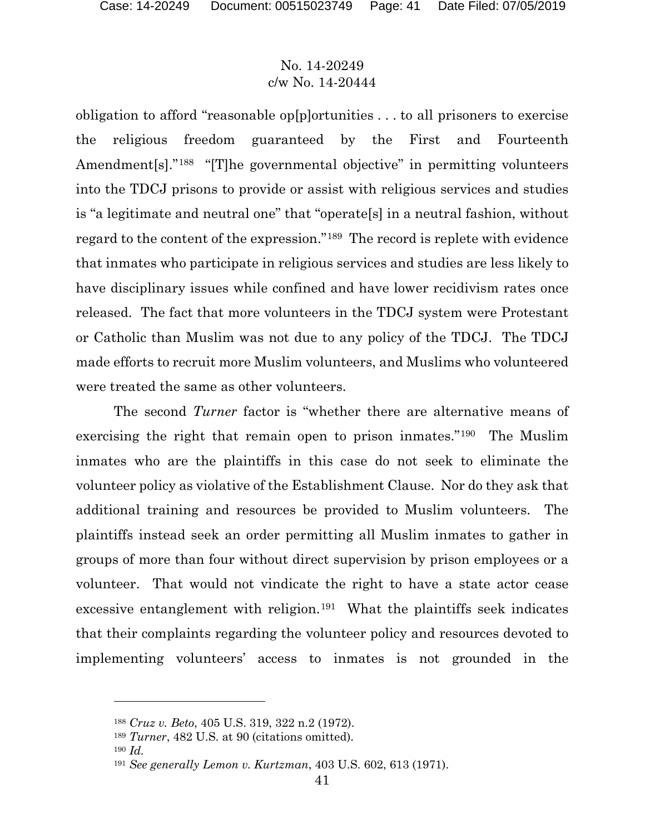obligation to afford "reasonable op[p]ortunities . . . to all prisoners to exercise the religious freedom guaranteed by the First and Fourteenth Amendment[s]."<sup>188</sup> "[T]he governmental objective" in permitting volunteers into the TDCJ prisons to provide or assist with religious services and studies is "a legitimate and neutral one" that "operate[s] in a neutral fashion, without regard to the content of the expression."[189](#page-40-1) The record is replete with evidence that inmates who participate in religious services and studies are less likely to have disciplinary issues while confined and have lower recidivism rates once released. The fact that more volunteers in the TDCJ system were Protestant or Catholic than Muslim was not due to any policy of the TDCJ. The TDCJ made efforts to recruit more Muslim volunteers, and Muslims who volunteered were treated the same as other volunteers.

The second *Turner* factor is "whether there are alternative means of exercising the right that remain open to prison inmates."[190](#page-40-2) The Muslim inmates who are the plaintiffs in this case do not seek to eliminate the volunteer policy as violative of the Establishment Clause. Nor do they ask that additional training and resources be provided to Muslim volunteers. The plaintiffs instead seek an order permitting all Muslim inmates to gather in groups of more than four without direct supervision by prison employees or a volunteer. That would not vindicate the right to have a state actor cease excessive entanglement with religion.<sup>191</sup> What the plaintiffs seek indicates that their complaints regarding the volunteer policy and resources devoted to implementing volunteers' access to inmates is not grounded in the

<span id="page-40-0"></span><sup>188</sup> *Cruz v. Beto*, 405 U.S. 319, 322 n.2 (1972).

<span id="page-40-1"></span><sup>189</sup> *Turner*, 482 U.S. at 90 (citations omitted).

<span id="page-40-2"></span><sup>190</sup> *Id.*

<span id="page-40-3"></span><sup>191</sup> *See generally Lemon v. Kurtzman*, 403 U.S. 602, 613 (1971).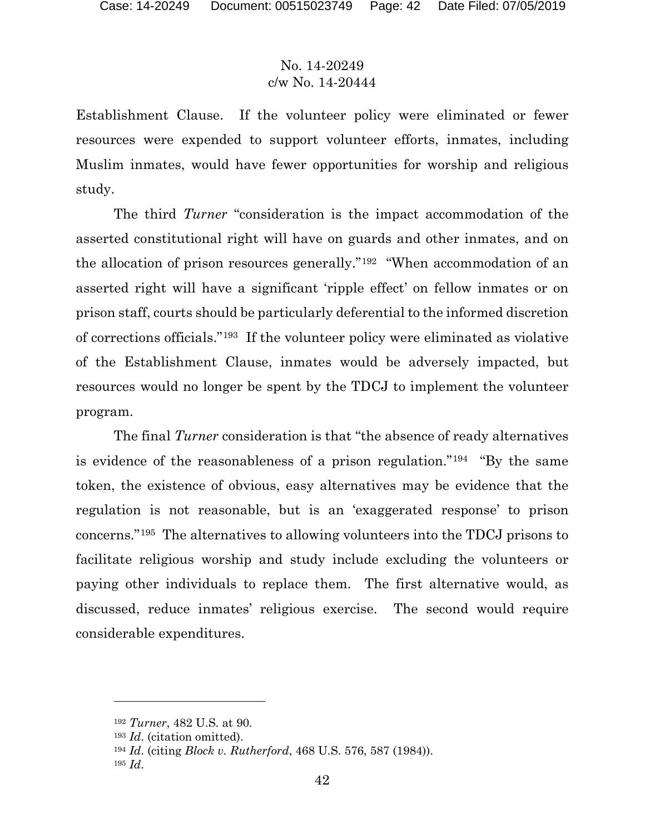Establishment Clause. If the volunteer policy were eliminated or fewer resources were expended to support volunteer efforts, inmates, including Muslim inmates, would have fewer opportunities for worship and religious study.

The third *Turner* "consideration is the impact accommodation of the asserted constitutional right will have on guards and other inmates, and on the allocation of prison resources generally."[192](#page-41-0) "When accommodation of an asserted right will have a significant 'ripple effect' on fellow inmates or on prison staff, courts should be particularly deferential to the informed discretion of corrections officials."[193](#page-41-1) If the volunteer policy were eliminated as violative of the Establishment Clause, inmates would be adversely impacted, but resources would no longer be spent by the TDCJ to implement the volunteer program.

The final *Turner* consideration is that "the absence of ready alternatives is evidence of the reasonableness of a prison regulation."[194](#page-41-2) "By the same token, the existence of obvious, easy alternatives may be evidence that the regulation is not reasonable, but is an 'exaggerated response' to prison concerns."[195](#page-41-3) The alternatives to allowing volunteers into the TDCJ prisons to facilitate religious worship and study include excluding the volunteers or paying other individuals to replace them. The first alternative would, as discussed, reduce inmates' religious exercise. The second would require considerable expenditures.

<span id="page-41-0"></span><sup>192</sup> *Turner*, 482 U.S. at 90.

<span id="page-41-1"></span><sup>193</sup> *Id*. (citation omitted).

<span id="page-41-2"></span><sup>194</sup> *Id*. (citing *Block v. Rutherford*, 468 U.S. 576, 587 (1984)).

<span id="page-41-3"></span><sup>195</sup> *Id*.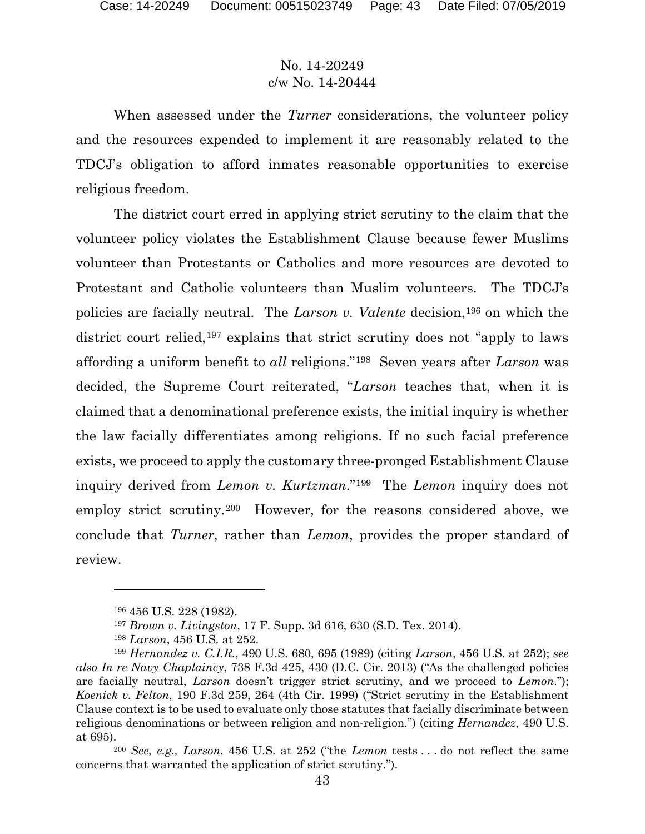When assessed under the *Turner* considerations, the volunteer policy and the resources expended to implement it are reasonably related to the TDCJ's obligation to afford inmates reasonable opportunities to exercise religious freedom.

The district court erred in applying strict scrutiny to the claim that the volunteer policy violates the Establishment Clause because fewer Muslims volunteer than Protestants or Catholics and more resources are devoted to Protestant and Catholic volunteers than Muslim volunteers. The TDCJ's policies are facially neutral. The *Larson v. Valente* decision,[196](#page-42-0) on which the district court relied,<sup>[197](#page-42-1)</sup> explains that strict scrutiny does not "apply to laws" affording a uniform benefit to *all* religions."[198](#page-42-2) Seven years after *Larson* was decided, the Supreme Court reiterated, "*Larson* teaches that, when it is claimed that a denominational preference exists, the initial inquiry is whether the law facially differentiates among religions. If no such facial preference exists, we proceed to apply the customary three-pronged Establishment Clause inquiry derived from *Lemon v. Kurtzman*."[199](#page-42-3) The *Lemon* inquiry does not employ strict scrutiny.[200](#page-42-4) However, for the reasons considered above, we conclude that *Turner*, rather than *Lemon*, provides the proper standard of review.

<sup>196</sup> 456 U.S. 228 (1982).

<sup>197</sup> *Brown v. Livingston*, 17 F. Supp. 3d 616, 630 (S.D. Tex. 2014).

<sup>198</sup> *Larson*, 456 U.S. at 252.

<span id="page-42-3"></span><span id="page-42-2"></span><span id="page-42-1"></span><span id="page-42-0"></span><sup>199</sup> *Hernandez v. C.I.R.*, 490 U.S. 680, 695 (1989) (citing *Larson*, 456 U.S. at 252); *see also In re Navy Chaplaincy*, 738 F.3d 425, 430 (D.C. Cir. 2013) ("As the challenged policies are facially neutral, *Larson* doesn't trigger strict scrutiny, and we proceed to *Lemon*."); *Koenick v. Felton*, 190 F.3d 259, 264 (4th Cir. 1999) ("Strict scrutiny in the Establishment Clause context is to be used to evaluate only those statutes that facially discriminate between religious denominations or between religion and non-religion.") (citing *Hernandez*, 490 U.S. at 695).

<span id="page-42-4"></span><sup>200</sup> *See, e.g., Larson*, 456 U.S. at 252 ("the *Lemon* tests . . . do not reflect the same concerns that warranted the application of strict scrutiny.").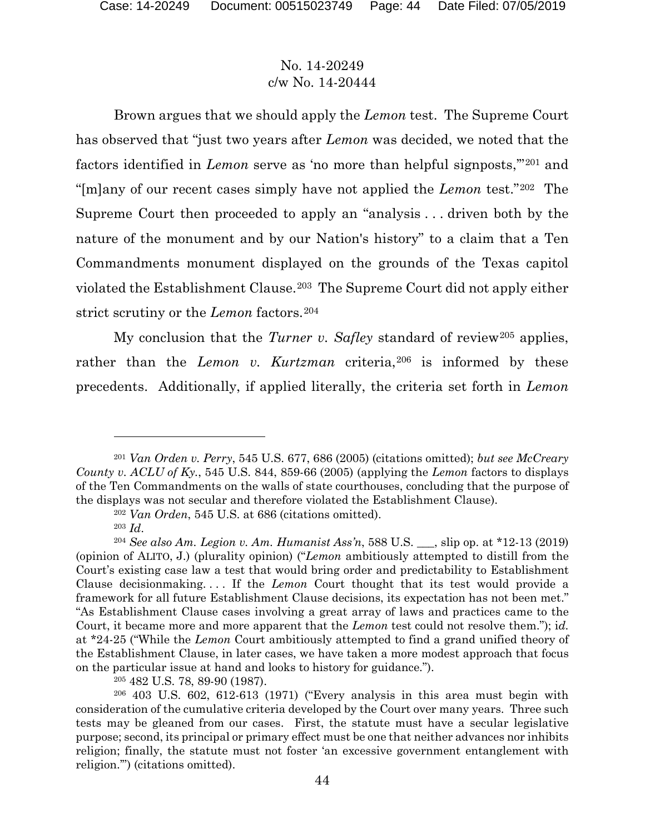Brown argues that we should apply the *Lemon* test. The Supreme Court has observed that "just two years after *Lemon* was decided, we noted that the factors identified in *Lemon* serve as 'no more than helpful signposts,'"[201](#page-43-0) and "[m]any of our recent cases simply have not applied the *Lemon* test."[202](#page-43-1) The Supreme Court then proceeded to apply an "analysis . . . driven both by the nature of the monument and by our Nation's history" to a claim that a Ten Commandments monument displayed on the grounds of the Texas capitol violated the Establishment Clause.[203](#page-43-2) The Supreme Court did not apply either strict scrutiny or the *Lemon* factors.<sup>204</sup>

My conclusion that the *Turner v. Safley* standard of review[205](#page-43-4) applies, rather than the *Lemon v. Kurtzman* criteria,<sup>[206](#page-43-5)</sup> is informed by these precedents. Additionally, if applied literally, the criteria set forth in *Lemon*

<span id="page-43-0"></span><sup>201</sup> *Van Orden v. Perry*, 545 U.S. 677, 686 (2005) (citations omitted); *but see McCreary County v. ACLU of Ky.*, 545 U.S. 844, 859-66 (2005) (applying the *Lemon* factors to displays of the Ten Commandments on the walls of state courthouses, concluding that the purpose of the displays was not secular and therefore violated the Establishment Clause).

<sup>202</sup> *Van Orden*, 545 U.S. at 686 (citations omitted).

<sup>203</sup> *Id*.

<span id="page-43-3"></span><span id="page-43-2"></span><span id="page-43-1"></span><sup>204</sup> *See also Am. Legion v. Am. Humanist Ass'n*, 588 U.S. \_\_\_, slip op. at \*12-13 (2019) (opinion of ALITO, J.) (plurality opinion) ("*Lemon* ambitiously attempted to distill from the Court's existing case law a test that would bring order and predictability to Establishment Clause decisionmaking. . . . If the *Lemon* Court thought that its test would provide a framework for all future Establishment Clause decisions, its expectation has not been met." "As Establishment Clause cases involving a great array of laws and practices came to the Court, it became more and more apparent that the *Lemon* test could not resolve them."); i*d.*  at \*24-25 ("While the *Lemon* Court ambitiously attempted to find a grand unified theory of the Establishment Clause, in later cases, we have taken a more modest approach that focus on the particular issue at hand and looks to history for guidance.").

<sup>205</sup> 482 U.S. 78, 89-90 (1987).

<span id="page-43-5"></span><span id="page-43-4"></span><sup>206</sup> 403 U.S. 602, 612-613 (1971) ("Every analysis in this area must begin with consideration of the cumulative criteria developed by the Court over many years. Three such tests may be gleaned from our cases. First, the statute must have a secular legislative purpose; second, its principal or primary effect must be one that neither advances nor inhibits religion; finally, the statute must not foster 'an excessive government entanglement with religion.'") (citations omitted).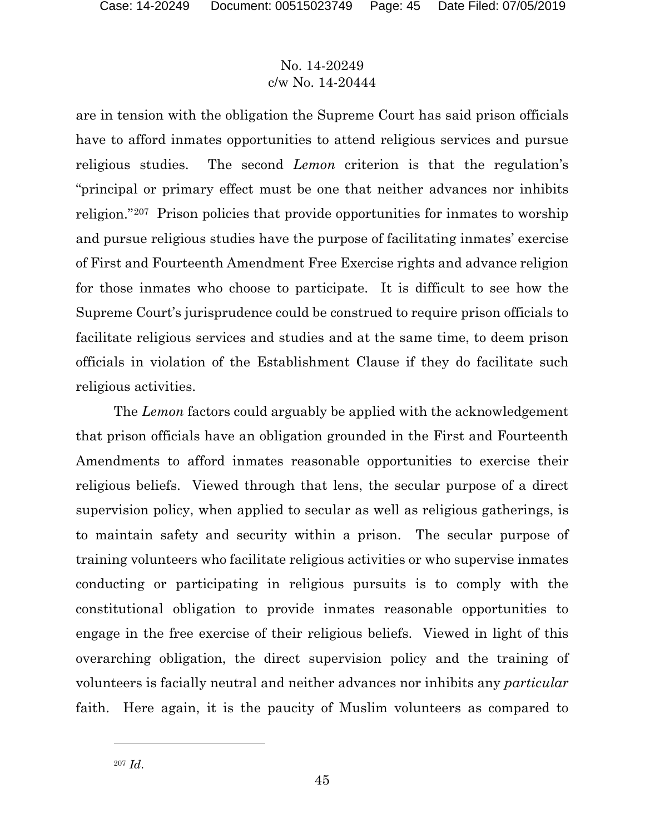are in tension with the obligation the Supreme Court has said prison officials have to afford inmates opportunities to attend religious services and pursue religious studies. The second *Lemon* criterion is that the regulation's "principal or primary effect must be one that neither advances nor inhibits religion."[207](#page-44-0) Prison policies that provide opportunities for inmates to worship and pursue religious studies have the purpose of facilitating inmates' exercise of First and Fourteenth Amendment Free Exercise rights and advance religion for those inmates who choose to participate. It is difficult to see how the Supreme Court's jurisprudence could be construed to require prison officials to facilitate religious services and studies and at the same time, to deem prison officials in violation of the Establishment Clause if they do facilitate such religious activities.

The *Lemon* factors could arguably be applied with the acknowledgement that prison officials have an obligation grounded in the First and Fourteenth Amendments to afford inmates reasonable opportunities to exercise their religious beliefs. Viewed through that lens, the secular purpose of a direct supervision policy, when applied to secular as well as religious gatherings, is to maintain safety and security within a prison. The secular purpose of training volunteers who facilitate religious activities or who supervise inmates conducting or participating in religious pursuits is to comply with the constitutional obligation to provide inmates reasonable opportunities to engage in the free exercise of their religious beliefs. Viewed in light of this overarching obligation, the direct supervision policy and the training of volunteers is facially neutral and neither advances nor inhibits any *particular* faith. Here again, it is the paucity of Muslim volunteers as compared to

<span id="page-44-0"></span><sup>207</sup> *Id*.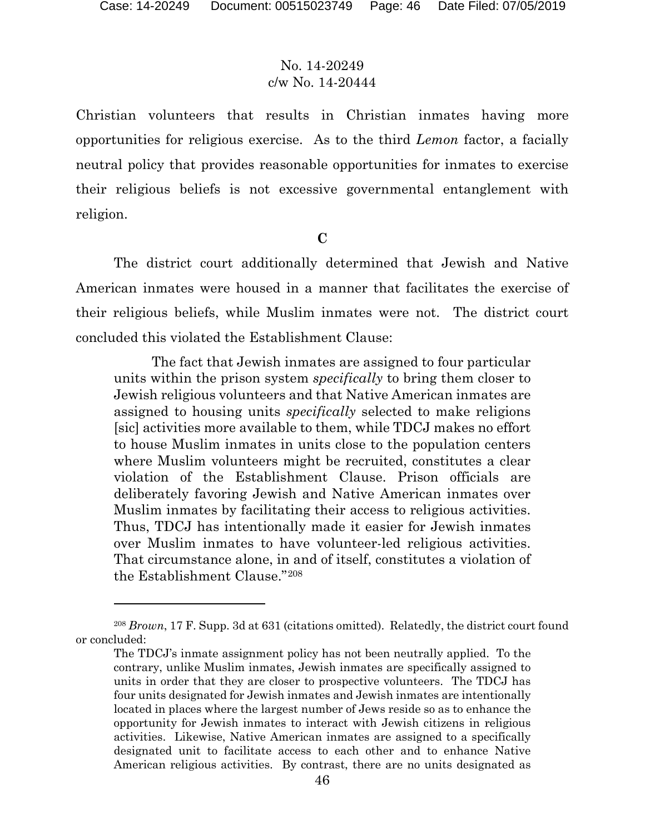$\overline{a}$ 

## No. 14-20249 c/w No. 14-20444

Christian volunteers that results in Christian inmates having more opportunities for religious exercise. As to the third *Lemon* factor, a facially neutral policy that provides reasonable opportunities for inmates to exercise their religious beliefs is not excessive governmental entanglement with religion.

**C**

The district court additionally determined that Jewish and Native American inmates were housed in a manner that facilitates the exercise of their religious beliefs, while Muslim inmates were not. The district court concluded this violated the Establishment Clause:

The fact that Jewish inmates are assigned to four particular units within the prison system *specifically* to bring them closer to Jewish religious volunteers and that Native American inmates are assigned to housing units *specifically* selected to make religions [sic] activities more available to them, while TDCJ makes no effort to house Muslim inmates in units close to the population centers where Muslim volunteers might be recruited, constitutes a clear violation of the Establishment Clause. Prison officials are deliberately favoring Jewish and Native American inmates over Muslim inmates by facilitating their access to religious activities. Thus, TDCJ has intentionally made it easier for Jewish inmates over Muslim inmates to have volunteer-led religious activities. That circumstance alone, in and of itself, constitutes a violation of the Establishment Clause."[208](#page-45-0)

<span id="page-45-0"></span><sup>208</sup> *Brown*, 17 F. Supp. 3d at 631 (citations omitted). Relatedly, the district court found or concluded:

The TDCJ's inmate assignment policy has not been neutrally applied. To the contrary, unlike Muslim inmates, Jewish inmates are specifically assigned to units in order that they are closer to prospective volunteers. The TDCJ has four units designated for Jewish inmates and Jewish inmates are intentionally located in places where the largest number of Jews reside so as to enhance the opportunity for Jewish inmates to interact with Jewish citizens in religious activities. Likewise, Native American inmates are assigned to a specifically designated unit to facilitate access to each other and to enhance Native American religious activities. By contrast, there are no units designated as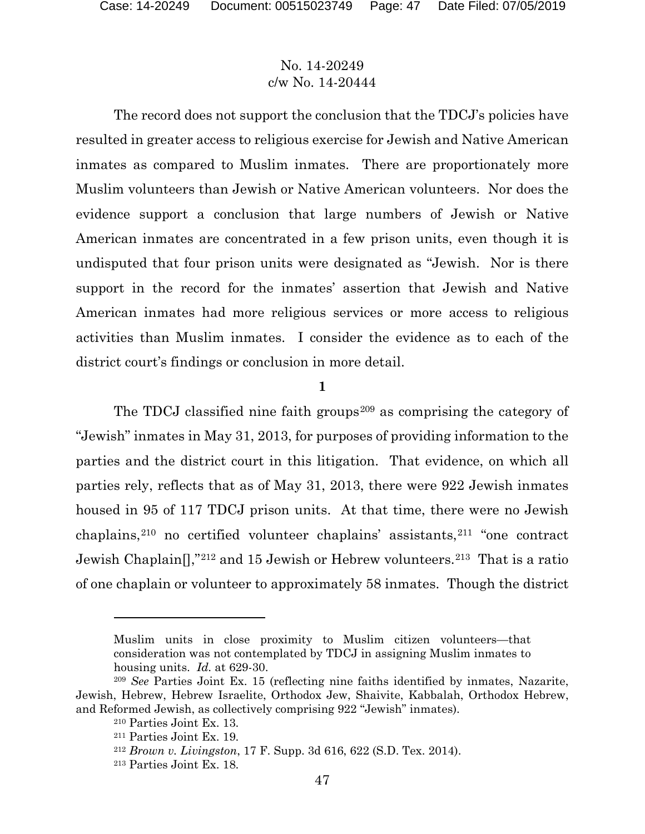The record does not support the conclusion that the TDCJ's policies have resulted in greater access to religious exercise for Jewish and Native American inmates as compared to Muslim inmates. There are proportionately more Muslim volunteers than Jewish or Native American volunteers. Nor does the evidence support a conclusion that large numbers of Jewish or Native American inmates are concentrated in a few prison units, even though it is undisputed that four prison units were designated as "Jewish. Nor is there support in the record for the inmates' assertion that Jewish and Native American inmates had more religious services or more access to religious activities than Muslim inmates. I consider the evidence as to each of the district court's findings or conclusion in more detail.

**1**

The TDCJ classified nine faith groups<sup>[209](#page-46-0)</sup> as comprising the category of "Jewish" inmates in May 31, 2013, for purposes of providing information to the parties and the district court in this litigation. That evidence, on which all parties rely, reflects that as of May 31, 2013, there were 922 Jewish inmates housed in 95 of 117 TDCJ prison units. At that time, there were no Jewish chaplains,[210](#page-46-1) no certified volunteer chaplains' assistants,[211](#page-46-2) "one contract Jewish Chaplain[],"[212](#page-46-3) and 15 Jewish or Hebrew volunteers.[213](#page-46-4) That is a ratio of one chaplain or volunteer to approximately 58 inmates. Though the district

Muslim units in close proximity to Muslim citizen volunteers—that consideration was not contemplated by TDCJ in assigning Muslim inmates to housing units. *Id.* at 629-30.

<span id="page-46-4"></span><span id="page-46-3"></span><span id="page-46-2"></span><span id="page-46-1"></span><span id="page-46-0"></span><sup>209</sup> *See* Parties Joint Ex. 15 (reflecting nine faiths identified by inmates, Nazarite, Jewish, Hebrew, Hebrew Israelite, Orthodox Jew, Shaivite, Kabbalah, Orthodox Hebrew, and Reformed Jewish, as collectively comprising 922 "Jewish" inmates).

<sup>210</sup> Parties Joint Ex. 13.

<sup>211</sup> Parties Joint Ex. 19.

<sup>212</sup> *Brown v. Livingston*, 17 F. Supp. 3d 616, 622 (S.D. Tex. 2014).

<sup>213</sup> Parties Joint Ex. 18.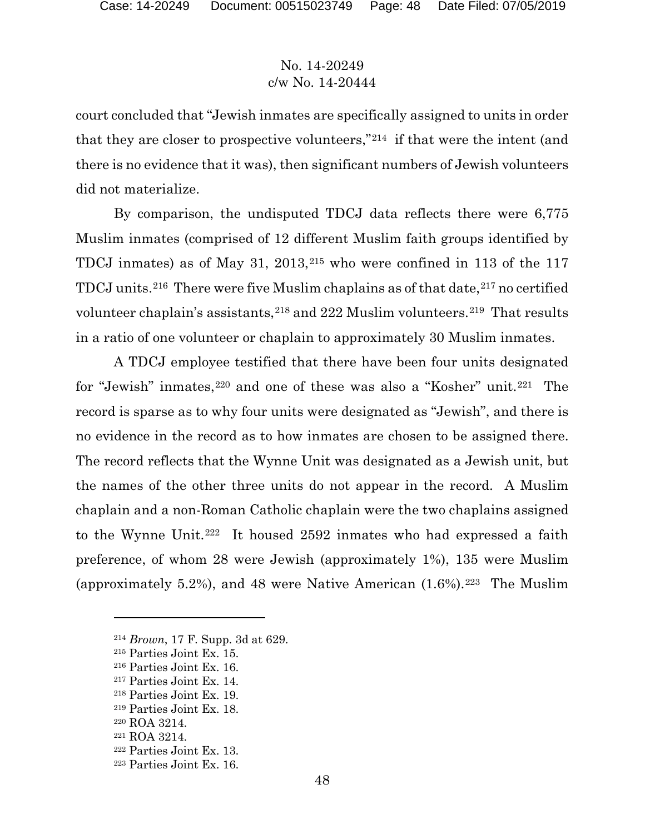court concluded that "Jewish inmates are specifically assigned to units in order that they are closer to prospective volunteers,"[214](#page-47-0) if that were the intent (and there is no evidence that it was), then significant numbers of Jewish volunteers did not materialize.

By comparison, the undisputed TDCJ data reflects there were 6,775 Muslim inmates (comprised of 12 different Muslim faith groups identified by TDCJ inmates) as of May 31, 2013,[215](#page-47-1) who were confined in 113 of the 117 TDCJ units.<sup>[216](#page-47-2)</sup> There were five Muslim chaplains as of that date,<sup>[217](#page-47-3)</sup> no certified volunteer chaplain's assistants,<sup>[218](#page-47-4)</sup> and 222 Muslim volunteers.<sup>219</sup> That results in a ratio of one volunteer or chaplain to approximately 30 Muslim inmates.

A TDCJ employee testified that there have been four units designated for "Jewish" inmates,[220](#page-47-6) and one of these was also a "Kosher" unit.[221](#page-47-7) The record is sparse as to why four units were designated as "Jewish", and there is no evidence in the record as to how inmates are chosen to be assigned there. The record reflects that the Wynne Unit was designated as a Jewish unit, but the names of the other three units do not appear in the record. A Muslim chaplain and a non-Roman Catholic chaplain were the two chaplains assigned to the Wynne Unit.[222](#page-47-8) It housed 2592 inmates who had expressed a faith preference, of whom 28 were Jewish (approximately 1%), 135 were Muslim (approximately 5.2%), and 48 were Native American  $(1.6\%)$ .<sup>223</sup> The Muslim

<span id="page-47-0"></span><sup>214</sup> *Brown*, 17 F. Supp. 3d at 629.

<span id="page-47-1"></span><sup>215</sup> Parties Joint Ex. 15.

<span id="page-47-2"></span><sup>216</sup> Parties Joint Ex. 16.

<span id="page-47-3"></span><sup>217</sup> Parties Joint Ex. 14.

<span id="page-47-4"></span><sup>218</sup> Parties Joint Ex. 19.

<span id="page-47-5"></span><sup>219</sup> Parties Joint Ex. 18.

<span id="page-47-7"></span><span id="page-47-6"></span><sup>220</sup> ROA 3214.

<sup>221</sup> ROA 3214.

<span id="page-47-8"></span><sup>222</sup> Parties Joint Ex. 13.

<span id="page-47-9"></span><sup>223</sup> Parties Joint Ex. 16.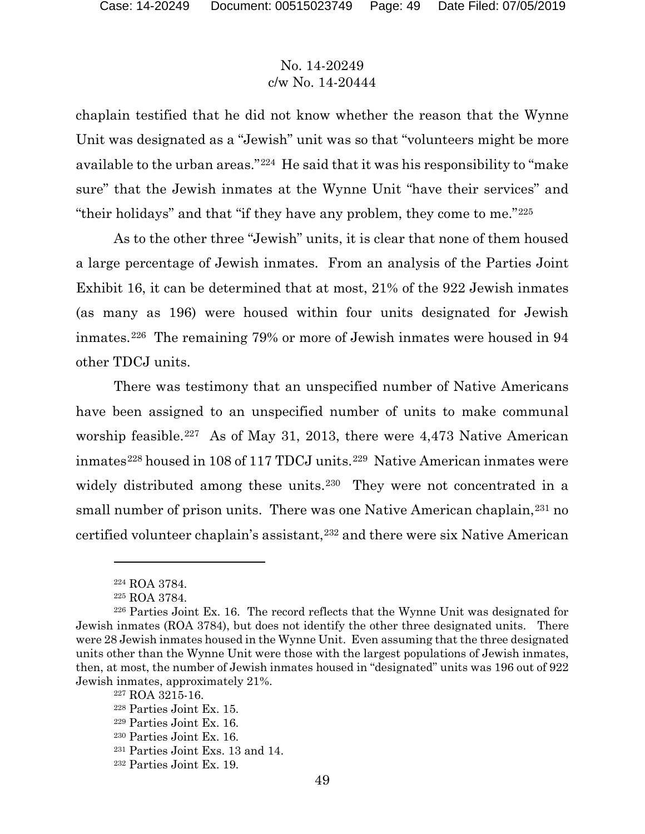chaplain testified that he did not know whether the reason that the Wynne Unit was designated as a "Jewish" unit was so that "volunteers might be more available to the urban areas."[224](#page-48-0) He said that it was his responsibility to "make sure" that the Jewish inmates at the Wynne Unit "have their services" and "their holidays" and that "if they have any problem, they come to me."[225](#page-48-1)

As to the other three "Jewish" units, it is clear that none of them housed a large percentage of Jewish inmates. From an analysis of the Parties Joint Exhibit 16, it can be determined that at most, 21% of the 922 Jewish inmates (as many as 196) were housed within four units designated for Jewish inmates.[226](#page-48-2) The remaining 79% or more of Jewish inmates were housed in 94 other TDCJ units.

There was testimony that an unspecified number of Native Americans have been assigned to an unspecified number of units to make communal worship feasible.<sup>[227](#page-48-3)</sup> As of May 31, 2013, there were 4,473 Native American inmates<sup>[228](#page-48-4)</sup> housed in 108 of 117 TDCJ units.<sup>229</sup> Native American inmates were widely distributed among these units.<sup>[230](#page-48-6)</sup> They were not concentrated in a small number of prison units. There was one Native American chaplain,<sup>[231](#page-48-7)</sup> no certified volunteer chaplain's assistant,[232](#page-48-8) and there were six Native American

<sup>224</sup> ROA 3784.

<sup>225</sup> ROA 3784.

<span id="page-48-3"></span><span id="page-48-2"></span><span id="page-48-1"></span><span id="page-48-0"></span><sup>226</sup> Parties Joint Ex. 16. The record reflects that the Wynne Unit was designated for Jewish inmates (ROA 3784), but does not identify the other three designated units. There were 28 Jewish inmates housed in the Wynne Unit. Even assuming that the three designated units other than the Wynne Unit were those with the largest populations of Jewish inmates, then, at most, the number of Jewish inmates housed in "designated" units was 196 out of 922 Jewish inmates, approximately 21%.

<sup>227</sup> ROA 3215-16.

<span id="page-48-4"></span><sup>228</sup> Parties Joint Ex. 15.

<span id="page-48-5"></span><sup>229</sup> Parties Joint Ex. 16.

<span id="page-48-7"></span><span id="page-48-6"></span><sup>230</sup> Parties Joint Ex. 16.

<sup>231</sup> Parties Joint Exs. 13 and 14.

<span id="page-48-8"></span><sup>232</sup> Parties Joint Ex. 19.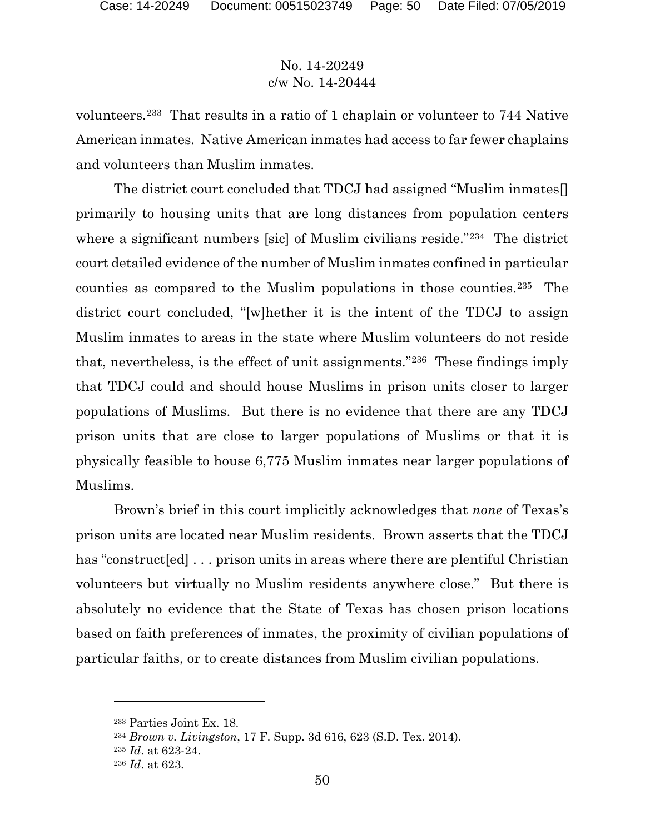volunteers.[233](#page-49-0) That results in a ratio of 1 chaplain or volunteer to 744 Native American inmates. Native American inmates had access to far fewer chaplains and volunteers than Muslim inmates.

The district court concluded that TDCJ had assigned "Muslim inmates[] primarily to housing units that are long distances from population centers where a significant numbers [sic] of Muslim civilians reside."[234](#page-49-1) The district court detailed evidence of the number of Muslim inmates confined in particular counties as compared to the Muslim populations in those counties.[235](#page-49-2) The district court concluded, "[w]hether it is the intent of the TDCJ to assign Muslim inmates to areas in the state where Muslim volunteers do not reside that, nevertheless, is the effect of unit assignments."[236](#page-49-3) These findings imply that TDCJ could and should house Muslims in prison units closer to larger populations of Muslims. But there is no evidence that there are any TDCJ prison units that are close to larger populations of Muslims or that it is physically feasible to house 6,775 Muslim inmates near larger populations of Muslims.

Brown's brief in this court implicitly acknowledges that *none* of Texas's prison units are located near Muslim residents. Brown asserts that the TDCJ has "construct [ed] ... prison units in areas where there are plentiful Christian volunteers but virtually no Muslim residents anywhere close." But there is absolutely no evidence that the State of Texas has chosen prison locations based on faith preferences of inmates, the proximity of civilian populations of particular faiths, or to create distances from Muslim civilian populations.

<span id="page-49-0"></span><sup>233</sup> Parties Joint Ex. 18.

<span id="page-49-1"></span><sup>234</sup> *Brown v. Livingston*, 17 F. Supp. 3d 616, 623 (S.D. Tex. 2014).

<span id="page-49-2"></span><sup>235</sup> *Id*. at 623-24.

<span id="page-49-3"></span><sup>236</sup> *Id*. at 623.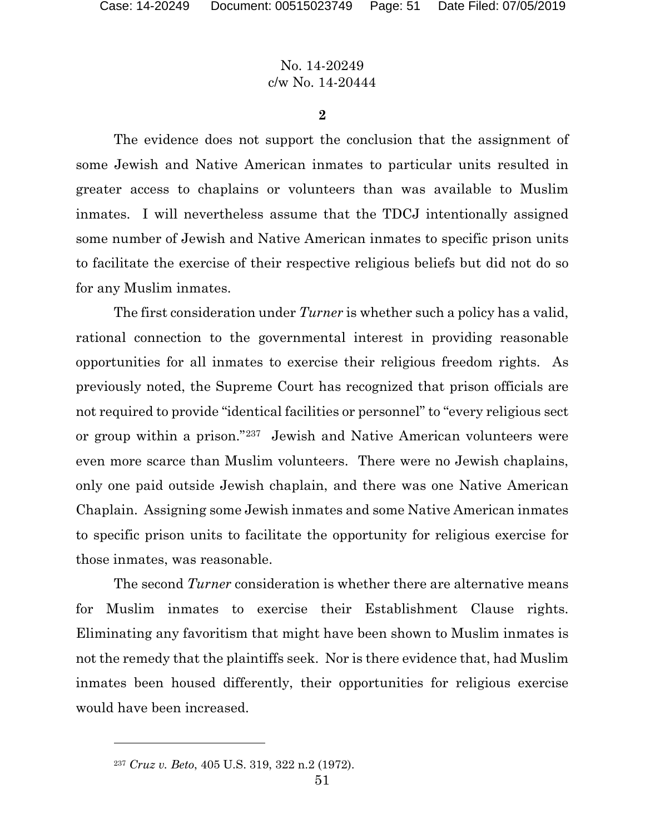**2**

The evidence does not support the conclusion that the assignment of some Jewish and Native American inmates to particular units resulted in greater access to chaplains or volunteers than was available to Muslim inmates. I will nevertheless assume that the TDCJ intentionally assigned some number of Jewish and Native American inmates to specific prison units to facilitate the exercise of their respective religious beliefs but did not do so for any Muslim inmates.

The first consideration under *Turner* is whether such a policy has a valid, rational connection to the governmental interest in providing reasonable opportunities for all inmates to exercise their religious freedom rights. As previously noted, the Supreme Court has recognized that prison officials are not required to provide "identical facilities or personnel" to "every religious sect or group within a prison."[237](#page-50-0) Jewish and Native American volunteers were even more scarce than Muslim volunteers. There were no Jewish chaplains, only one paid outside Jewish chaplain, and there was one Native American Chaplain. Assigning some Jewish inmates and some Native American inmates to specific prison units to facilitate the opportunity for religious exercise for those inmates, was reasonable.

The second *Turner* consideration is whether there are alternative means for Muslim inmates to exercise their Establishment Clause rights. Eliminating any favoritism that might have been shown to Muslim inmates is not the remedy that the plaintiffs seek. Nor is there evidence that, had Muslim inmates been housed differently, their opportunities for religious exercise would have been increased.

<span id="page-50-0"></span><sup>237</sup> *Cruz v. Beto*, 405 U.S. 319, 322 n.2 (1972).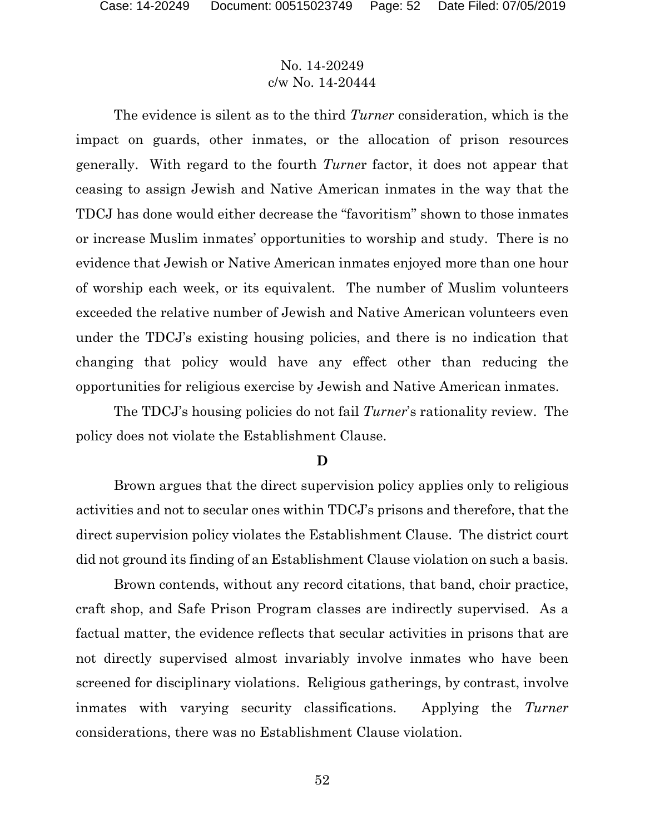The evidence is silent as to the third *Turner* consideration, which is the impact on guards, other inmates, or the allocation of prison resources generally. With regard to the fourth *Turne*r factor, it does not appear that ceasing to assign Jewish and Native American inmates in the way that the TDCJ has done would either decrease the "favoritism" shown to those inmates or increase Muslim inmates' opportunities to worship and study. There is no evidence that Jewish or Native American inmates enjoyed more than one hour of worship each week, or its equivalent. The number of Muslim volunteers exceeded the relative number of Jewish and Native American volunteers even under the TDCJ's existing housing policies, and there is no indication that changing that policy would have any effect other than reducing the opportunities for religious exercise by Jewish and Native American inmates.

The TDCJ's housing policies do not fail *Turner*'s rationality review. The policy does not violate the Establishment Clause.

#### **D**

Brown argues that the direct supervision policy applies only to religious activities and not to secular ones within TDCJ's prisons and therefore, that the direct supervision policy violates the Establishment Clause. The district court did not ground its finding of an Establishment Clause violation on such a basis.

Brown contends, without any record citations, that band, choir practice, craft shop, and Safe Prison Program classes are indirectly supervised. As a factual matter, the evidence reflects that secular activities in prisons that are not directly supervised almost invariably involve inmates who have been screened for disciplinary violations. Religious gatherings, by contrast, involve inmates with varying security classifications. Applying the *Turner* considerations, there was no Establishment Clause violation.

52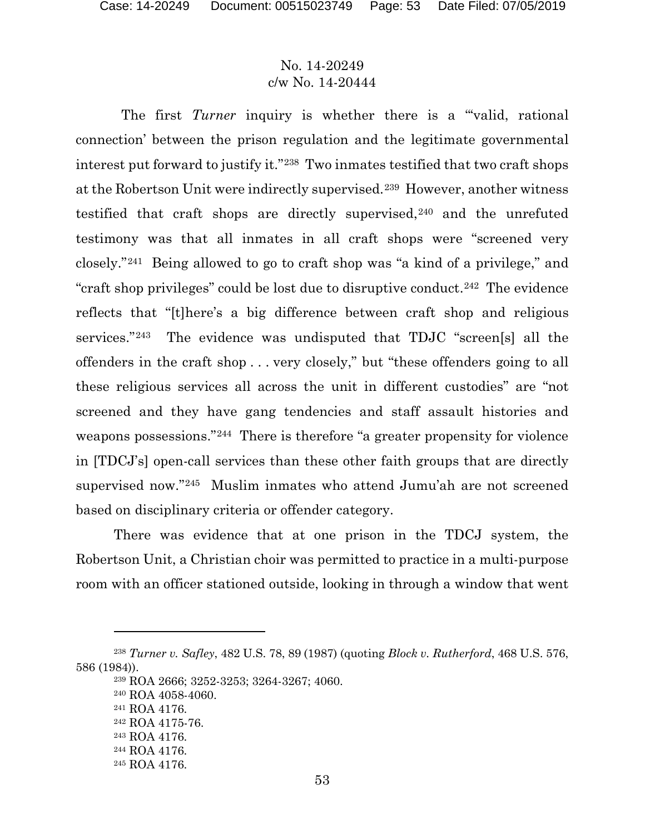The first *Turner* inquiry is whether there is a "valid, rational connection' between the prison regulation and the legitimate governmental interest put forward to justify it."[238](#page-52-0) Two inmates testified that two craft shops at the Robertson Unit were indirectly supervised.[239](#page-52-1) However, another witness testified that craft shops are directly supervised,[240](#page-52-2) and the unrefuted testimony was that all inmates in all craft shops were "screened very closely."[241](#page-52-3) Being allowed to go to craft shop was "a kind of a privilege," and "craft shop privileges" could be lost due to disruptive conduct.[242](#page-52-4) The evidence reflects that "[t]here's a big difference between craft shop and religious services."[243](#page-52-5) The evidence was undisputed that TDJC "screen[s] all the offenders in the craft shop . . . very closely," but "these offenders going to all these religious services all across the unit in different custodies" are "not screened and they have gang tendencies and staff assault histories and weapons possessions."[244](#page-52-6) There is therefore "a greater propensity for violence in [TDCJ's] open-call services than these other faith groups that are directly supervised now."[245](#page-52-7) Muslim inmates who attend Jumu'ah are not screened based on disciplinary criteria or offender category.

There was evidence that at one prison in the TDCJ system, the Robertson Unit, a Christian choir was permitted to practice in a multi-purpose room with an officer stationed outside, looking in through a window that went

<span id="page-52-5"></span><span id="page-52-4"></span><span id="page-52-3"></span><span id="page-52-2"></span><span id="page-52-1"></span><span id="page-52-0"></span><sup>238</sup> *Turner v. Safley*, 482 U.S. 78, 89 (1987) (quoting *Block v. Rutherford*, 468 U.S. 576, 586 (1984)).

<sup>239</sup> ROA 2666; 3252-3253; 3264-3267; 4060.

<sup>240</sup> ROA 4058-4060.

<sup>241</sup> ROA 4176.

<sup>242</sup> ROA 4175-76.

<sup>243</sup> ROA 4176.

<span id="page-52-6"></span><sup>244</sup> ROA 4176.

<span id="page-52-7"></span><sup>245</sup> ROA 4176.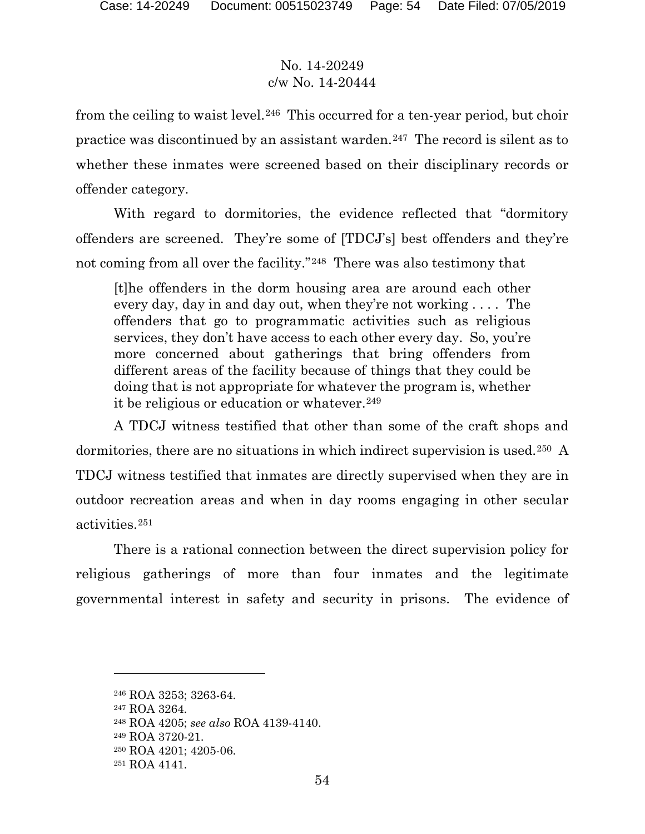from the ceiling to waist level.<sup>[246](#page-53-0)</sup> This occurred for a ten-year period, but choir practice was discontinued by an assistant warden.<sup>[247](#page-53-1)</sup> The record is silent as to whether these inmates were screened based on their disciplinary records or offender category.

With regard to dormitories, the evidence reflected that "dormitory offenders are screened. They're some of [TDCJ's] best offenders and they're not coming from all over the facility."[248](#page-53-2) There was also testimony that

[t]he offenders in the dorm housing area are around each other every day, day in and day out, when they're not working . . . . The offenders that go to programmatic activities such as religious services, they don't have access to each other every day. So, you're more concerned about gatherings that bring offenders from different areas of the facility because of things that they could be doing that is not appropriate for whatever the program is, whether it be religious or education or whatever.<sup>[249](#page-53-3)</sup>

A TDCJ witness testified that other than some of the craft shops and dormitories, there are no situations in which indirect supervision is used.[250](#page-53-4) A TDCJ witness testified that inmates are directly supervised when they are in outdoor recreation areas and when in day rooms engaging in other secular activities.[251](#page-53-5)

There is a rational connection between the direct supervision policy for religious gatherings of more than four inmates and the legitimate governmental interest in safety and security in prisons. The evidence of

<span id="page-53-0"></span><sup>246</sup> ROA 3253; 3263-64.

<span id="page-53-1"></span><sup>247</sup> ROA 3264.

<span id="page-53-3"></span><span id="page-53-2"></span><sup>248</sup> ROA 4205; *see also* ROA 4139-4140.

<sup>249</sup> ROA 3720-21.

<span id="page-53-4"></span><sup>250</sup> ROA 4201; 4205-06.

<span id="page-53-5"></span><sup>251</sup> ROA 4141.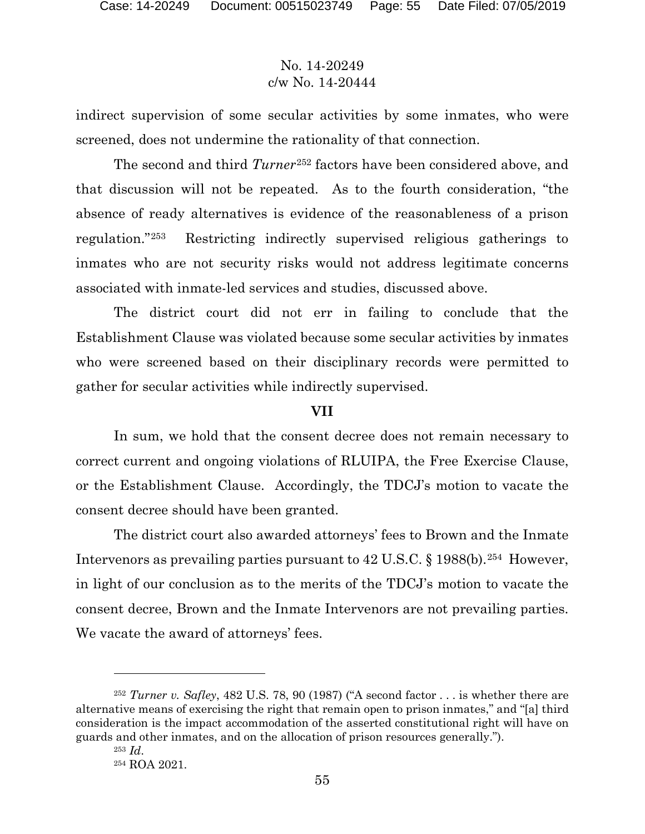indirect supervision of some secular activities by some inmates, who were screened, does not undermine the rationality of that connection.

The second and third *Turner*[252](#page-54-0) factors have been considered above, and that discussion will not be repeated. As to the fourth consideration, "the absence of ready alternatives is evidence of the reasonableness of a prison regulation."[253](#page-54-1) Restricting indirectly supervised religious gatherings to inmates who are not security risks would not address legitimate concerns associated with inmate-led services and studies, discussed above.

The district court did not err in failing to conclude that the Establishment Clause was violated because some secular activities by inmates who were screened based on their disciplinary records were permitted to gather for secular activities while indirectly supervised.

#### **VII**

In sum, we hold that the consent decree does not remain necessary to correct current and ongoing violations of RLUIPA, the Free Exercise Clause, or the Establishment Clause. Accordingly, the TDCJ's motion to vacate the consent decree should have been granted.

The district court also awarded attorneys' fees to Brown and the Inmate Intervenors as prevailing parties pursuant to 42 U.S.C. § 1988(b).<sup>254</sup> However, in light of our conclusion as to the merits of the TDCJ's motion to vacate the consent decree, Brown and the Inmate Intervenors are not prevailing parties. We vacate the award of attorneys' fees.

<span id="page-54-2"></span><span id="page-54-1"></span><span id="page-54-0"></span><sup>252</sup> *Turner v. Safley*, 482 U.S. 78, 90 (1987) ("A second factor . . . is whether there are alternative means of exercising the right that remain open to prison inmates," and "[a] third consideration is the impact accommodation of the asserted constitutional right will have on guards and other inmates, and on the allocation of prison resources generally.").

<sup>253</sup> *Id*. <sup>254</sup> ROA 2021.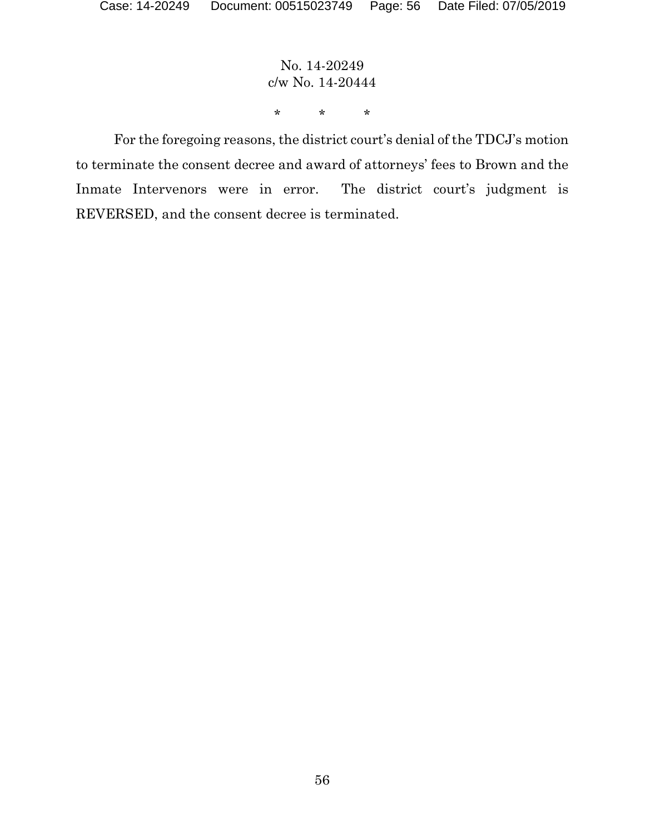No. 14-20249 c/w No. 14-20444 \* \* \*

For the foregoing reasons, the district court's denial of the TDCJ's motion to terminate the consent decree and award of attorneys' fees to Brown and the Inmate Intervenors were in error. The district court's judgment is REVERSED, and the consent decree is terminated.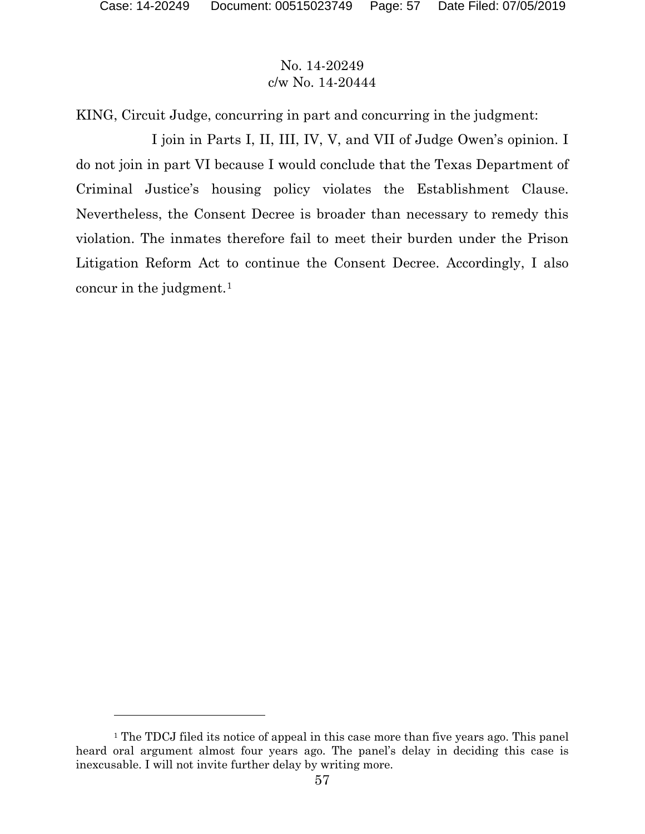$\overline{a}$ 

# No. 14-20249 c/w No. 14-20444

KING, Circuit Judge, concurring in part and concurring in the judgment:

I join in Parts I, II, III, IV, V, and VII of Judge Owen's opinion. I do not join in part VI because I would conclude that the Texas Department of Criminal Justice's housing policy violates the Establishment Clause. Nevertheless, the Consent Decree is broader than necessary to remedy this violation. The inmates therefore fail to meet their burden under the Prison Litigation Reform Act to continue the Consent Decree. Accordingly, I also concur in the judgment. $1$ 

<span id="page-56-0"></span><sup>&</sup>lt;sup>1</sup> The TDCJ filed its notice of appeal in this case more than five years ago. This panel heard oral argument almost four years ago. The panel's delay in deciding this case is inexcusable. I will not invite further delay by writing more.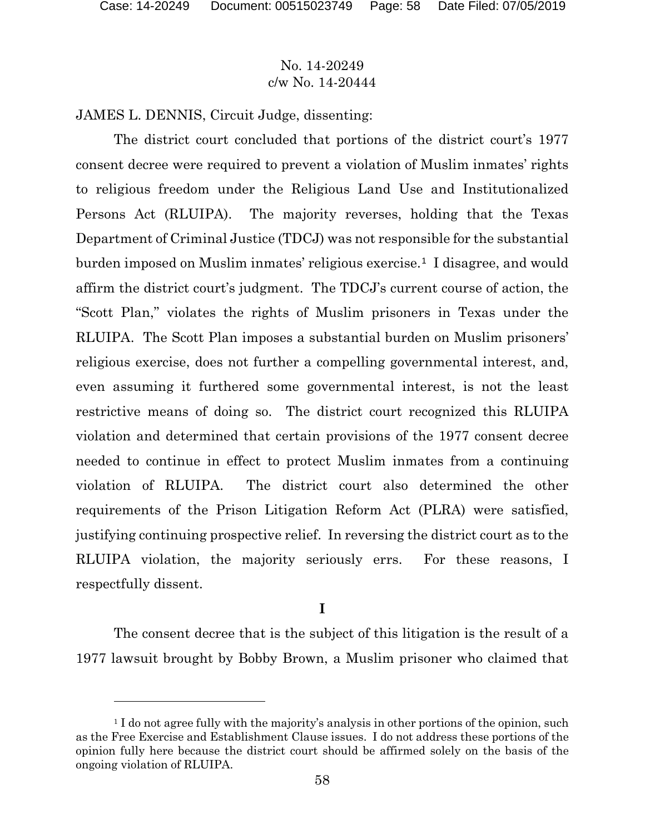$\overline{a}$ 

# No. 14-20249 c/w No. 14-20444

JAMES L. DENNIS, Circuit Judge, dissenting:

The district court concluded that portions of the district court's 1977 consent decree were required to prevent a violation of Muslim inmates' rights to religious freedom under the Religious Land Use and Institutionalized Persons Act (RLUIPA). The majority reverses, holding that the Texas Department of Criminal Justice (TDCJ) was not responsible for the substantial burden imposed on Muslim inmates' religious exercise.<sup>[1](#page-57-0)</sup> I disagree, and would affirm the district court's judgment. The TDCJ's current course of action, the "Scott Plan," violates the rights of Muslim prisoners in Texas under the RLUIPA. The Scott Plan imposes a substantial burden on Muslim prisoners' religious exercise, does not further a compelling governmental interest, and, even assuming it furthered some governmental interest, is not the least restrictive means of doing so. The district court recognized this RLUIPA violation and determined that certain provisions of the 1977 consent decree needed to continue in effect to protect Muslim inmates from a continuing violation of RLUIPA. The district court also determined the other requirements of the Prison Litigation Reform Act (PLRA) were satisfied, justifying continuing prospective relief. In reversing the district court as to the RLUIPA violation, the majority seriously errs. For these reasons, I respectfully dissent.

**I**

The consent decree that is the subject of this litigation is the result of a 1977 lawsuit brought by Bobby Brown, a Muslim prisoner who claimed that

<span id="page-57-0"></span><sup>&</sup>lt;sup>1</sup> I do not agree fully with the majority's analysis in other portions of the opinion, such as the Free Exercise and Establishment Clause issues. I do not address these portions of the opinion fully here because the district court should be affirmed solely on the basis of the ongoing violation of RLUIPA.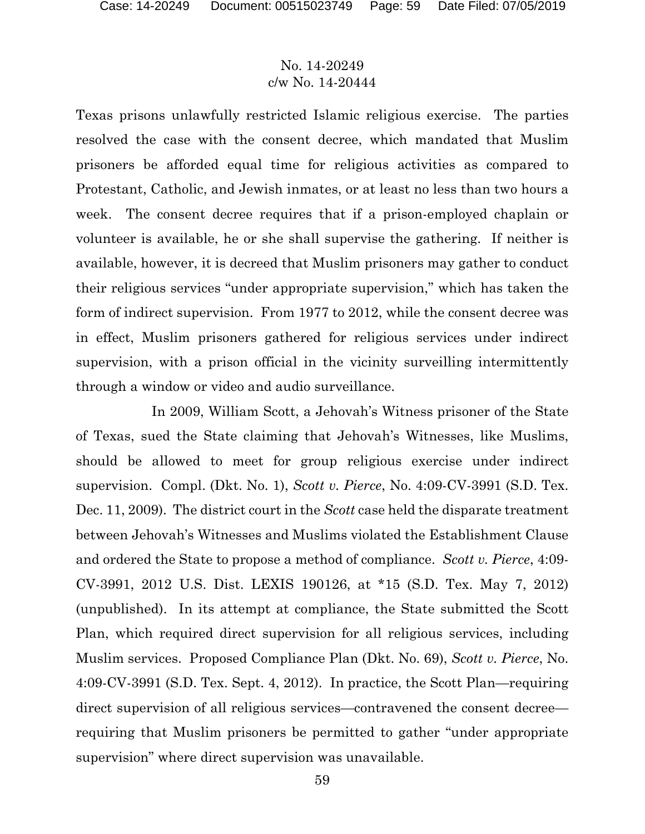Texas prisons unlawfully restricted Islamic religious exercise. The parties resolved the case with the consent decree, which mandated that Muslim prisoners be afforded equal time for religious activities as compared to Protestant, Catholic, and Jewish inmates, or at least no less than two hours a week. The consent decree requires that if a prison-employed chaplain or volunteer is available, he or she shall supervise the gathering. If neither is available, however, it is decreed that Muslim prisoners may gather to conduct their religious services "under appropriate supervision," which has taken the form of indirect supervision. From 1977 to 2012, while the consent decree was in effect, Muslim prisoners gathered for religious services under indirect supervision, with a prison official in the vicinity surveilling intermittently through a window or video and audio surveillance.

In 2009, William Scott, a Jehovah's Witness prisoner of the State of Texas, sued the State claiming that Jehovah's Witnesses, like Muslims, should be allowed to meet for group religious exercise under indirect supervision. Compl. (Dkt. No. 1), *Scott v. Pierce*, No. 4:09-CV-3991 (S.D. Tex. Dec. 11, 2009). The district court in the *Scott* case held the disparate treatment between Jehovah's Witnesses and Muslims violated the Establishment Clause and ordered the State to propose a method of compliance. *Scott v. Pierce*, 4:09- CV-3991, 2012 U.S. Dist. LEXIS 190126, at \*15 (S.D. Tex. May 7, 2012) (unpublished). In its attempt at compliance, the State submitted the Scott Plan, which required direct supervision for all religious services, including Muslim services. Proposed Compliance Plan (Dkt. No. 69), *Scott v. Pierce*, No. 4:09-CV-3991 (S.D. Tex. Sept. 4, 2012). In practice, the Scott Plan—requiring direct supervision of all religious services—contravened the consent decree requiring that Muslim prisoners be permitted to gather "under appropriate supervision" where direct supervision was unavailable.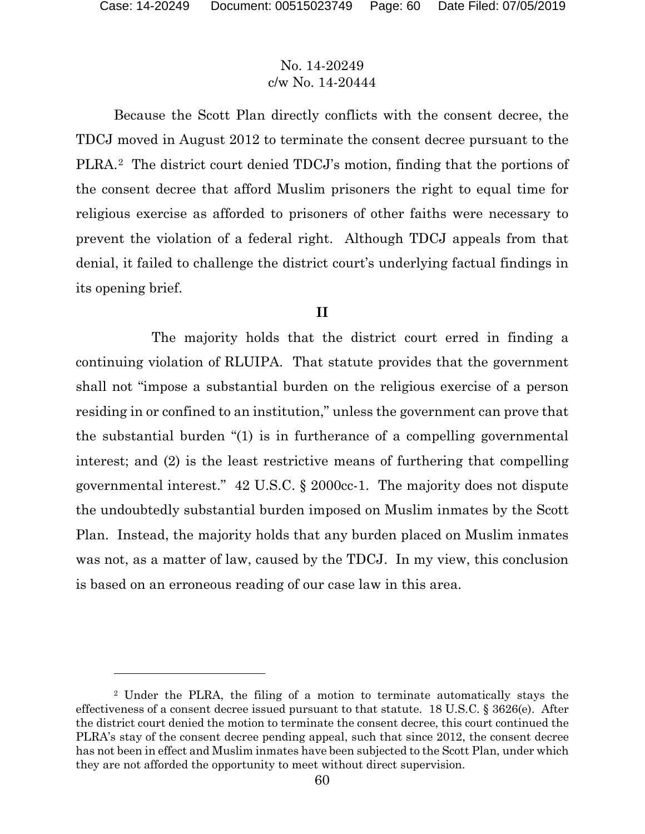$\overline{a}$ 

#### No. 14-20249 c/w No. 14-20444

Because the Scott Plan directly conflicts with the consent decree, the TDCJ moved in August 2012 to terminate the consent decree pursuant to the PLRA.[2](#page-59-0) The district court denied TDCJ's motion, finding that the portions of the consent decree that afford Muslim prisoners the right to equal time for religious exercise as afforded to prisoners of other faiths were necessary to prevent the violation of a federal right. Although TDCJ appeals from that denial, it failed to challenge the district court's underlying factual findings in its opening brief.

#### **II**

The majority holds that the district court erred in finding a continuing violation of RLUIPA. That statute provides that the government shall not "impose a substantial burden on the religious exercise of a person residing in or confined to an institution," unless the government can prove that the substantial burden "(1) is in furtherance of a compelling governmental interest; and (2) is the least restrictive means of furthering that compelling governmental interest." 42 U.S.C. § 2000cc-1. The majority does not dispute the undoubtedly substantial burden imposed on Muslim inmates by the Scott Plan. Instead, the majority holds that any burden placed on Muslim inmates was not, as a matter of law, caused by the TDCJ. In my view, this conclusion is based on an erroneous reading of our case law in this area.

<span id="page-59-0"></span><sup>2</sup> Under the PLRA, the filing of a motion to terminate automatically stays the effectiveness of a consent decree issued pursuant to that statute. 18 U.S.C. § 3626(e). After the district court denied the motion to terminate the consent decree, this court continued the PLRA's stay of the consent decree pending appeal, such that since 2012, the consent decree has not been in effect and Muslim inmates have been subjected to the Scott Plan, under which they are not afforded the opportunity to meet without direct supervision.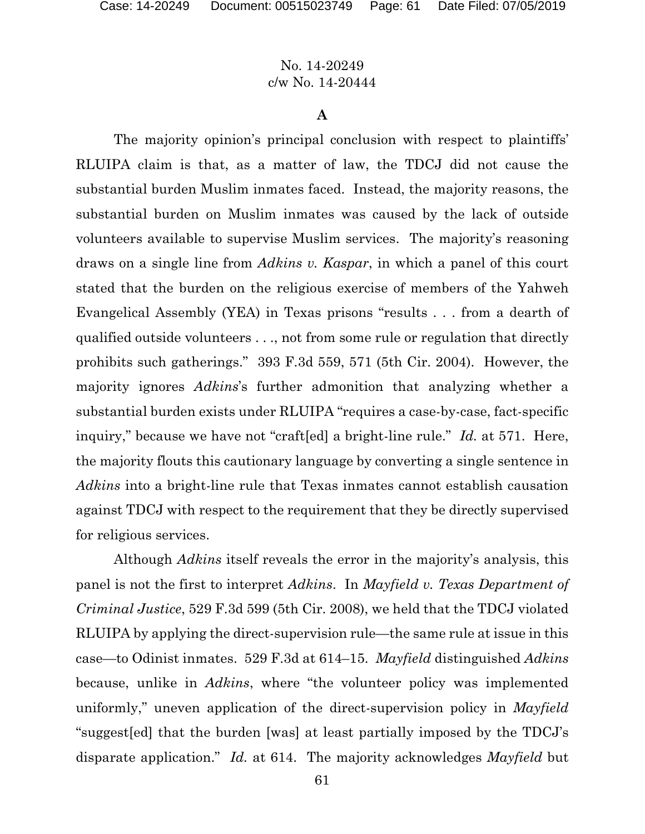#### **A**

The majority opinion's principal conclusion with respect to plaintiffs' RLUIPA claim is that, as a matter of law, the TDCJ did not cause the substantial burden Muslim inmates faced. Instead, the majority reasons, the substantial burden on Muslim inmates was caused by the lack of outside volunteers available to supervise Muslim services. The majority's reasoning draws on a single line from *Adkins v. Kaspar*, in which a panel of this court stated that the burden on the religious exercise of members of the Yahweh Evangelical Assembly (YEA) in Texas prisons "results . . . from a dearth of qualified outside volunteers . . ., not from some rule or regulation that directly prohibits such gatherings." 393 F.3d 559, 571 (5th Cir. 2004). However, the majority ignores *Adkins*'s further admonition that analyzing whether a substantial burden exists under RLUIPA "requires a case-by-case, fact-specific inquiry," because we have not "craft[ed] a bright-line rule." *Id.* at 571. Here, the majority flouts this cautionary language by converting a single sentence in *Adkins* into a bright-line rule that Texas inmates cannot establish causation against TDCJ with respect to the requirement that they be directly supervised for religious services.

Although *Adkins* itself reveals the error in the majority's analysis, this panel is not the first to interpret *Adkins*. In *Mayfield v. Texas Department of Criminal Justice*, 529 F.3d 599 (5th Cir. 2008), we held that the TDCJ violated RLUIPA by applying the direct-supervision rule—the same rule at issue in this case—to Odinist inmates. 529 F.3d at 614–15. *Mayfield* distinguished *Adkins*  because, unlike in *Adkins*, where "the volunteer policy was implemented uniformly," uneven application of the direct-supervision policy in *Mayfield*  "suggest[ed] that the burden [was] at least partially imposed by the TDCJ's disparate application." *Id.* at 614. The majority acknowledges *Mayfield* but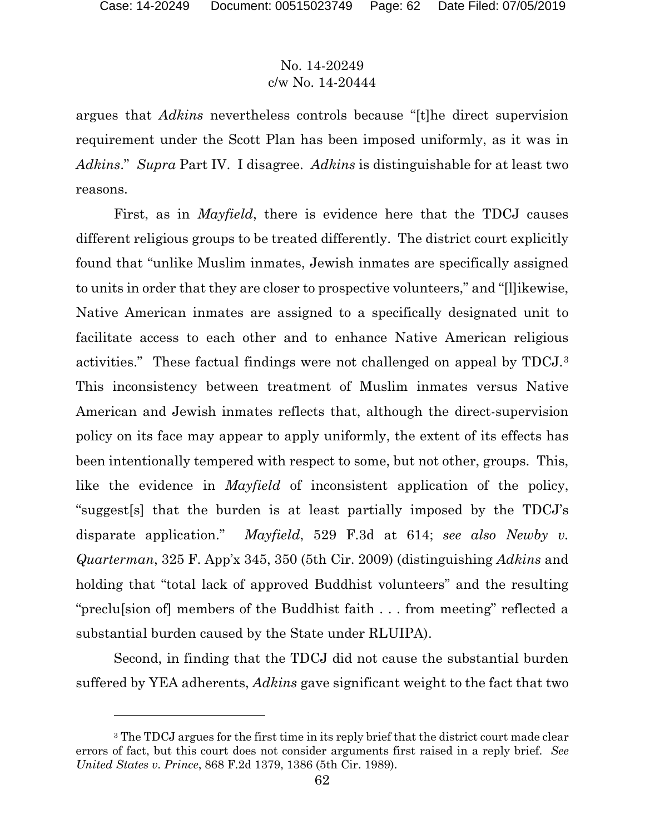$\overline{a}$ 

# No. 14-20249 c/w No. 14-20444

argues that *Adkins* nevertheless controls because "[t]he direct supervision requirement under the Scott Plan has been imposed uniformly, as it was in *Adkins*." *Supra* Part IV. I disagree. *Adkins* is distinguishable for at least two reasons.

First, as in *Mayfield*, there is evidence here that the TDCJ causes different religious groups to be treated differently. The district court explicitly found that "unlike Muslim inmates, Jewish inmates are specifically assigned to units in order that they are closer to prospective volunteers," and "[l]ikewise, Native American inmates are assigned to a specifically designated unit to facilitate access to each other and to enhance Native American religious activities." These factual findings were not challenged on appeal by TDCJ.[3](#page-61-0) This inconsistency between treatment of Muslim inmates versus Native American and Jewish inmates reflects that, although the direct-supervision policy on its face may appear to apply uniformly, the extent of its effects has been intentionally tempered with respect to some, but not other, groups. This, like the evidence in *Mayfield* of inconsistent application of the policy, "suggest[s] that the burden is at least partially imposed by the TDCJ's disparate application." *Mayfield*, 529 F.3d at 614; *see also Newby v. Quarterman*, 325 F. App'x 345, 350 (5th Cir. 2009) (distinguishing *Adkins* and holding that "total lack of approved Buddhist volunteers" and the resulting "preclu[sion of] members of the Buddhist faith . . . from meeting" reflected a substantial burden caused by the State under RLUIPA).

Second, in finding that the TDCJ did not cause the substantial burden suffered by YEA adherents, *Adkins* gave significant weight to the fact that two

<span id="page-61-0"></span><sup>&</sup>lt;sup>3</sup> The TDCJ argues for the first time in its reply brief that the district court made clear errors of fact, but this court does not consider arguments first raised in a reply brief. *See United States v. Prince*, 868 F.2d 1379, 1386 (5th Cir. 1989).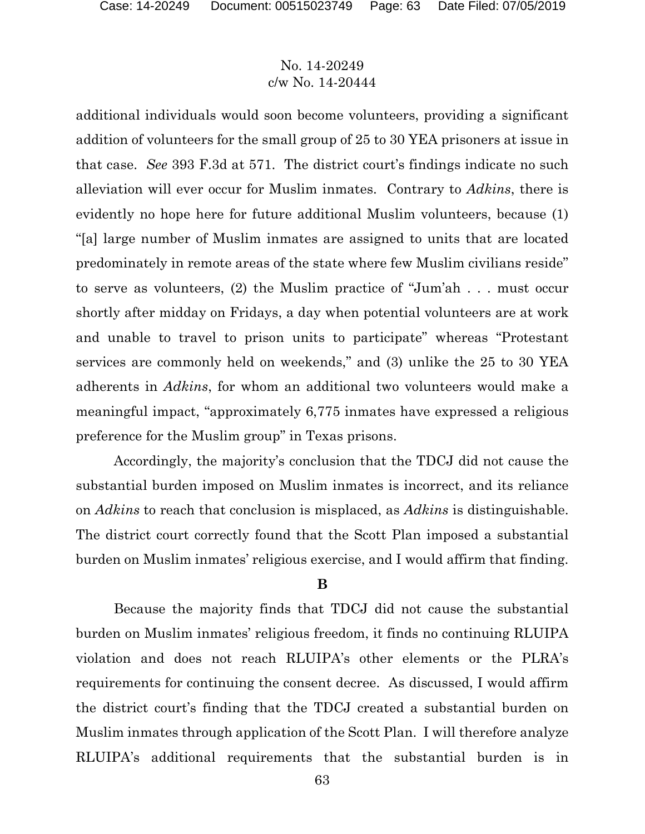additional individuals would soon become volunteers, providing a significant addition of volunteers for the small group of 25 to 30 YEA prisoners at issue in that case. *See* 393 F.3d at 571. The district court's findings indicate no such alleviation will ever occur for Muslim inmates. Contrary to *Adkins*, there is evidently no hope here for future additional Muslim volunteers, because (1) "[a] large number of Muslim inmates are assigned to units that are located predominately in remote areas of the state where few Muslim civilians reside" to serve as volunteers, (2) the Muslim practice of "Jum'ah . . . must occur shortly after midday on Fridays, a day when potential volunteers are at work and unable to travel to prison units to participate" whereas "Protestant services are commonly held on weekends," and (3) unlike the 25 to 30 YEA adherents in *Adkins*, for whom an additional two volunteers would make a meaningful impact, "approximately 6,775 inmates have expressed a religious preference for the Muslim group" in Texas prisons.

Accordingly, the majority's conclusion that the TDCJ did not cause the substantial burden imposed on Muslim inmates is incorrect, and its reliance on *Adkins* to reach that conclusion is misplaced, as *Adkins* is distinguishable. The district court correctly found that the Scott Plan imposed a substantial burden on Muslim inmates' religious exercise, and I would affirm that finding.

#### **B**

Because the majority finds that TDCJ did not cause the substantial burden on Muslim inmates' religious freedom, it finds no continuing RLUIPA violation and does not reach RLUIPA's other elements or the PLRA's requirements for continuing the consent decree. As discussed, I would affirm the district court's finding that the TDCJ created a substantial burden on Muslim inmates through application of the Scott Plan. I will therefore analyze RLUIPA's additional requirements that the substantial burden is in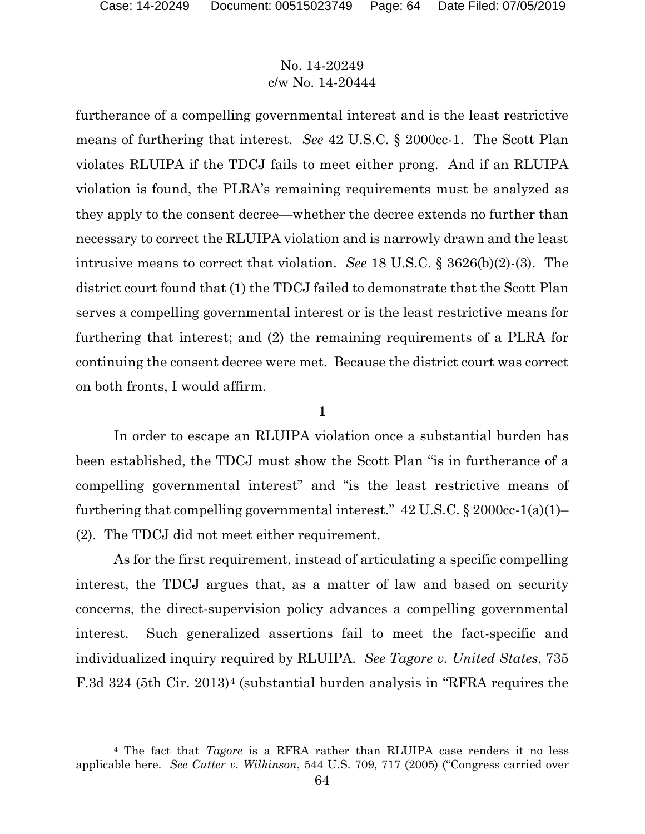l

### No. 14-20249 c/w No. 14-20444

furtherance of a compelling governmental interest and is the least restrictive means of furthering that interest. *See* 42 U.S.C. § 2000cc-1. The Scott Plan violates RLUIPA if the TDCJ fails to meet either prong. And if an RLUIPA violation is found, the PLRA's remaining requirements must be analyzed as they apply to the consent decree—whether the decree extends no further than necessary to correct the RLUIPA violation and is narrowly drawn and the least intrusive means to correct that violation. *See* 18 U.S.C. § 3626(b)(2)-(3). The district court found that (1) the TDCJ failed to demonstrate that the Scott Plan serves a compelling governmental interest or is the least restrictive means for furthering that interest; and (2) the remaining requirements of a PLRA for continuing the consent decree were met. Because the district court was correct on both fronts, I would affirm.

#### **1**

In order to escape an RLUIPA violation once a substantial burden has been established, the TDCJ must show the Scott Plan "is in furtherance of a compelling governmental interest" and "is the least restrictive means of furthering that compelling governmental interest."  $42 \text{ U.S.C.}$  §  $2000 \text{ cc-}1\text{(a)}\text{(1)}$ (2). The TDCJ did not meet either requirement.

As for the first requirement, instead of articulating a specific compelling interest, the TDCJ argues that, as a matter of law and based on security concerns, the direct-supervision policy advances a compelling governmental interest. Such generalized assertions fail to meet the fact-specific and individualized inquiry required by RLUIPA. *See Tagore v. United States*, 735 F.3d 32[4](#page-63-0) (5th Cir. 2013)<sup>4</sup> (substantial burden analysis in "RFRA requires the

<span id="page-63-0"></span><sup>4</sup> The fact that *Tagore* is a RFRA rather than RLUIPA case renders it no less applicable here. *See Cutter v. Wilkinson*, 544 U.S. 709, 717 (2005) ("Congress carried over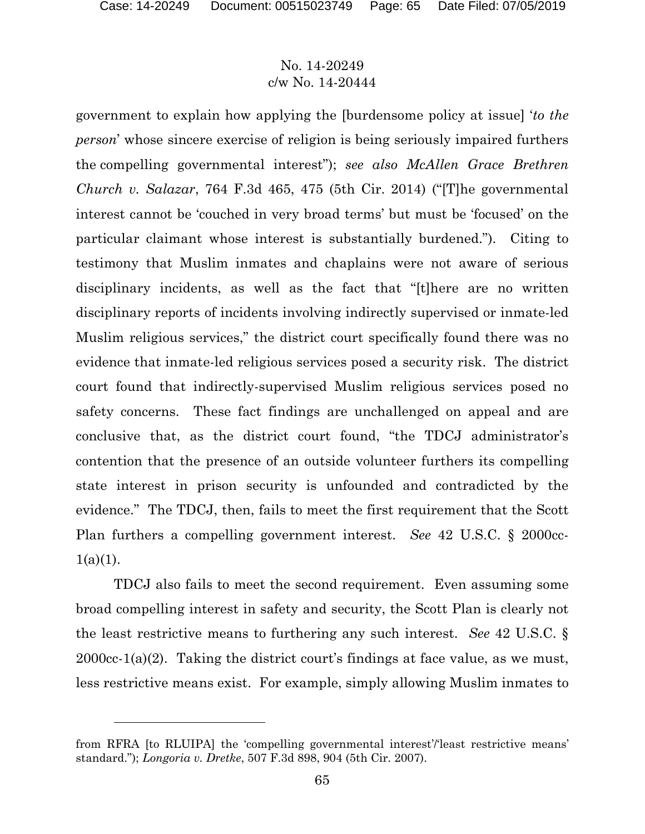$\overline{a}$ 

# No. 14-20249 c/w No. 14-20444

government to explain how applying the [burdensome policy at issue] '*to the person*' whose sincere exercise of religion is being seriously impaired furthers the compelling governmental interest"); *see also McAllen Grace Brethren Church v. Salazar*, 764 F.3d 465, 475 (5th Cir. 2014) ("[T]he governmental interest cannot be 'couched in very broad terms' but must be 'focused' on the particular claimant whose interest is substantially burdened."). Citing to testimony that Muslim inmates and chaplains were not aware of serious disciplinary incidents, as well as the fact that "[t]here are no written disciplinary reports of incidents involving indirectly supervised or inmate-led Muslim religious services," the district court specifically found there was no evidence that inmate-led religious services posed a security risk. The district court found that indirectly-supervised Muslim religious services posed no safety concerns. These fact findings are unchallenged on appeal and are conclusive that, as the district court found, "the TDCJ administrator's contention that the presence of an outside volunteer furthers its compelling state interest in prison security is unfounded and contradicted by the evidence." The TDCJ, then, fails to meet the first requirement that the Scott Plan furthers a compelling government interest. *See* 42 U.S.C. § 2000cc- $1(a)(1)$ .

TDCJ also fails to meet the second requirement. Even assuming some broad compelling interest in safety and security, the Scott Plan is clearly not the least restrictive means to furthering any such interest. *See* 42 U.S.C. § 2000cc-1(a)(2). Taking the district court's findings at face value, as we must, less restrictive means exist. For example, simply allowing Muslim inmates to

from RFRA [to RLUIPA] the 'compelling governmental interest'/'least restrictive means' standard."); *Longoria v. Dretke*, 507 F.3d 898, 904 (5th Cir. 2007).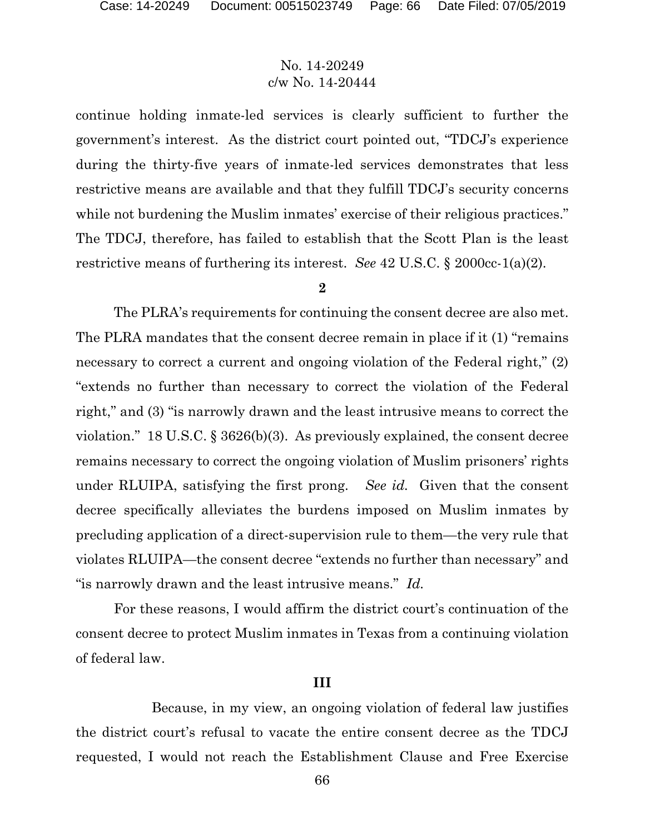continue holding inmate-led services is clearly sufficient to further the government's interest. As the district court pointed out, "TDCJ's experience during the thirty-five years of inmate-led services demonstrates that less restrictive means are available and that they fulfill TDCJ's security concerns while not burdening the Muslim inmates' exercise of their religious practices." The TDCJ, therefore, has failed to establish that the Scott Plan is the least restrictive means of furthering its interest. *See* 42 U.S.C. § 2000cc-1(a)(2).

#### **2**

The PLRA's requirements for continuing the consent decree are also met. The PLRA mandates that the consent decree remain in place if it (1) "remains necessary to correct a current and ongoing violation of the Federal right," (2) "extends no further than necessary to correct the violation of the Federal right," and (3) "is narrowly drawn and the least intrusive means to correct the violation." 18 U.S.C. § 3626(b)(3). As previously explained, the consent decree remains necessary to correct the ongoing violation of Muslim prisoners' rights under RLUIPA, satisfying the first prong. *See id.* Given that the consent decree specifically alleviates the burdens imposed on Muslim inmates by precluding application of a direct-supervision rule to them—the very rule that violates RLUIPA—the consent decree "extends no further than necessary" and "is narrowly drawn and the least intrusive means." *Id.*

For these reasons, I would affirm the district court's continuation of the consent decree to protect Muslim inmates in Texas from a continuing violation of federal law.

#### **III**

Because, in my view, an ongoing violation of federal law justifies the district court's refusal to vacate the entire consent decree as the TDCJ requested, I would not reach the Establishment Clause and Free Exercise